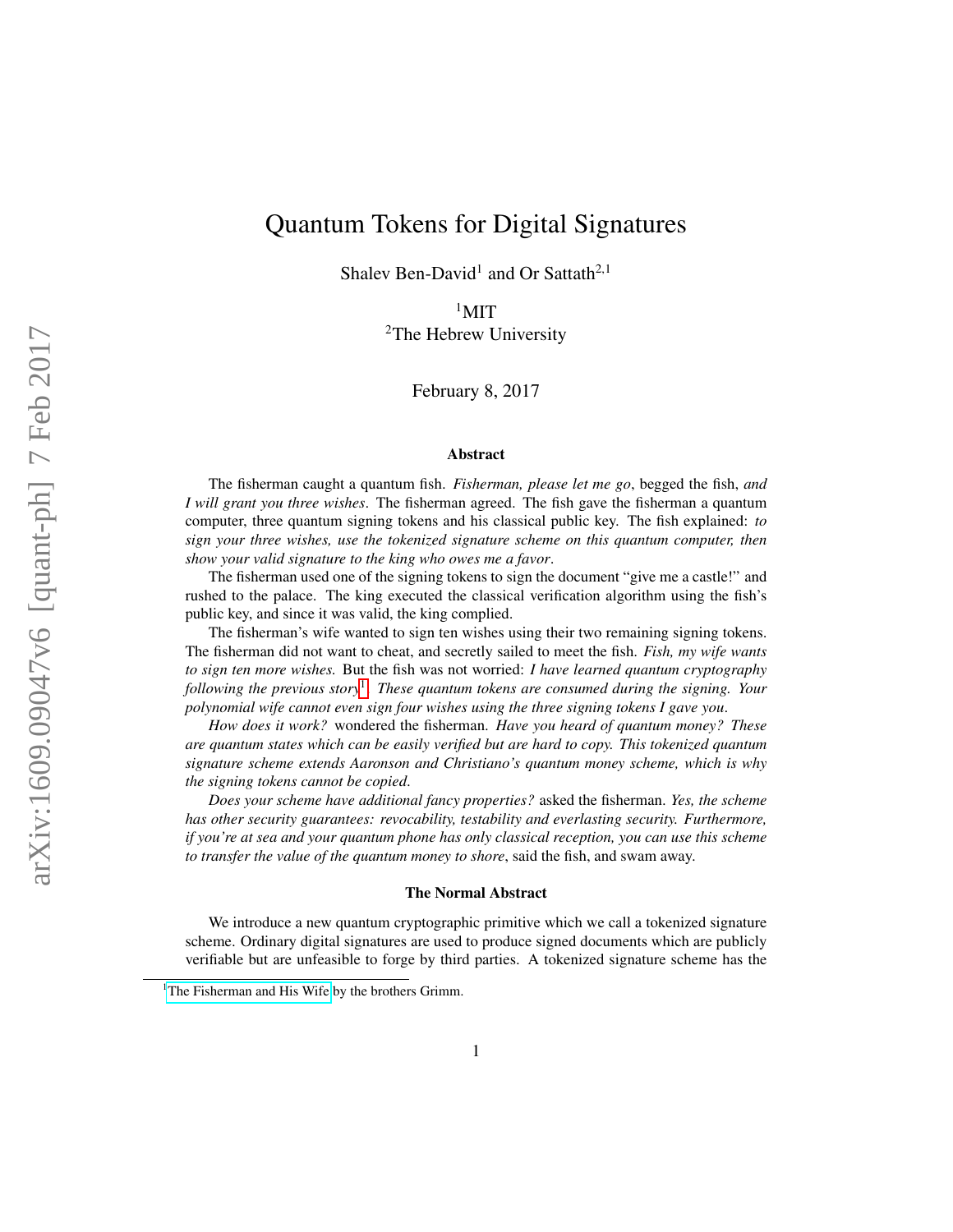# Quantum Tokens for Digital Signatures

Shalev Ben-David<sup>1</sup> and Or Sattath<sup>2,1</sup>

 $1$ MIT <sup>2</sup>The Hebrew University

February 8, 2017

#### Abstract

The fisherman caught a quantum fish. *Fisherman, please let me go*, begged the fish, *and I will grant you three wishes*. The fisherman agreed. The fish gave the fisherman a quantum computer, three quantum signing tokens and his classical public key. The fish explained: *to sign your three wishes, use the tokenized signature scheme on this quantum computer, then show your valid signature to the king who owes me a favor*.

The fisherman used one of the signing tokens to sign the document "give me a castle!" and rushed to the palace. The king executed the classical verification algorithm using the fish's public key, and since it was valid, the king complied.

The fisherman's wife wanted to sign ten wishes using their two remaining signing tokens. The fisherman did not want to cheat, and secretly sailed to meet the fish. *Fish, my wife wants to sign ten more wishes.* But the fish was not worried: *I have learned quantum cryptography following the previous story*[1](#page-0-0) . *These quantum tokens are consumed during the signing. Your polynomial wife cannot even sign four wishes using the three signing tokens I gave you*.

*How does it work?* wondered the fisherman. *Have you heard of quantum money? These are quantum states which can be easily verified but are hard to copy. This tokenized quantum signature scheme extends Aaronson and Christiano's quantum money scheme, which is why the signing tokens cannot be copied*.

*Does your scheme have additional fancy properties?* asked the fisherman. *Yes, the scheme has other security guarantees: revocability, testability and everlasting security. Furthermore, if you're at sea and your quantum phone has only classical reception, you can use this scheme to transfer the value of the quantum money to shore*, said the fish, and swam away.

#### The Normal Abstract

We introduce a new quantum cryptographic primitive which we call a tokenized signature scheme. Ordinary digital signatures are used to produce signed documents which are publicly verifiable but are unfeasible to forge by third parties. A tokenized signature scheme has the

<span id="page-0-0"></span><sup>&</sup>lt;sup>1</sup>[The Fisherman and His Wife](http://www.pitt.edu/~dash/grimm019.html) by the brothers Grimm.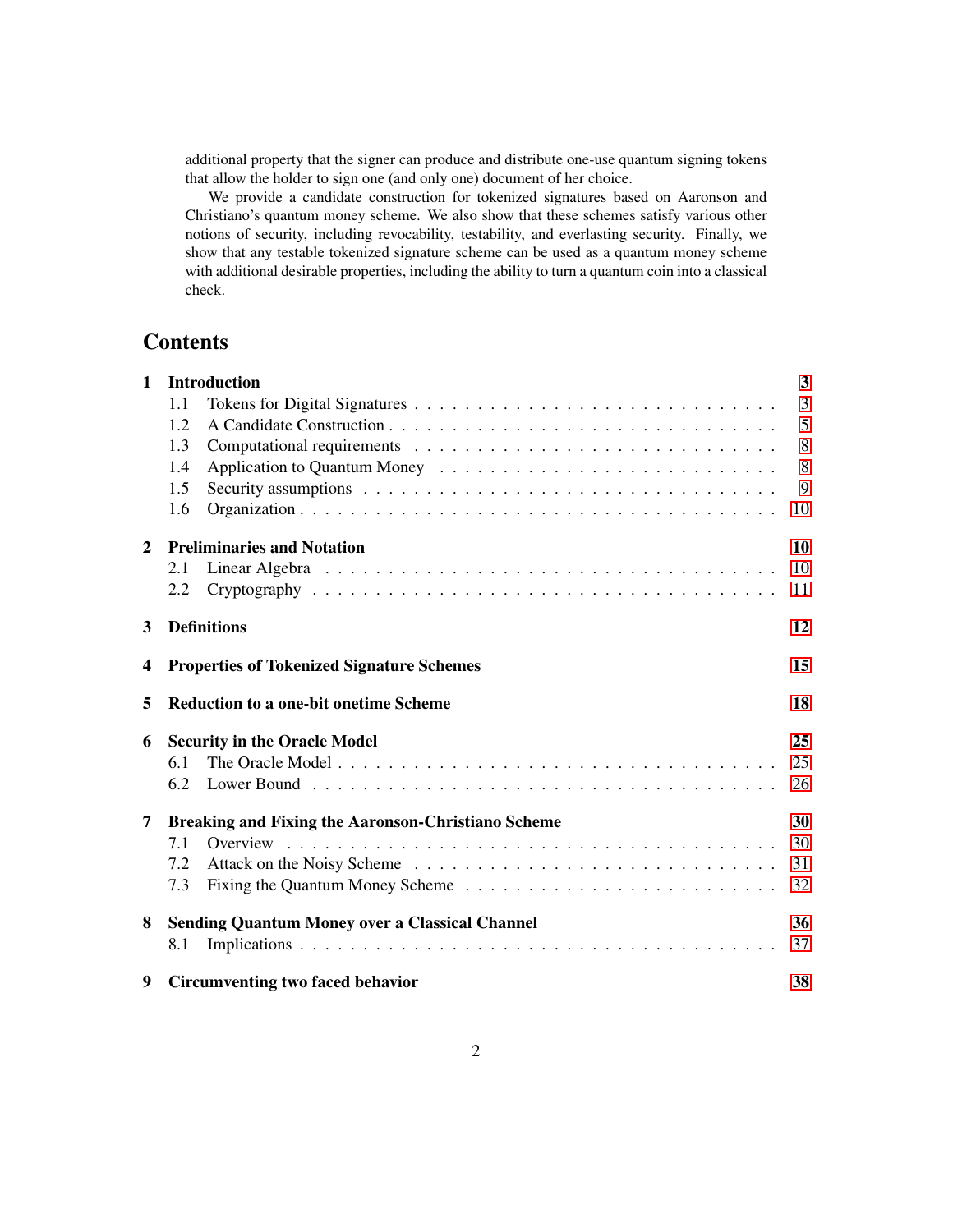<span id="page-1-0"></span>additional property that the signer can produce and distribute one-use quantum signing tokens that allow the holder to sign one (and only one) document of her choice.

We provide a candidate construction for tokenized signatures based on Aaronson and Christiano's quantum money scheme. We also show that these schemes satisfy various other notions of security, including revocability, testability, and everlasting security. Finally, we show that any testable tokenized signature scheme can be used as a quantum money scheme with additional desirable properties, including the ability to turn a quantum coin into a classical check.

## **Contents**

| $\mathbf{1}$ | <b>Introduction</b>                                       | $\mathbf{3}$   |
|--------------|-----------------------------------------------------------|----------------|
|              | 1.1                                                       | $\overline{3}$ |
|              | 1.2                                                       | 5              |
|              | 1.3                                                       | 8              |
|              | 1.4                                                       | 8              |
|              | 1.5                                                       | 9              |
|              | 1.6                                                       | 10             |
| $\mathbf{2}$ | <b>Preliminaries and Notation</b>                         | 10             |
|              | 2.1                                                       | 10             |
|              | 2.2                                                       | 11             |
| 3            | <b>Definitions</b>                                        | 12             |
| 4            | <b>Properties of Tokenized Signature Schemes</b>          | 15             |
| 5            | <b>Reduction to a one-bit onetime Scheme</b>              | 18             |
| 6            | <b>Security in the Oracle Model</b>                       | 25             |
|              | 6.1                                                       | 25             |
|              | 6.2                                                       | 26             |
| 7            | <b>Breaking and Fixing the Aaronson-Christiano Scheme</b> | 30             |
|              | 7.1<br>Overview                                           | 30             |
|              | 7.2                                                       | 31             |
|              | 7.3                                                       | 32             |
| 8            | <b>Sending Quantum Money over a Classical Channel</b>     | 36             |
|              | 8.1                                                       | 37             |
| 9            | <b>Circumventing two faced behavior</b>                   | 38             |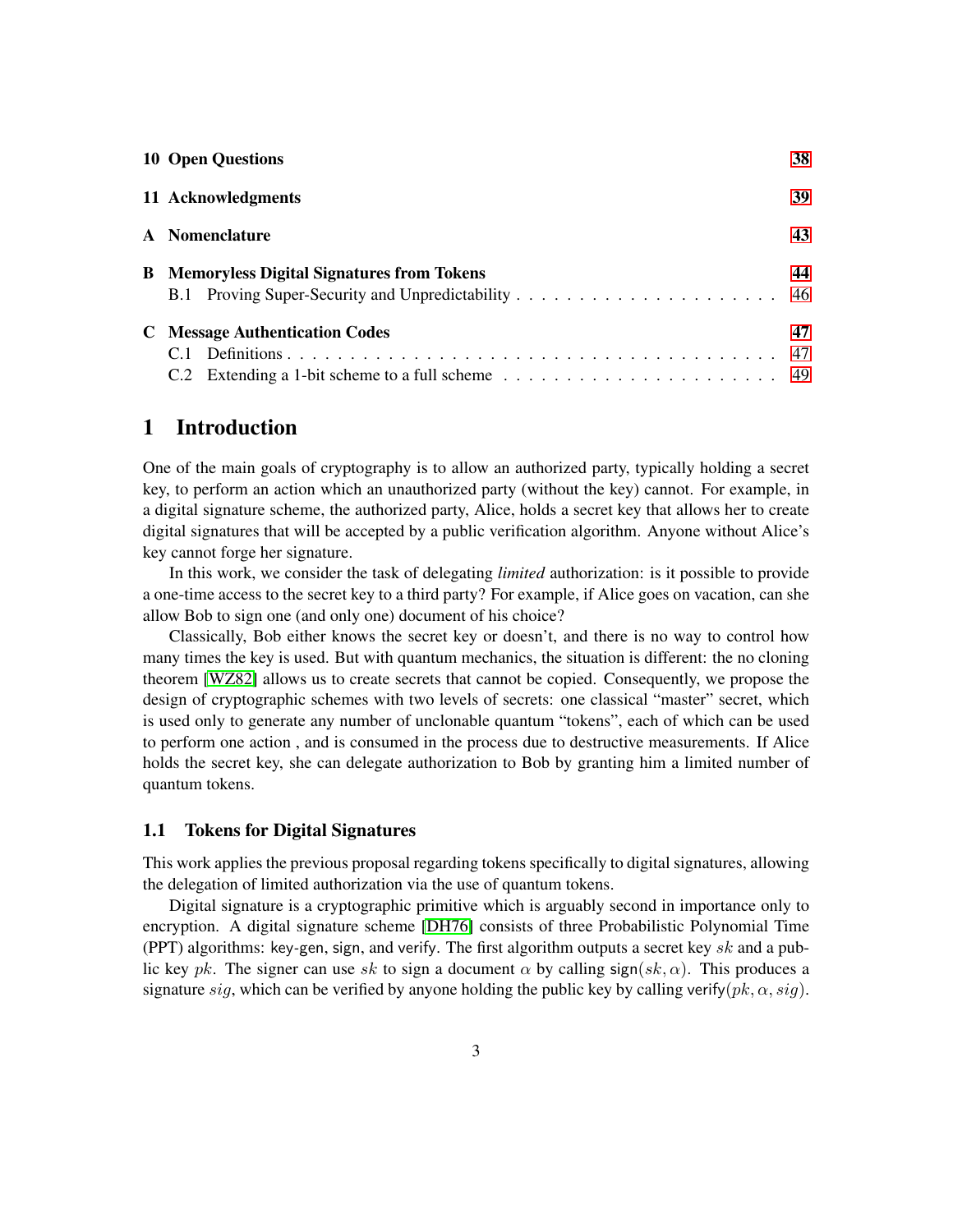<span id="page-2-2"></span>

| <b>10 Open Questions</b>                           | 38        |  |
|----------------------------------------------------|-----------|--|
| 11 Acknowledgments                                 |           |  |
| 43<br>A Nomenclature                               |           |  |
| <b>B</b> Memoryless Digital Signatures from Tokens | 44        |  |
| <b>C</b> Message Authentication Codes              | 47<br>-47 |  |

### <span id="page-2-0"></span>1 Introduction

One of the main goals of cryptography is to allow an authorized party, typically holding a secret key, to perform an action which an unauthorized party (without the key) cannot. For example, in a digital signature scheme, the authorized party, Alice, holds a secret key that allows her to create digital signatures that will be accepted by a public verification algorithm. Anyone without Alice's key cannot forge her signature.

In this work, we consider the task of delegating *limited* authorization: is it possible to provide a one-time access to the secret key to a third party? For example, if Alice goes on vacation, can she allow Bob to sign one (and only one) document of his choice?

Classically, Bob either knows the secret key or doesn't, and there is no way to control how many times the key is used. But with quantum mechanics, the situation is different: the no cloning theorem [\[WZ82\]](#page-42-1) allows us to create secrets that cannot be copied. Consequently, we propose the design of cryptographic schemes with two levels of secrets: one classical "master" secret, which is used only to generate any number of unclonable quantum "tokens", each of which can be used to perform one action , and is consumed in the process due to destructive measurements. If Alice holds the secret key, she can delegate authorization to Bob by granting him a limited number of quantum tokens.

#### <span id="page-2-1"></span>1.1 Tokens for Digital Signatures

This work applies the previous proposal regarding tokens specifically to digital signatures, allowing the delegation of limited authorization via the use of quantum tokens.

Digital signature is a cryptographic primitive which is arguably second in importance only to encryption. A digital signature scheme [\[DH76\]](#page-40-0) consists of three Probabilistic Polynomial Time (PPT) algorithms: key*-*gen, sign, and verify. The first algorithm outputs a secret key *sk* and a public key *pk*. The signer can use *sk* to sign a document  $\alpha$  by calling sign( $sk, \alpha$ ). This produces a signature *sig*, which can be verified by anyone holding the public key by calling verify $(pk, \alpha, sig)$ .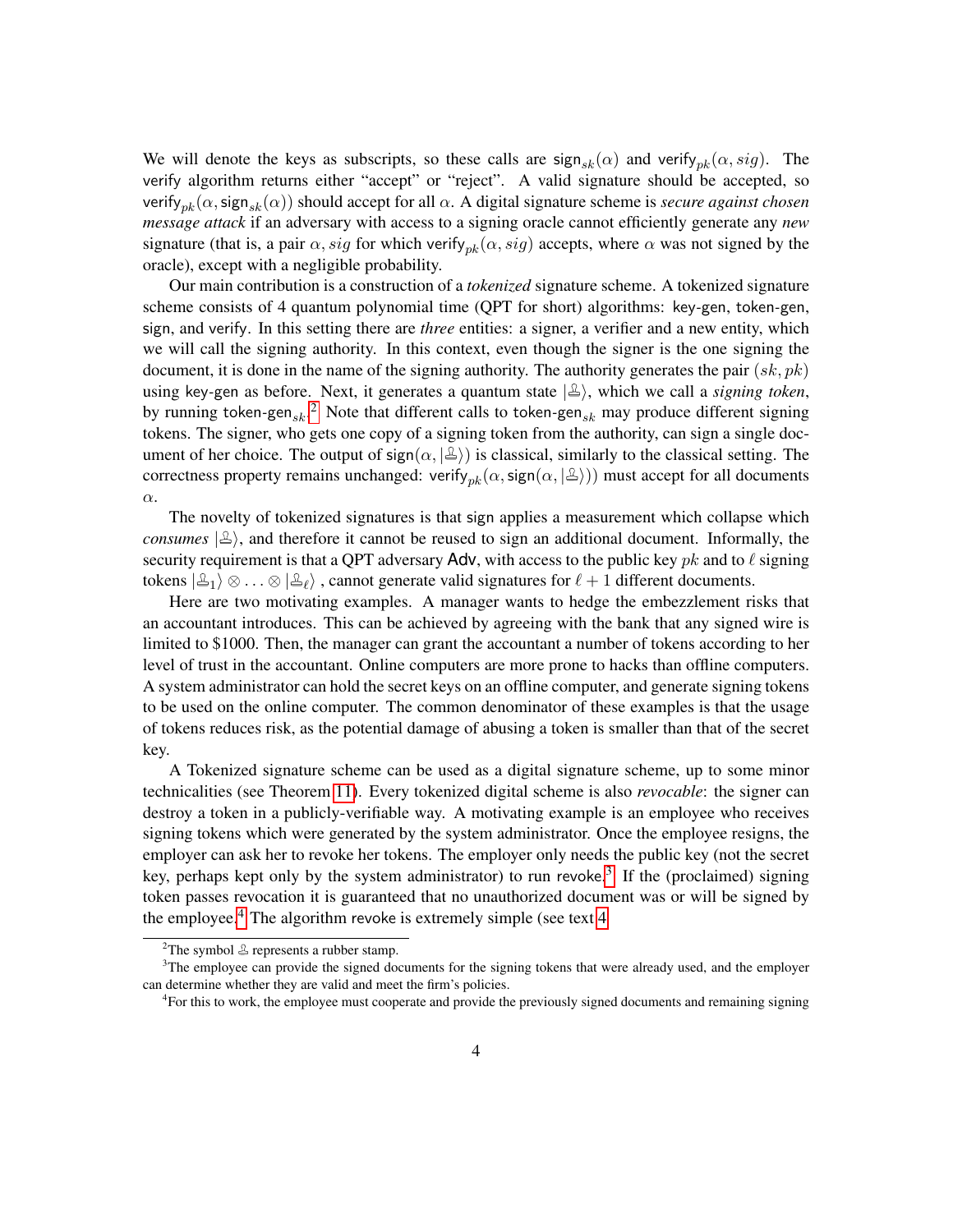We will denote the keys as subscripts, so these calls are  $sign_{sk}(\alpha)$  and verify<sub>pk</sub> $(\alpha, sig)$ . The verify algorithm returns either "accept" or "reject". A valid signature should be accepted, so verify*pk*(*α,*sign*sk*(*α*)) should accept for all *α*. A digital signature scheme is *secure against chosen message attack* if an adversary with access to a signing oracle cannot efficiently generate any *new* signature (that is, a pair  $\alpha$ , *sig* for which verify<sub>pk</sub> $(\alpha, sig)$  accepts, where  $\alpha$  was not signed by the oracle), except with a negligible probability.

Our main contribution is a construction of a *tokenized* signature scheme. A tokenized signature scheme consists of 4 quantum polynomial time (QPT for short) algorithms: key*-*gen, token*-*gen, sign, and verify. In this setting there are *three* entities: a signer, a verifier and a new entity, which we will call the signing authority. In this context, even though the signer is the one signing the document, it is done in the name of the signing authority. The authority generates the pair (*sk, pk*) using key-gen as before. Next, it generates a quantum state  $|\triangle\rangle$ , which we call a *signing token*, by running token*-*gen*sk*. [2](#page-3-0) Note that different calls to token*-*gen*sk* may produce different signing tokens. The signer, who gets one copy of a signing token from the authority, can sign a single document of her choice. The output of sign( $\alpha$ ,  $|\mathcal{L}\rangle$ ) is classical, similarly to the classical setting. The correctness property remains unchanged: verify<sub>pk</sub>( $\alpha$ , sign( $\alpha$ ,  $|\mathcal{L}\rangle$ )) must accept for all documents *α*.

The novelty of tokenized signatures is that sign applies a measurement which collapse which *consumes*  $\ket{\mathcal{L}}$ , and therefore it cannot be reused to sign an additional document. Informally, the security requirement is that a QPT adversary  $\Delta$ dv, with access to the public key *pk* and to  $\ell$  signing tokens  $\ket{\mathcal{Z}_1}\otimes\ldots\otimes\ket{\mathcal{Z}_\ell}$ , cannot generate valid signatures for  $\ell + 1$  different documents.

Here are two motivating examples. A manager wants to hedge the embezzlement risks that an accountant introduces. This can be achieved by agreeing with the bank that any signed wire is limited to \$1000. Then, the manager can grant the accountant a number of tokens according to her level of trust in the accountant. Online computers are more prone to hacks than offline computers. A system administrator can hold the secret keys on an offline computer, and generate signing tokens to be used on the online computer. The common denominator of these examples is that the usage of tokens reduces risk, as the potential damage of abusing a token is smaller than that of the secret key.

A Tokenized signature scheme can be used as a digital signature scheme, up to some minor technicalities (see Theorem [11\)](#page-15-0). Every tokenized digital scheme is also *revocable*: the signer can destroy a token in a publicly-verifiable way. A motivating example is an employee who receives signing tokens which were generated by the system administrator. Once the employee resigns, the employer can ask her to revoke her tokens. The employer only needs the public key (not the secret key, perhaps kept only by the system administrator) to run revoke. [3](#page-3-1) If the (proclaimed) signing token passes revocation it is guaranteed that no unauthorized document was or will be signed by the employee. $4$  The algorithm revoke is extremely simple (see text [4](#page-14-0)

<span id="page-3-1"></span><span id="page-3-0"></span><sup>&</sup>lt;sup>2</sup>The symbol  $\triangle$  represents a rubber stamp.

<sup>&</sup>lt;sup>3</sup>The employee can provide the signed documents for the signing tokens that were already used, and the employer can determine whether they are valid and meet the firm's policies.

<span id="page-3-2"></span><sup>4</sup> For this to work, the employee must cooperate and provide the previously signed documents and remaining signing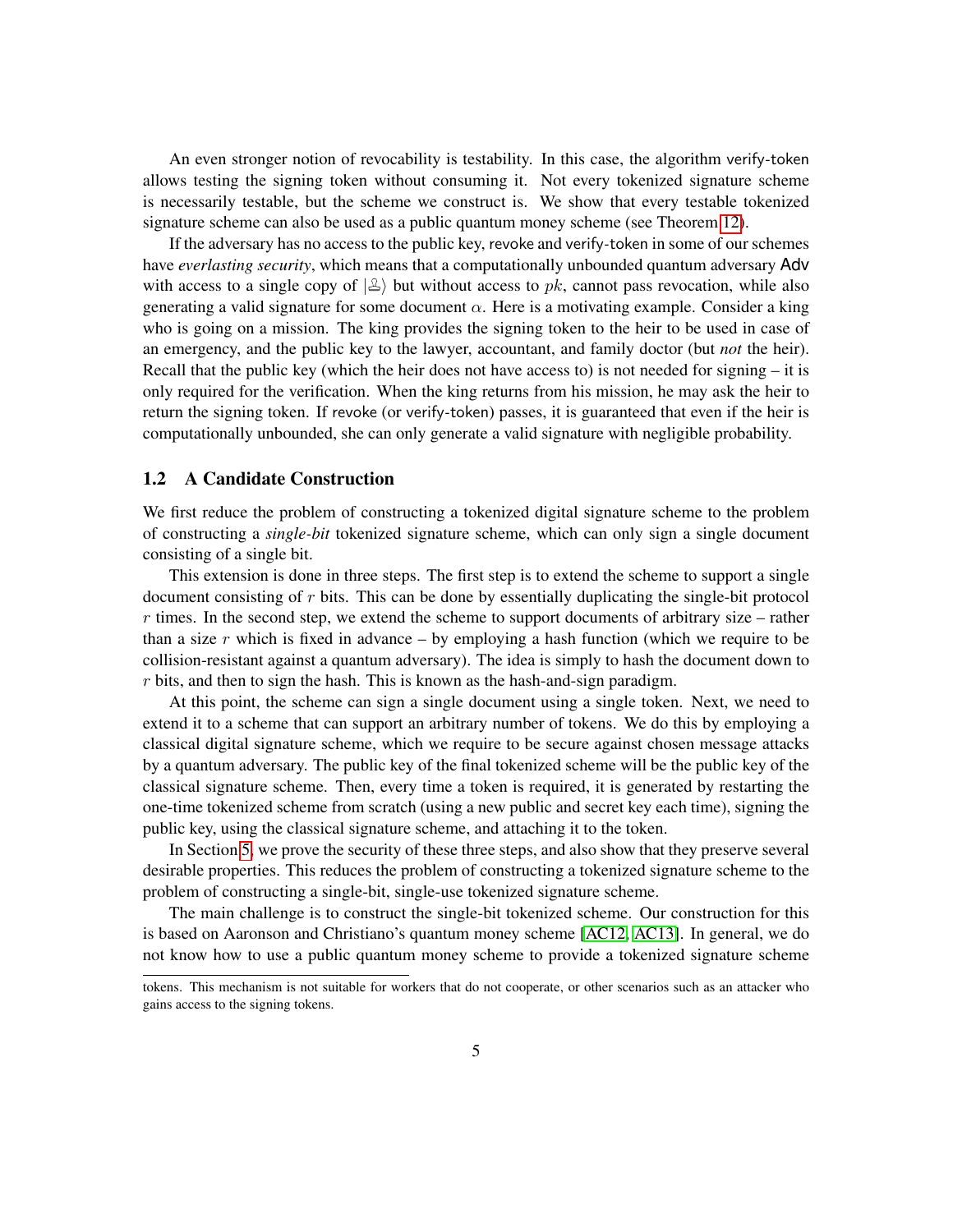An even stronger notion of revocability is testability. In this case, the algorithm verify*-*token allows testing the signing token without consuming it. Not every tokenized signature scheme is necessarily testable, but the scheme we construct is. We show that every testable tokenized signature scheme can also be used as a public quantum money scheme (see Theorem [12\)](#page-15-1).

If the adversary has no access to the public key, revoke and verify*-*token in some of our schemes have *everlasting security*, which means that a computationally unbounded quantum adversary Adv with access to a single copy of  $\mathcal{L}$  but without access to *pk*, cannot pass revocation, while also generating a valid signature for some document  $\alpha$ . Here is a motivating example. Consider a king who is going on a mission. The king provides the signing token to the heir to be used in case of an emergency, and the public key to the lawyer, accountant, and family doctor (but *not* the heir). Recall that the public key (which the heir does not have access to) is not needed for signing – it is only required for the verification. When the king returns from his mission, he may ask the heir to return the signing token. If revoke (or verify*-*token) passes, it is guaranteed that even if the heir is computationally unbounded, she can only generate a valid signature with negligible probability.

#### <span id="page-4-0"></span>1.2 A Candidate Construction

We first reduce the problem of constructing a tokenized digital signature scheme to the problem of constructing a *single-bit* tokenized signature scheme, which can only sign a single document consisting of a single bit.

This extension is done in three steps. The first step is to extend the scheme to support a single document consisting of *r* bits. This can be done by essentially duplicating the single-bit protocol *r* times. In the second step, we extend the scheme to support documents of arbitrary size – rather than a size  $r$  which is fixed in advance – by employing a hash function (which we require to be collision-resistant against a quantum adversary). The idea is simply to hash the document down to *r* bits, and then to sign the hash. This is known as the hash-and-sign paradigm.

At this point, the scheme can sign a single document using a single token. Next, we need to extend it to a scheme that can support an arbitrary number of tokens. We do this by employing a classical digital signature scheme, which we require to be secure against chosen message attacks by a quantum adversary. The public key of the final tokenized scheme will be the public key of the classical signature scheme. Then, every time a token is required, it is generated by restarting the one-time tokenized scheme from scratch (using a new public and secret key each time), signing the public key, using the classical signature scheme, and attaching it to the token.

In Section [5,](#page-17-0) we prove the security of these three steps, and also show that they preserve several desirable properties. This reduces the problem of constructing a tokenized signature scheme to the problem of constructing a single-bit, single-use tokenized signature scheme.

The main challenge is to construct the single-bit tokenized scheme. Our construction for this is based on Aaronson and Christiano's quantum money scheme [\[AC12,](#page-38-1) [AC13\]](#page-38-2). In general, we do not know how to use a public quantum money scheme to provide a tokenized signature scheme

tokens. This mechanism is not suitable for workers that do not cooperate, or other scenarios such as an attacker who gains access to the signing tokens.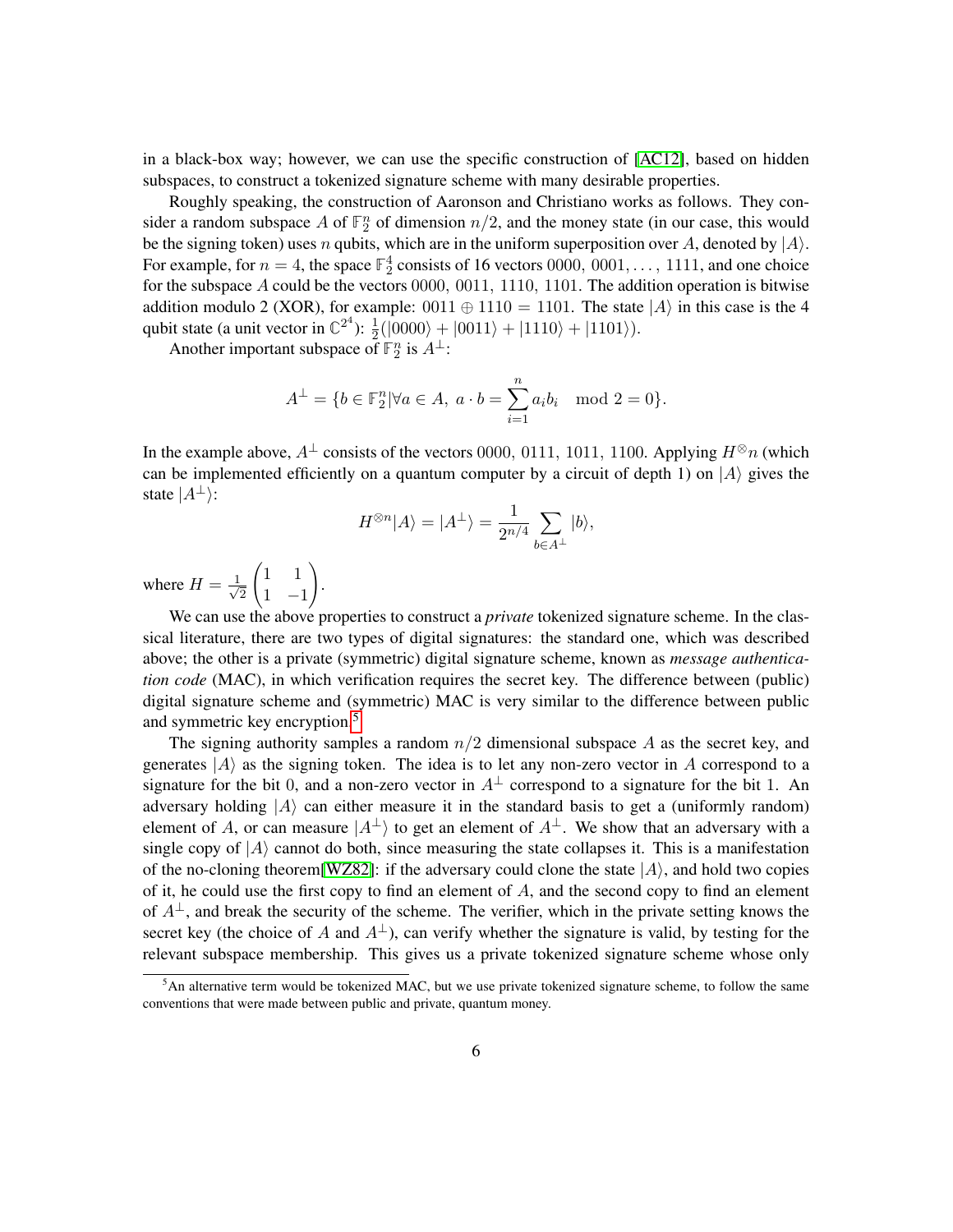<span id="page-5-1"></span>in a black-box way; however, we can use the specific construction of [\[AC12\]](#page-38-1), based on hidden subspaces, to construct a tokenized signature scheme with many desirable properties.

Roughly speaking, the construction of Aaronson and Christiano works as follows. They consider a random subspace A of  $\mathbb{F}_2^n$  of dimension  $n/2$ , and the money state (in our case, this would be the signing token) uses *n* qubits, which are in the uniform superposition over *A*, denoted by  $|A\rangle$ . For example, for  $n = 4$ , the space  $\mathbb{F}_2^4$  consists of 16 vectors 0000, 0001, ..., 1111, and one choice for the subspace *A* could be the vectors 0000*,* 0011*,* 1110*,* 1101. The addition operation is bitwise addition modulo 2 (XOR), for example:  $0011 \oplus 1110 = 1101$ . The state  $|A\rangle$  in this case is the 4 qubit state (a unit vector in  $\mathbb{C}^{2^4}$ ):  $\frac{1}{2}(|0000\rangle + |0011\rangle + |1110\rangle + |1101\rangle)$ .

Another important subspace of  $\mathbb{F}_2^n$  is  $A^{\perp}$ :

$$
A^{\perp} = \{b \in \mathbb{F}_2^n | \forall a \in A, \ a \cdot b = \sum_{i=1}^n a_i b_i \mod 2 = 0\}.
$$

In the example above,  $A^{\perp}$  consists of the vectors 0000, 0111, 1011, 1100. Applying  $H^{\otimes}n$  (which can be implemented efficiently on a quantum computer by a circuit of depth 1) on  $|A\rangle$  gives the state  $|A^{\perp}\rangle$ :

$$
H^{\otimes n} |A\rangle = |A^{\perp}\rangle = \frac{1}{2^{n/4}} \sum_{b \in A^{\perp}} |b\rangle,
$$

where  $H = \frac{1}{\sqrt{2}}$ 2  $\begin{pmatrix} 1 & 1 \end{pmatrix}$ 1 −1  $\setminus$ .

We can use the above properties to construct a *private* tokenized signature scheme. In the classical literature, there are two types of digital signatures: the standard one, which was described above; the other is a private (symmetric) digital signature scheme, known as *message authentication code* (MAC), in which verification requires the secret key. The difference between (public) digital signature scheme and (symmetric) MAC is very similar to the difference between public and symmetric key encryption.[5](#page-5-0)

The signing authority samples a random *n/*2 dimensional subspace *A* as the secret key, and generates  $|A\rangle$  as the signing token. The idea is to let any non-zero vector in *A* correspond to a signature for the bit 0, and a non-zero vector in  $A^{\perp}$  correspond to a signature for the bit 1. An adversary holding  $|A\rangle$  can either measure it in the standard basis to get a (uniformly random) element of *A*, or can measure  $|A^{\perp}\rangle$  to get an element of  $A^{\perp}$ . We show that an adversary with a single copy of  $|A\rangle$  cannot do both, since measuring the state collapses it. This is a manifestation of the no-cloning theorem<sup>[\[WZ82\]](#page-42-1)</sup>: if the adversary could clone the state  $|A\rangle$ , and hold two copies of it, he could use the first copy to find an element of *A*, and the second copy to find an element of  $A^{\perp}$ , and break the security of the scheme. The verifier, which in the private setting knows the secret key (the choice of *A* and  $A^{\perp}$ ), can verify whether the signature is valid, by testing for the relevant subspace membership. This gives us a private tokenized signature scheme whose only

<span id="page-5-0"></span> $<sup>5</sup>$ An alternative term would be tokenized MAC, but we use private tokenized signature scheme, to follow the same</sup> conventions that were made between public and private, quantum money.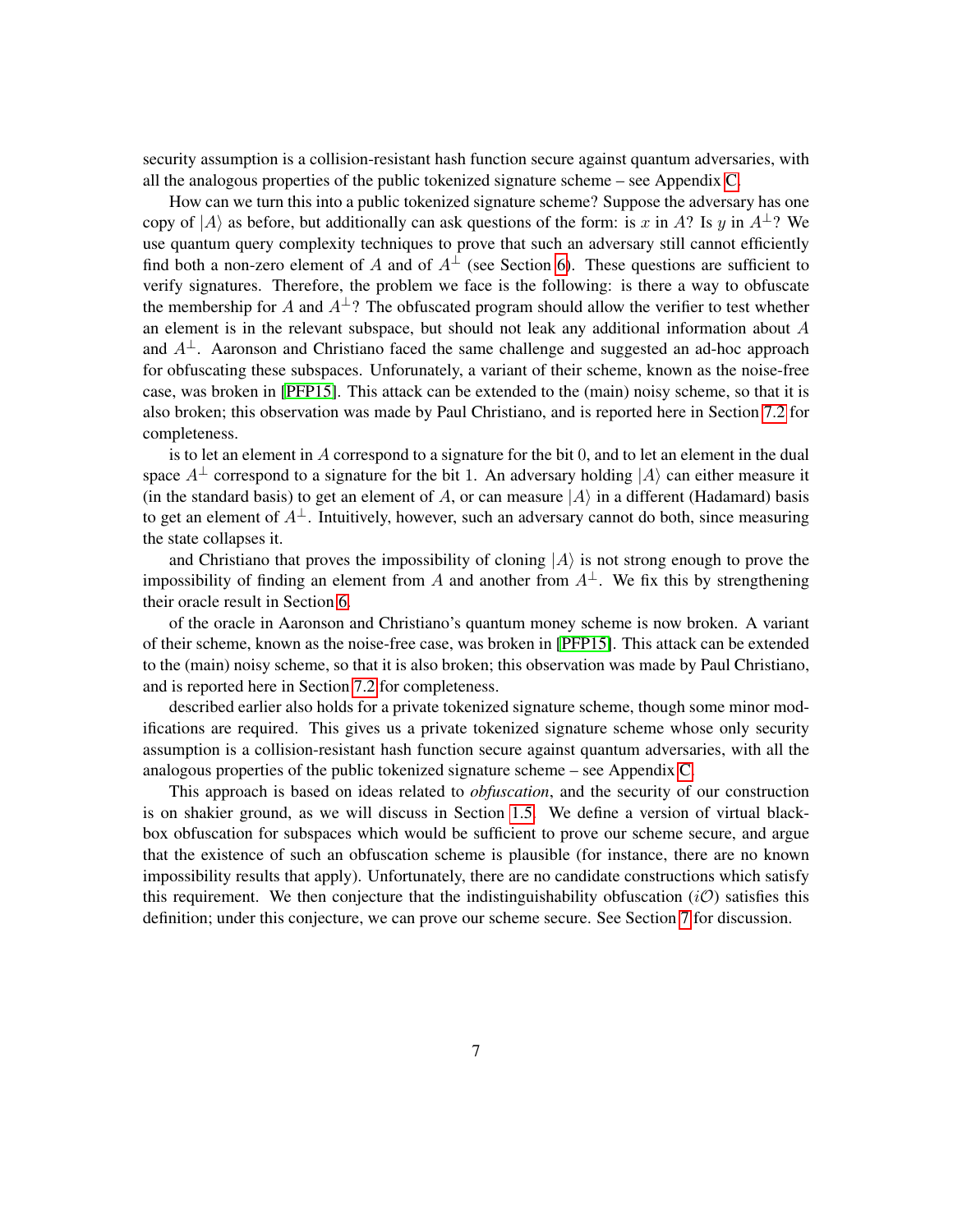security assumption is a collision-resistant hash function secure against quantum adversaries, with all the analogous properties of the public tokenized signature scheme – see Appendix [C.](#page-46-0)

How can we turn this into a public tokenized signature scheme? Suppose the adversary has one copy of  $|A\rangle$  as before, but additionally can ask questions of the form: is *x* in *A*? Is *y* in  $A^{\perp}$ ? We use quantum query complexity techniques to prove that such an adversary still cannot efficiently find both a non-zero element of *A* and of  $A^{\perp}$  (see Section [6\)](#page-24-0). These questions are sufficient to verify signatures. Therefore, the problem we face is the following: is there a way to obfuscate the membership for *A* and  $A^{\perp}$ ? The obfuscated program should allow the verifier to test whether an element is in the relevant subspace, but should not leak any additional information about *A* and  $A^{\perp}$ . Aaronson and Christiano faced the same challenge and suggested an ad-hoc approach for obfuscating these subspaces. Unforunately, a variant of their scheme, known as the noise-free case, was broken in [\[PFP15\]](#page-41-0). This attack can be extended to the (main) noisy scheme, so that it is also broken; this observation was made by Paul Christiano, and is reported here in Section [7.2](#page-30-0) for completeness.

is to let an element in *A* correspond to a signature for the bit 0, and to let an element in the dual space  $A^{\perp}$  correspond to a signature for the bit 1. An adversary holding  $|A\rangle$  can either measure it (in the standard basis) to get an element of *A*, or can measure  $|A\rangle$  in a different (Hadamard) basis to get an element of  $A^{\perp}$ . Intuitively, however, such an adversary cannot do both, since measuring the state collapses it.

and Christiano that proves the impossibility of cloning  $|A\rangle$  is not strong enough to prove the impossibility of finding an element from *A* and another from  $A^{\perp}$ . We fix this by strengthening their oracle result in Section [6.](#page-24-0)

of the oracle in Aaronson and Christiano's quantum money scheme is now broken. A variant of their scheme, known as the noise-free case, was broken in [\[PFP15\]](#page-41-0). This attack can be extended to the (main) noisy scheme, so that it is also broken; this observation was made by Paul Christiano, and is reported here in Section [7.2](#page-30-0) for completeness.

described earlier also holds for a private tokenized signature scheme, though some minor modifications are required. This gives us a private tokenized signature scheme whose only security assumption is a collision-resistant hash function secure against quantum adversaries, with all the analogous properties of the public tokenized signature scheme – see Appendix [C.](#page-46-0)

This approach is based on ideas related to *obfuscation*, and the security of our construction is on shakier ground, as we will discuss in Section [1.5.](#page-8-0) We define a version of virtual blackbox obfuscation for subspaces which would be sufficient to prove our scheme secure, and argue that the existence of such an obfuscation scheme is plausible (for instance, there are no known impossibility results that apply). Unfortunately, there are no candidate constructions which satisfy this requirement. We then conjecture that the indistinguishability obfuscation  $(i\mathcal{O})$  satisfies this definition; under this conjecture, we can prove our scheme secure. See Section [7](#page-29-0) for discussion.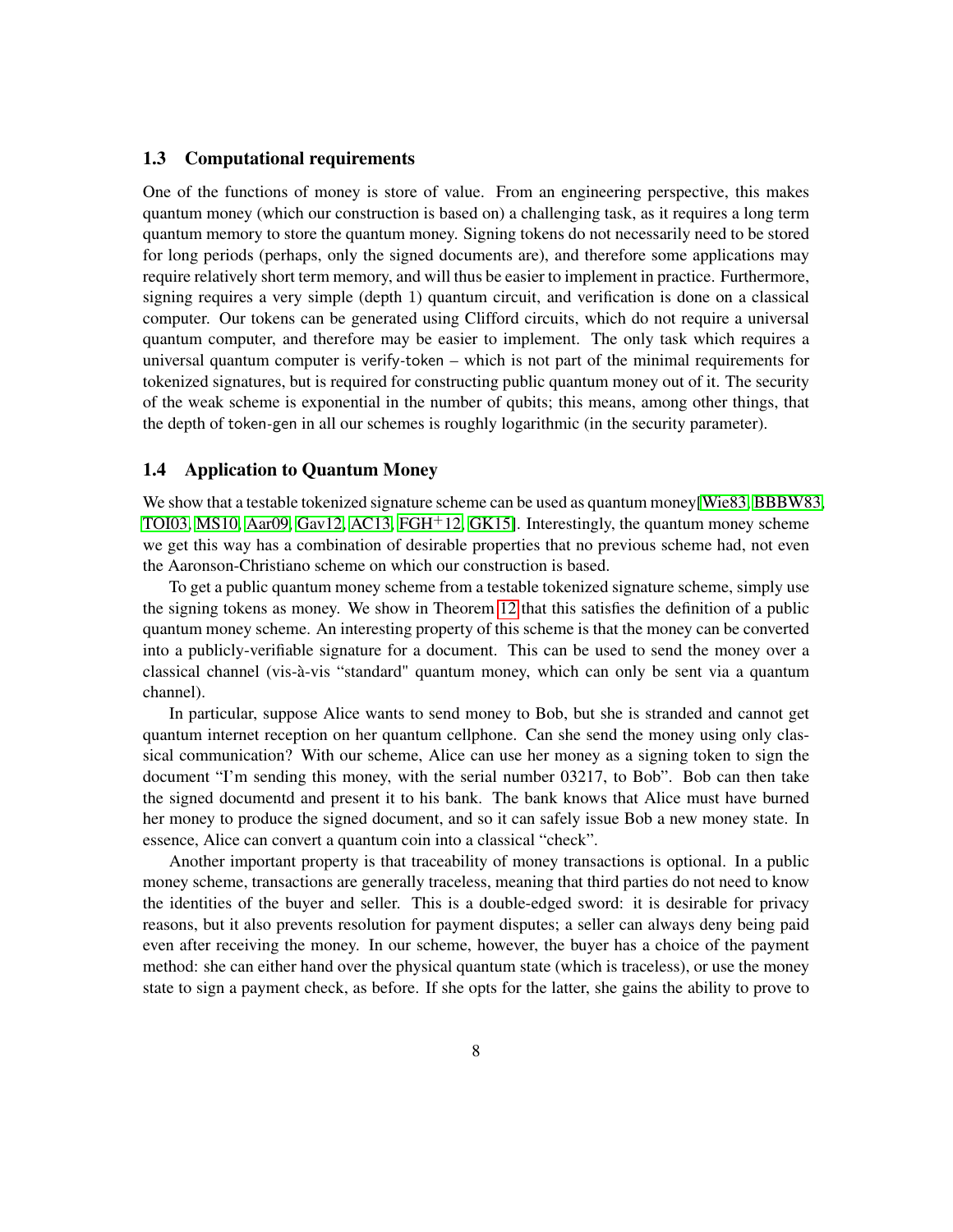#### <span id="page-7-0"></span>1.3 Computational requirements

One of the functions of money is store of value. From an engineering perspective, this makes quantum money (which our construction is based on) a challenging task, as it requires a long term quantum memory to store the quantum money. Signing tokens do not necessarily need to be stored for long periods (perhaps, only the signed documents are), and therefore some applications may require relatively short term memory, and will thus be easier to implement in practice. Furthermore, signing requires a very simple (depth 1) quantum circuit, and verification is done on a classical computer. Our tokens can be generated using Clifford circuits, which do not require a universal quantum computer, and therefore may be easier to implement. The only task which requires a universal quantum computer is verify*-*token – which is not part of the minimal requirements for tokenized signatures, but is required for constructing public quantum money out of it. The security of the weak scheme is exponential in the number of qubits; this means, among other things, that the depth of token*-*gen in all our schemes is roughly logarithmic (in the security parameter).

#### <span id="page-7-1"></span>1.4 Application to Quantum Money

We show that a testable tokenized signature scheme can be used as quantum money[\[Wie83,](#page-42-2) [BBBW83,](#page-38-3) [TOI03,](#page-41-1) [MS10,](#page-41-2) [Aar09,](#page-38-4) [Gav12,](#page-40-1) [AC13,](#page-38-2) [FGH](#page-40-2)<sup>+</sup>12, [GK15\]](#page-40-3). Interestingly, the quantum money scheme we get this way has a combination of desirable properties that no previous scheme had, not even the Aaronson-Christiano scheme on which our construction is based.

To get a public quantum money scheme from a testable tokenized signature scheme, simply use the signing tokens as money. We show in Theorem [12](#page-15-1) that this satisfies the definition of a public quantum money scheme. An interesting property of this scheme is that the money can be converted into a publicly-verifiable signature for a document. This can be used to send the money over a classical channel (vis-à-vis "standard" quantum money, which can only be sent via a quantum channel).

In particular, suppose Alice wants to send money to Bob, but she is stranded and cannot get quantum internet reception on her quantum cellphone. Can she send the money using only classical communication? With our scheme, Alice can use her money as a signing token to sign the document "I'm sending this money, with the serial number 03217, to Bob". Bob can then take the signed documentd and present it to his bank. The bank knows that Alice must have burned her money to produce the signed document, and so it can safely issue Bob a new money state. In essence, Alice can convert a quantum coin into a classical "check".

Another important property is that traceability of money transactions is optional. In a public money scheme, transactions are generally traceless, meaning that third parties do not need to know the identities of the buyer and seller. This is a double-edged sword: it is desirable for privacy reasons, but it also prevents resolution for payment disputes; a seller can always deny being paid even after receiving the money. In our scheme, however, the buyer has a choice of the payment method: she can either hand over the physical quantum state (which is traceless), or use the money state to sign a payment check, as before. If she opts for the latter, she gains the ability to prove to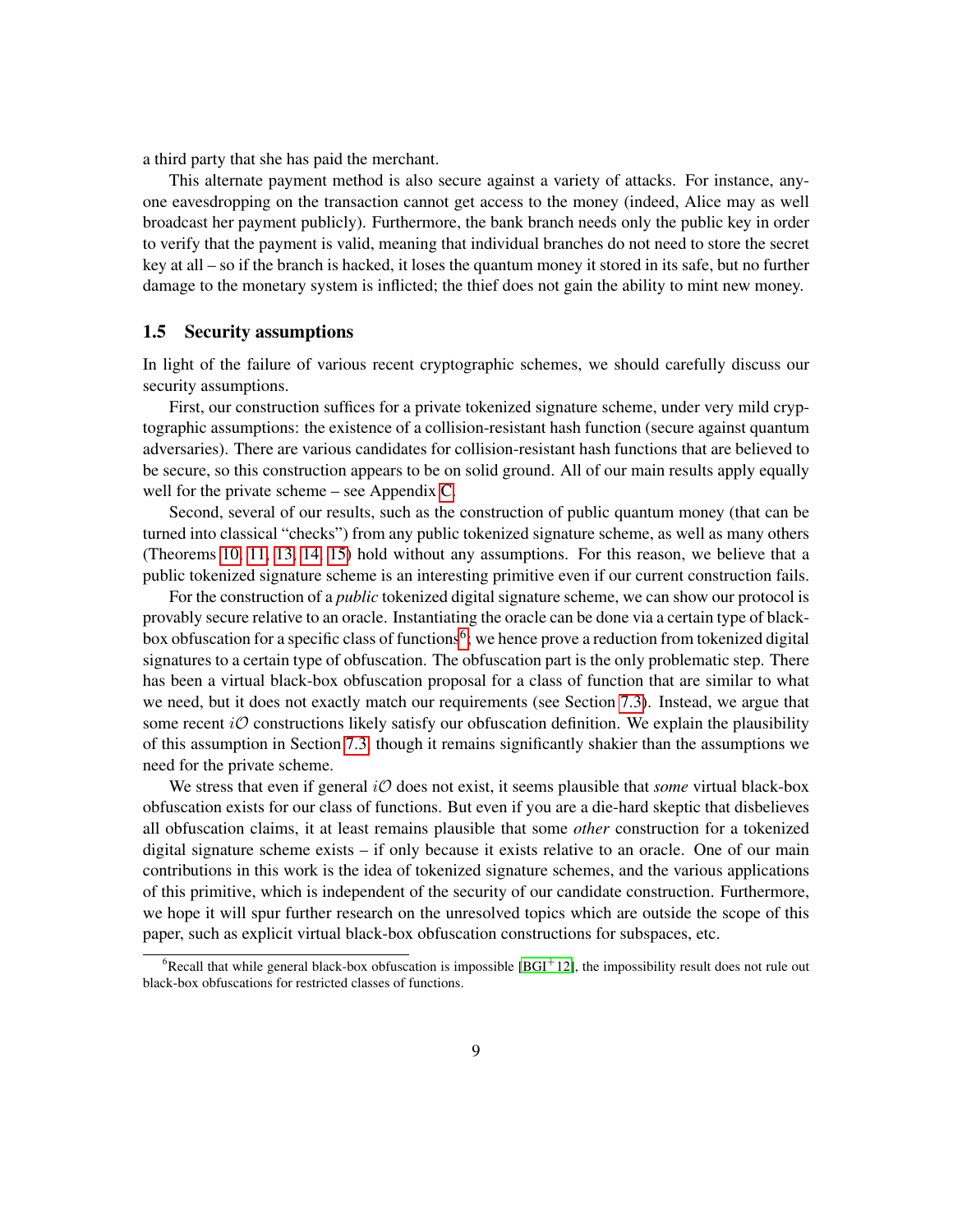<span id="page-8-2"></span>a third party that she has paid the merchant.

This alternate payment method is also secure against a variety of attacks. For instance, anyone eavesdropping on the transaction cannot get access to the money (indeed, Alice may as well broadcast her payment publicly). Furthermore, the bank branch needs only the public key in order to verify that the payment is valid, meaning that individual branches do not need to store the secret key at all – so if the branch is hacked, it loses the quantum money it stored in its safe, but no further damage to the monetary system is inflicted; the thief does not gain the ability to mint new money.

#### <span id="page-8-0"></span>1.5 Security assumptions

In light of the failure of various recent cryptographic schemes, we should carefully discuss our security assumptions.

First, our construction suffices for a private tokenized signature scheme, under very mild cryptographic assumptions: the existence of a collision-resistant hash function (secure against quantum adversaries). There are various candidates for collision-resistant hash functions that are believed to be secure, so this construction appears to be on solid ground. All of our main results apply equally well for the private scheme – see Appendix [C.](#page-46-0)

Second, several of our results, such as the construction of public quantum money (that can be turned into classical "checks") from any public tokenized signature scheme, as well as many others (Theorems [10,](#page-14-1) [11,](#page-15-0) [13,](#page-17-1) [14,](#page-22-0) [15\)](#page-23-0) hold without any assumptions. For this reason, we believe that a public tokenized signature scheme is an interesting primitive even if our current construction fails.

For the construction of a *public* tokenized digital signature scheme, we can show our protocol is provably secure relative to an oracle. Instantiating the oracle can be done via a certain type of black-box obfuscation for a specific class of functions<sup>[6](#page-8-1)</sup>; we hence prove a reduction from tokenized digital signatures to a certain type of obfuscation. The obfuscation part is the only problematic step. There has been a virtual black-box obfuscation proposal for a class of function that are similar to what we need, but it does not exactly match our requirements (see Section [7.3\)](#page-31-0). Instead, we argue that some recent  $i\mathcal{O}$  constructions likely satisfy our obfuscation definition. We explain the plausibility of this assumption in Section [7.3,](#page-31-0) though it remains significantly shakier than the assumptions we need for the private scheme.

We stress that even if general *iO* does not exist, it seems plausible that *some* virtual black-box obfuscation exists for our class of functions. But even if you are a die-hard skeptic that disbelieves all obfuscation claims, it at least remains plausible that some *other* construction for a tokenized digital signature scheme exists – if only because it exists relative to an oracle. One of our main contributions in this work is the idea of tokenized signature schemes, and the various applications of this primitive, which is independent of the security of our candidate construction. Furthermore, we hope it will spur further research on the unresolved topics which are outside the scope of this paper, such as explicit virtual black-box obfuscation constructions for subspaces, etc.

<span id="page-8-1"></span> ${}^{6}$ Recall that while general black-box obfuscation is impossible [\[BGI](#page-39-0)<sup>+</sup>12], the impossibility result does not rule out black-box obfuscations for restricted classes of functions.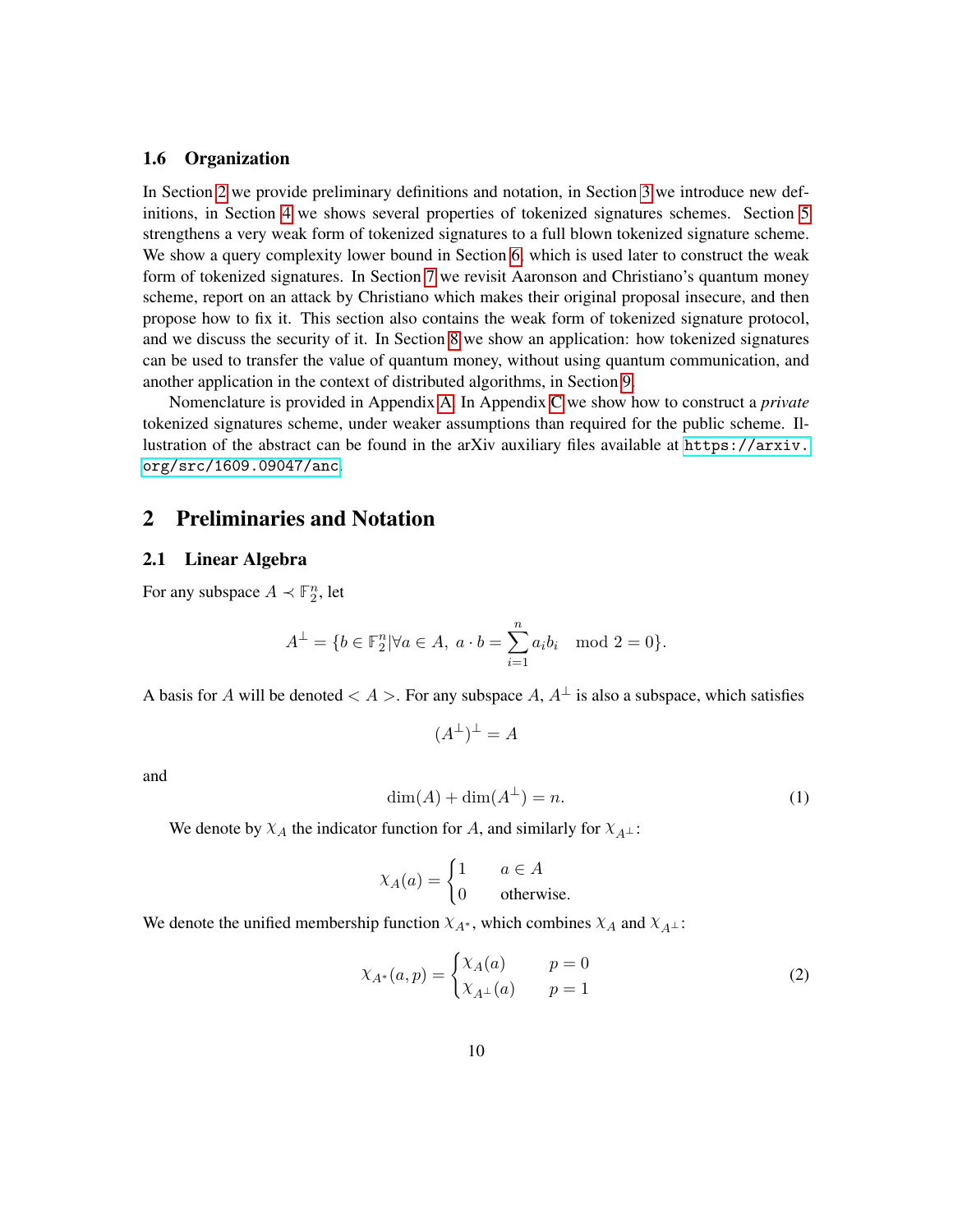#### <span id="page-9-5"></span><span id="page-9-0"></span>1.6 Organization

In Section [2](#page-9-1) we provide preliminary definitions and notation, in Section [3](#page-11-0) we introduce new definitions, in Section [4](#page-14-0) we shows several properties of tokenized signatures schemes. Section [5](#page-17-0) strengthens a very weak form of tokenized signatures to a full blown tokenized signature scheme. We show a query complexity lower bound in Section [6,](#page-24-0) which is used later to construct the weak form of tokenized signatures. In Section [7](#page-29-0) we revisit Aaronson and Christiano's quantum money scheme, report on an attack by Christiano which makes their original proposal insecure, and then propose how to fix it. This section also contains the weak form of tokenized signature protocol, and we discuss the security of it. In Section [8](#page-35-0) we show an application: how tokenized signatures can be used to transfer the value of quantum money, without using quantum communication, and another application in the context of distributed algorithms, in Section [9.](#page-37-0)

Nomenclature is provided in Appendix [A.](#page-42-0) In Appendix [C](#page-46-0) we show how to construct a *private* tokenized signatures scheme, under weaker assumptions than required for the public scheme. Illustration of the abstract can be found in the arXiv auxiliary files available at [https://arxiv.](https://arxiv.org/src/1609.09047/anc) [org/src/1609.09047/anc](https://arxiv.org/src/1609.09047/anc).

### <span id="page-9-1"></span>2 Preliminaries and Notation

#### <span id="page-9-2"></span>2.1 Linear Algebra

For any subspace  $A \prec \mathbb{F}_2^n$ , let

$$
A^{\perp} = \{ b \in \mathbb{F}_2^n | \forall a \in A, \ a \cdot b = \sum_{i=1}^n a_i b_i \mod 2 = 0 \}.
$$

A basis for *A* will be denoted  $\lt A >$ . For any subspace *A*,  $A^{\perp}$  is also a subspace, which satisfies

<span id="page-9-3"></span>
$$
(A^{\perp})^{\perp} = A
$$

and

$$
\dim(A) + \dim(A^{\perp}) = n. \tag{1}
$$

We denote by  $\chi_A$  the indicator function for *A*, and similarly for  $\chi_{A^{\perp}}$ :

<span id="page-9-4"></span>
$$
\chi_A(a) = \begin{cases} 1 & a \in A \\ 0 & \text{otherwise.} \end{cases}
$$

We denote the unified membership function  $\chi_{A^*}$ , which combines  $\chi_A$  and  $\chi_{A^{\perp}}$ :

$$
\chi_{A^*}(a, p) = \begin{cases} \chi_A(a) & p = 0\\ \chi_{A^\perp}(a) & p = 1 \end{cases} \tag{2}
$$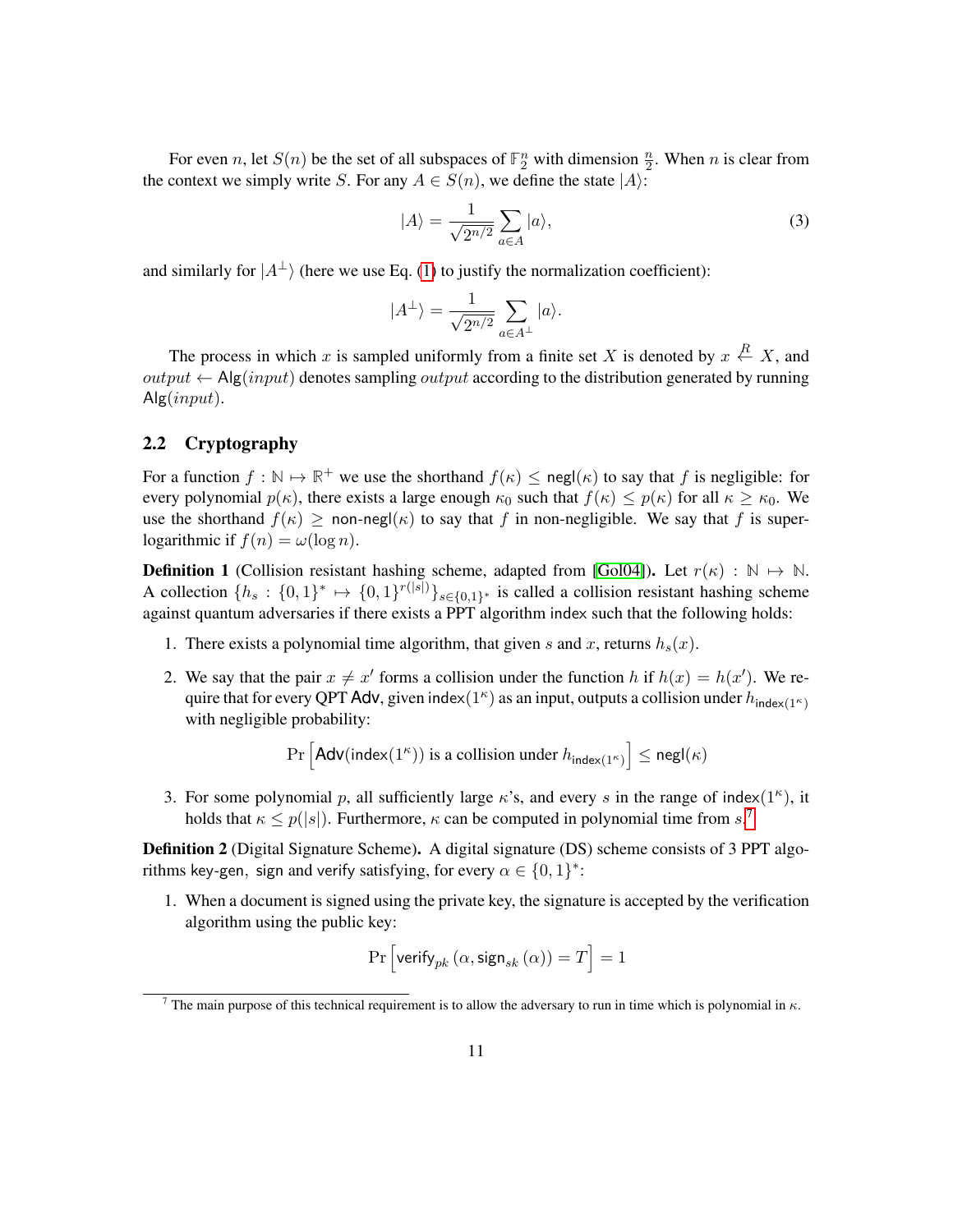For even *n*, let  $S(n)$  be the set of all subspaces of  $\mathbb{F}_2^n$  with dimension  $\frac{n}{2}$ . When *n* is clear from the context we simply write *S*. For any  $A \in S(n)$ , we define the state  $|A\rangle$ :

<span id="page-10-4"></span>
$$
|A\rangle = \frac{1}{\sqrt{2^{n/2}}} \sum_{a \in A} |a\rangle,
$$
 (3)

and similarly for  $|A^{\perp}\rangle$  (here we use Eq. [\(1\)](#page-9-3) to justify the normalization coefficient):

$$
|A^\perp\rangle=\frac{1}{\sqrt{2^{n/2}}}\sum_{a\in A^\perp}|a\rangle.
$$

The process in which *x* is sampled uniformly from a finite set *X* is denoted by  $x \stackrel{R}{\leftarrow} X$ , and  $output \leftarrow$  Alg $(input)$  denotes sampling *output* according to the distribution generated by running Alg(*input*).

#### <span id="page-10-0"></span>2.2 Cryptography

For a function  $f : \mathbb{N} \to \mathbb{R}^+$  we use the shorthand  $f(\kappa) \leq \text{negl}(\kappa)$  to say that *f* is negligible: for every polynomial  $p(\kappa)$ , there exists a large enough  $\kappa_0$  such that  $f(\kappa) \leq p(\kappa)$  for all  $\kappa \geq \kappa_0$ . We use the shorthand  $f(\kappa) \geq \text{non-negl}(\kappa)$  to say that *f* in non-negligible. We say that *f* is superlogarithmic if  $f(n) = \omega(\log n)$ .

<span id="page-10-3"></span>**Definition 1** (Collision resistant hashing scheme, adapted from [\[Gol04\]](#page-41-3)). Let  $r(\kappa) : \mathbb{N} \to \mathbb{N}$ . A collection  $\{h_s: \{0,1\}^* \mapsto \{0,1\}^{r(|s|)}\}_{s \in \{0,1\}^*}$  is called a collision resistant hashing scheme against quantum adversaries if there exists a PPT algorithm index such that the following holds:

- 1. There exists a polynomial time algorithm, that given *s* and *x*, returns  $h_s(x)$ .
- 2. We say that the pair  $x \neq x'$  forms a collision under the function *h* if  $h(x) = h(x')$ . We require that for every QPT Adv, given index $(1^{\kappa})$  as an input, outputs a collision under  $h_{\text{index}(1^{\kappa})}$ with negligible probability:

$$
\Pr\left[\mathsf{Adv}(\mathsf{index}(1^\kappa)) \text{ is a collision under } h_{\mathsf{index}(1^\kappa)}\right] \le \mathsf{negl}(\kappa)
$$

3. For some polynomial *p*, all sufficiently large  $\kappa$ 's, and every *s* in the range of index(1<sup> $\kappa$ </sup>), it holds that  $\kappa \leq p(|s|)$ . Furthermore,  $\kappa$  can be computed in polynomial time from  $s$ .<sup>[7](#page-10-1)</sup>

<span id="page-10-2"></span>Definition 2 (Digital Signature Scheme). A digital signature (DS) scheme consists of 3 PPT algorithms key-gen, sign and verify satisfying, for every  $\alpha \in \{0, 1\}^*$ :

1. When a document is signed using the private key, the signature is accepted by the verification algorithm using the public key:

$$
\Pr\left[\text{verify}_{pk}\left(\alpha, \text{sign}_{sk}\left(\alpha\right)\right)=T\right]=1
$$

<span id="page-10-1"></span><sup>&</sup>lt;sup>7</sup> The main purpose of this technical requirement is to allow the adversary to run in time which is polynomial in  $\kappa$ .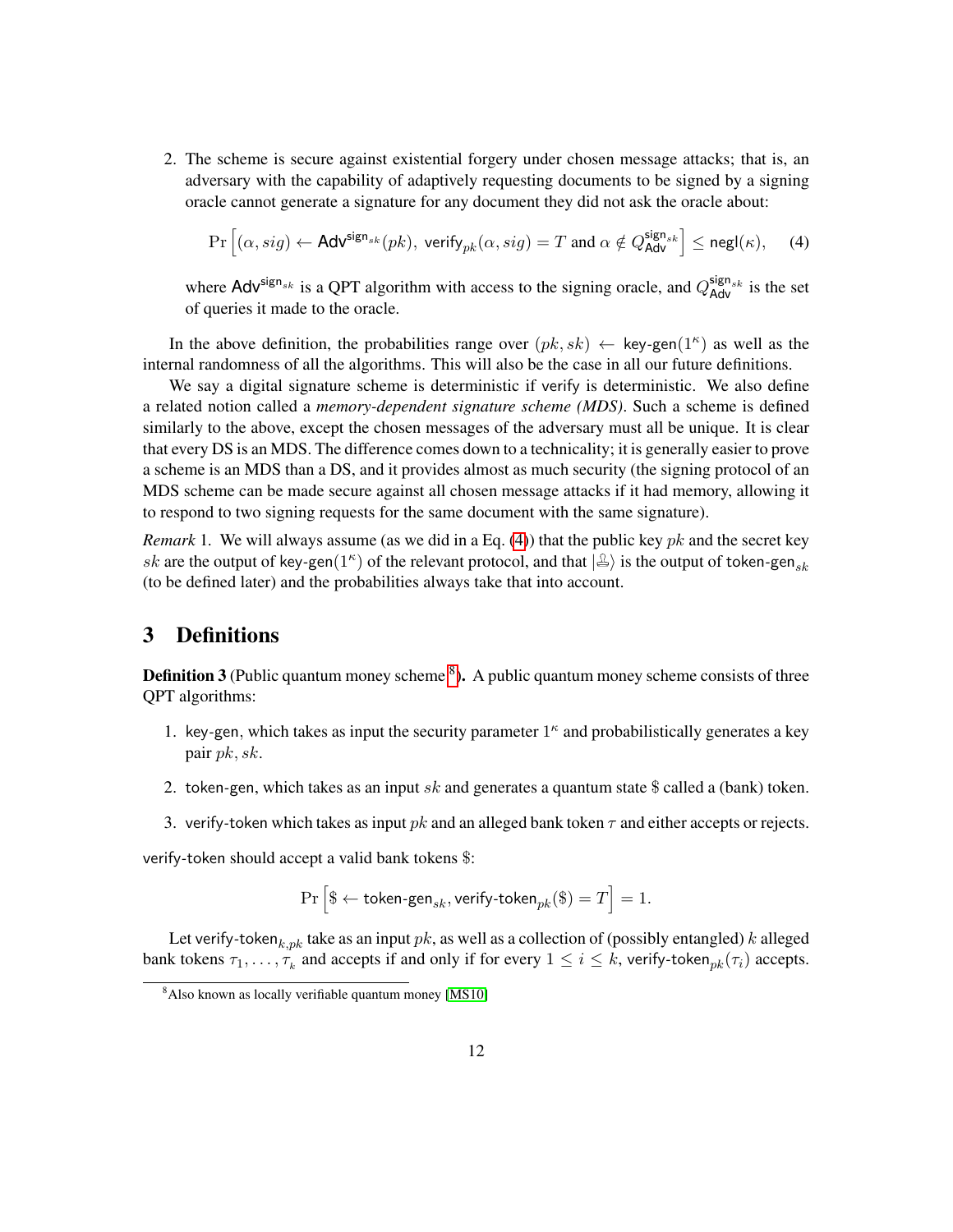<span id="page-11-3"></span>2. The scheme is secure against existential forgery under chosen message attacks; that is, an adversary with the capability of adaptively requesting documents to be signed by a signing oracle cannot generate a signature for any document they did not ask the oracle about:

<span id="page-11-1"></span>
$$
\Pr\left[(\alpha, sig) \leftarrow \mathsf{Adv}^{\mathsf{sign}_{sk}}(pk), \text{ verify}_{pk}(\alpha, sig) = T \text{ and } \alpha \notin Q_{\mathsf{Adv}}^{\mathsf{sign}_{sk}}\right] \le \mathsf{negl}(\kappa), \tag{4}
$$

where  $\text{Adv}^{\text{sign}_{sk}}$  is a QPT algorithm with access to the signing oracle, and  $Q_{\text{Adv}}^{\text{sign}_{sk}}$  is the set of queries it made to the oracle.

In the above definition, the probabilities range over  $(pk, sk) \leftarrow \text{key-gen}(1^k)$  as well as the internal randomness of all the algorithms. This will also be the case in all our future definitions.

We say a digital signature scheme is deterministic if verify is deterministic. We also define a related notion called a *memory-dependent signature scheme (MDS)*. Such a scheme is defined similarly to the above, except the chosen messages of the adversary must all be unique. It is clear that every DS is an MDS. The difference comes down to a technicality; it is generally easier to prove a scheme is an MDS than a DS, and it provides almost as much security (the signing protocol of an MDS scheme can be made secure against all chosen message attacks if it had memory, allowing it to respond to two signing requests for the same document with the same signature).

*Remark* 1*.* We will always assume (as we did in a Eq. [\(4\)](#page-11-1)) that the public key *pk* and the secret key *sk* are the output of key-gen(1<sup>*k*</sup>) of the relevant protocol, and that  $|\triangle\rangle$  is the output of token-gen<sub>*sk*</sub> (to be defined later) and the probabilities always take that into account.

### <span id="page-11-0"></span>3 Definitions

**Definition 3** (Public quantum money scheme  ${}^{8}$  ${}^{8}$  ${}^{8}$ ). A public quantum money scheme consists of three QPT algorithms:

- 1. key*-*gen*,* which takes as input the security parameter 1 *κ* and probabilistically generates a key pair *pk, sk*.
- 2. token*-*gen, which takes as an input *sk* and generates a quantum state \$ called a (bank) token.
- 3. verify*-*token which takes as input *pk* and an alleged bank token *τ* and either accepts or rejects.

verify*-*token should accept a valid bank tokens \$:

$$
\Pr\left[\$\leftarrow \text{token-gen}_{sk},\text{verify-token}_{pk}(\$\right)=T\right]=1.
$$

Let verify*-*token*k,pk* take as an input *pk*, as well as a collection of (possibly entangled) *k* alleged bank tokens  $\tau_1, \ldots, \tau_k$  and accepts if and only if for every  $1 \leq i \leq k$ , verify-token<sub>pk</sub> $(\tau_i)$  accepts.

<span id="page-11-2"></span><sup>&</sup>lt;sup>8</sup>Also known as locally verifiable quantum money [\[MS10\]](#page-41-2)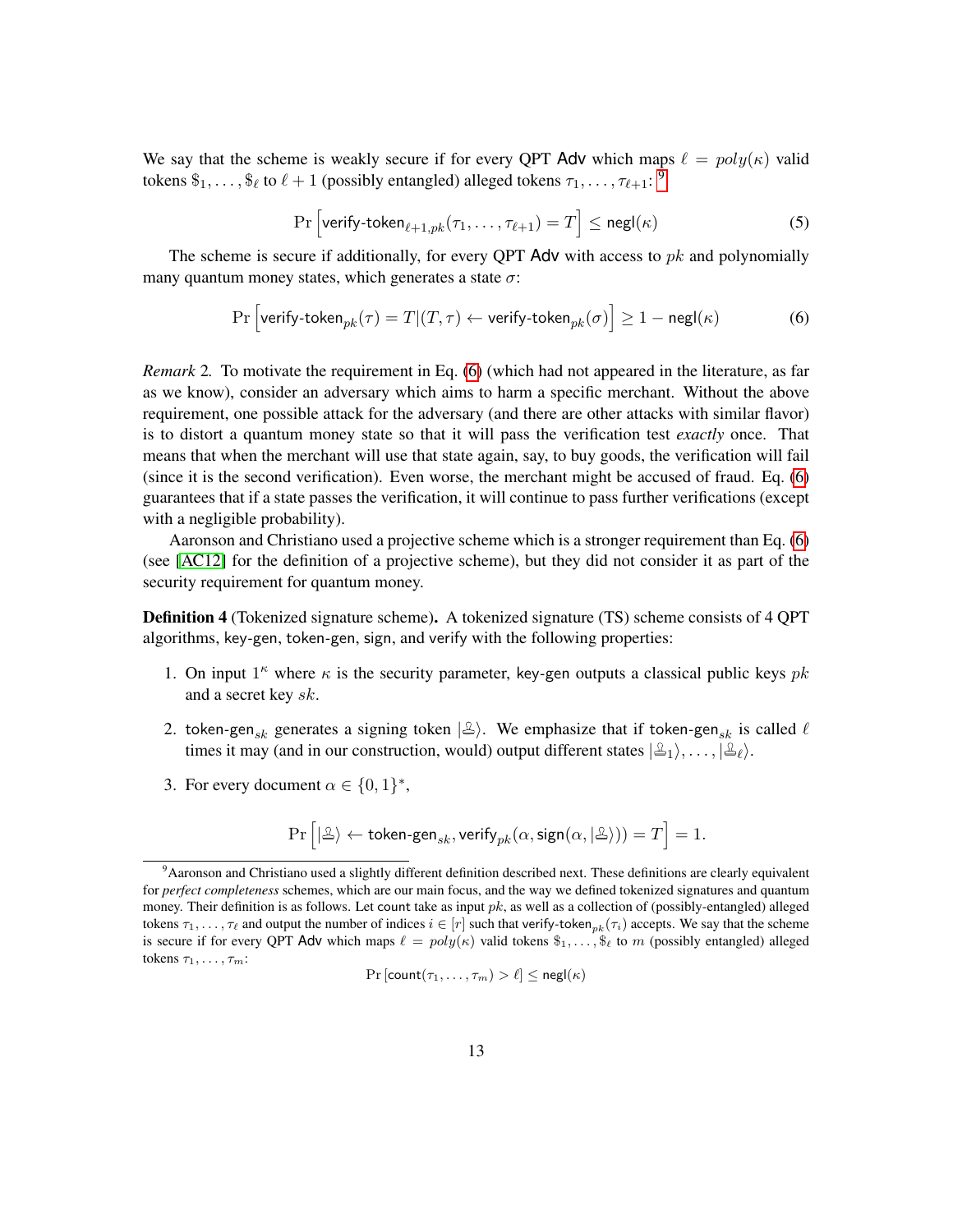<span id="page-12-5"></span>We say that the scheme is weakly secure if for every QPT Adv which maps  $\ell = poly(\kappa)$  valid tokens  $\$_1, \ldots, \$_\ell$  to  $\ell + 1$  (possibly entangled) alleged tokens  $\tau_1, \ldots, \tau_{\ell+1}:$  <sup>[9](#page-12-0)</sup>

<span id="page-12-4"></span><span id="page-12-1"></span>
$$
\Pr\left[\text{verify-token}_{\ell+1, pk}(\tau_1, \dots, \tau_{\ell+1}) = T\right] \le \text{negl}(\kappa) \tag{5}
$$

The scheme is secure if additionally, for every QPT Adv with access to *pk* and polynomially many quantum money states, which generates a state *σ*:

$$
\Pr\Big[\textsf{verify-token}_{pk}(\tau) = T | (T,\tau) \leftarrow \textsf{verify-token}_{pk}(\sigma) \Big] \ge 1 - \mathsf{negl}(\kappa) \tag{6}
$$

<span id="page-12-3"></span>*Remark* 2*.* To motivate the requirement in Eq. [\(6\)](#page-12-1) (which had not appeared in the literature, as far as we know), consider an adversary which aims to harm a specific merchant. Without the above requirement, one possible attack for the adversary (and there are other attacks with similar flavor) is to distort a quantum money state so that it will pass the verification test *exactly* once. That means that when the merchant will use that state again, say, to buy goods, the verification will fail (since it is the second verification). Even worse, the merchant might be accused of fraud. Eq. [\(6\)](#page-12-1) guarantees that if a state passes the verification, it will continue to pass further verifications (except with a negligible probability).

Aaronson and Christiano used a projective scheme which is a stronger requirement than Eq. [\(6\)](#page-12-1) (see [\[AC12\]](#page-38-1) for the definition of a projective scheme), but they did not consider it as part of the security requirement for quantum money.

Definition 4 (Tokenized signature scheme). A tokenized signature (TS) scheme consists of 4 QPT algorithms, key*-*gen, token*-*gen, sign, and verify with the following properties:

- 1. On input  $1^k$  where  $\kappa$  is the security parameter, key-gen outputs a classical public keys  $pk$ and a secret key *sk*.
- 2. token-gen<sub>sk</sub> generates a signing token  $|\triangle\rangle$ . We emphasize that if token-gen<sub>sk</sub> is called  $\ell$ times it may (and in our construction, would) output different states  $|\mathcal{L}_1\rangle, \ldots, |\mathcal{L}_\ell\rangle$ .
- <span id="page-12-2"></span>3. For every document  $\alpha \in \{0, 1\}^*$ ,

$$
\Pr\left[|\tfrac{\alpha}{\lambda}\rangle\leftarrow \textsf{token-gen}_{sk},\textsf{verify}_{pk}(\alpha,\textsf{sign}(\alpha,|\tfrac{\alpha}{\lambda}\rangle))=T\right]=1.
$$

$$
\Pr\left[\text{count}(\tau_1,\ldots,\tau_m) > \ell\right] \leq \mathsf{negl}(\kappa)
$$

<span id="page-12-0"></span><sup>&</sup>lt;sup>9</sup> Aaronson and Christiano used a slightly different definition described next. These definitions are clearly equivalent for *perfect completeness* schemes, which are our main focus, and the way we defined tokenized signatures and quantum money. Their definition is as follows. Let count take as input *pk*, as well as a collection of (possibly-entangled) alleged tokens  $\tau_1, \ldots, \tau_\ell$  and output the number of indices  $i \in [r]$  such that verify-token<sub>*pk*</sub>( $\tau_i$ ) accepts. We say that the scheme is secure if for every QPT Adv which maps  $\ell = poly(\kappa)$  valid tokens  $\hat{\mathfrak{s}}_1, \ldots, \hat{\mathfrak{s}}_\ell$  to *m* (possibly entangled) alleged tokens *τ*1*, . . . , τm*: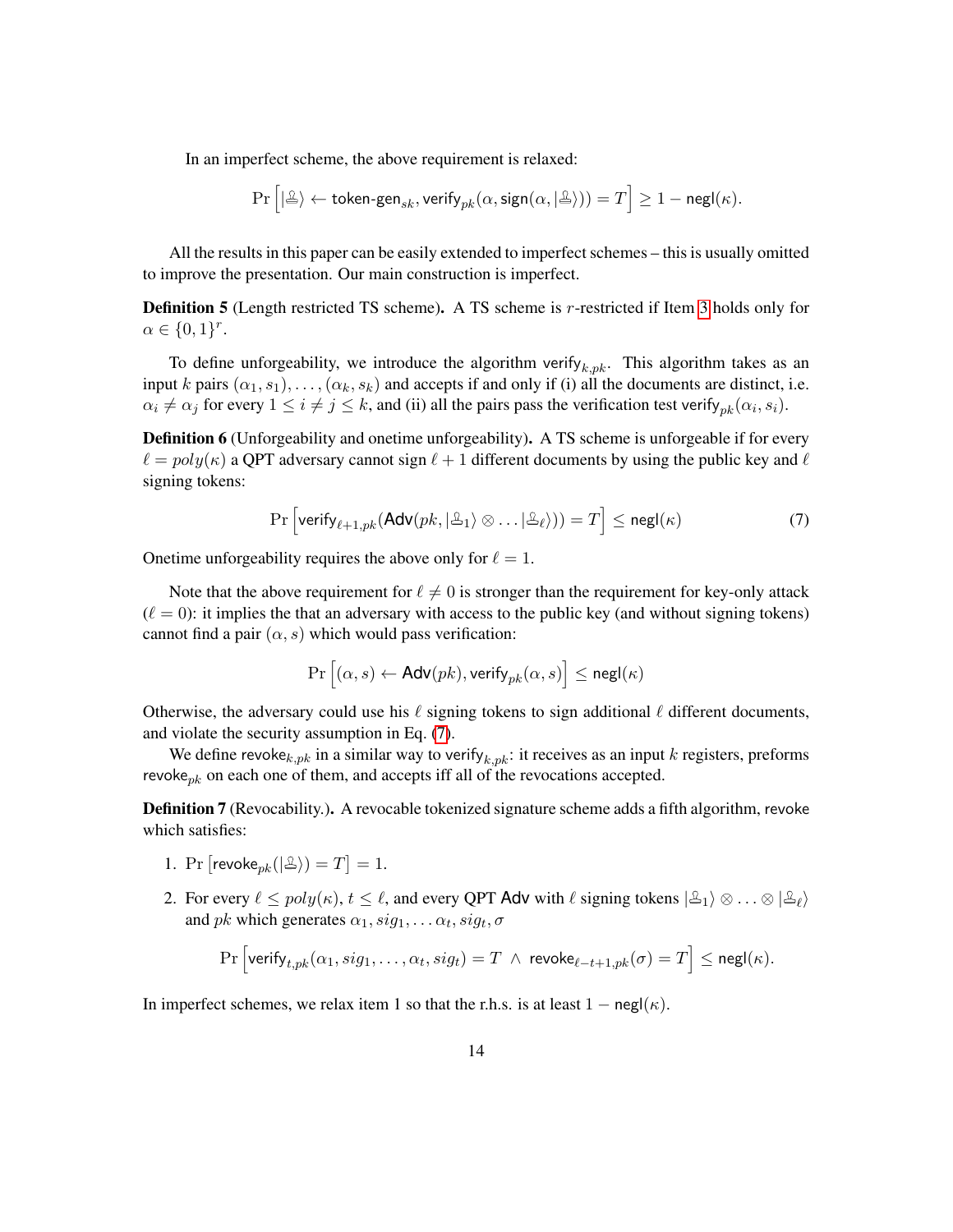In an imperfect scheme, the above requirement is relaxed:

$$
\Pr\Big[|\mathcal{ \triangle }\rangle\leftarrow \mathsf{token\text{-}gen}_{sk},\mathsf{verify}_{pk}(\alpha,\mathsf{sign}(\alpha,|\mathcal{ \triangle }\rangle))=T\Big]\geq 1-\mathsf{negl}(\kappa).
$$

All the results in this paper can be easily extended to imperfect schemes – this is usually omitted to improve the presentation. Our main construction is imperfect.

<span id="page-13-3"></span>Definition 5 (Length restricted TS scheme). A TS scheme is *r*-restricted if Item [3](#page-12-2) holds only for  $\alpha \in \{0,1\}^r$ .

To define unforgeability, we introduce the algorithm verify<sub> $k, pk$ </sub>. This algorithm takes as an input *k* pairs  $(\alpha_1, s_1), \ldots, (\alpha_k, s_k)$  and accepts if and only if (i) all the documents are distinct, i.e.  $\alpha_i \neq \alpha_j$  for every  $1 \leq i \neq j \leq k$ , and (ii) all the pairs pass the verification test verify<sub>*pk*</sub>( $\alpha_i$ ,  $s_i$ ).

<span id="page-13-2"></span>**Definition 6** (Unforgeability and onetime unforgeability). A TS scheme is unforgeable if for every  $\ell = poly(\kappa)$  a QPT adversary cannot sign  $\ell + 1$  different documents by using the public key and  $\ell$ signing tokens:

$$
\Pr\left[\text{verify}_{\ell+1, pk}(\text{Adv}(pk, |\mathcal{L}_1\rangle \otimes \ldots |\mathcal{L}_\ell\rangle)) = T\right] \leq \text{negl}(\kappa) \tag{7}
$$

Onetime unforgeability requires the above only for  $\ell = 1$ .

Note that the above requirement for  $\ell \neq 0$  is stronger than the requirement for key-only attack  $(\ell = 0)$ : it implies the that an adversary with access to the public key (and without signing tokens) cannot find a pair  $(\alpha, s)$  which would pass verification:

<span id="page-13-0"></span>
$$
\Pr\left[(\alpha,s) \gets \mathsf{Adv}(pk), \mathsf{verify}_{pk}(\alpha,s)\right] \leq \mathsf{negl}(\kappa)
$$

Otherwise, the adversary could use his  $\ell$  signing tokens to sign additional  $\ell$  different documents, and violate the security assumption in Eq. [\(7\)](#page-13-0).

We define revoke<sub> $k, pk$ </sub> in a similar way to verify<sub> $k, pk$ </sub>: it receives as an input  $k$  registers, preforms revoke*pk* on each one of them, and accepts iff all of the revocations accepted.

Definition 7 (Revocability.). A revocable tokenized signature scheme adds a fifth algorithm, revoke which satisfies:

- 1. Pr  $[\text{revol}_{{pk}}(|\mathcal{L}\rangle) = T] = 1.$
- <span id="page-13-1"></span>2. For every  $\ell \leq poly(\kappa)$ ,  $t \leq \ell$ , and every QPT Adv with  $\ell$  signing tokens  $|\mathcal{L}_1\rangle \otimes \ldots \otimes |\mathcal{L}_\ell\rangle$ and *pk* which generates  $\alpha_1$ ,  $sig_1$ , ...  $\alpha_t$ ,  $sig_t$ ,  $\sigma$

$$
\Pr\left[\textsf{verify}_{t,pk}(\alpha_1, sig_1, \ldots, \alpha_t, sig_t) = T \ \wedge \ \textsf{revoke}_{\ell-t+1,pk}(\sigma) = T\right] \le \textsf{negl}(\kappa).
$$

In imperfect schemes, we relax item 1 so that the r.h.s. is at least  $1 - negl(\kappa)$ .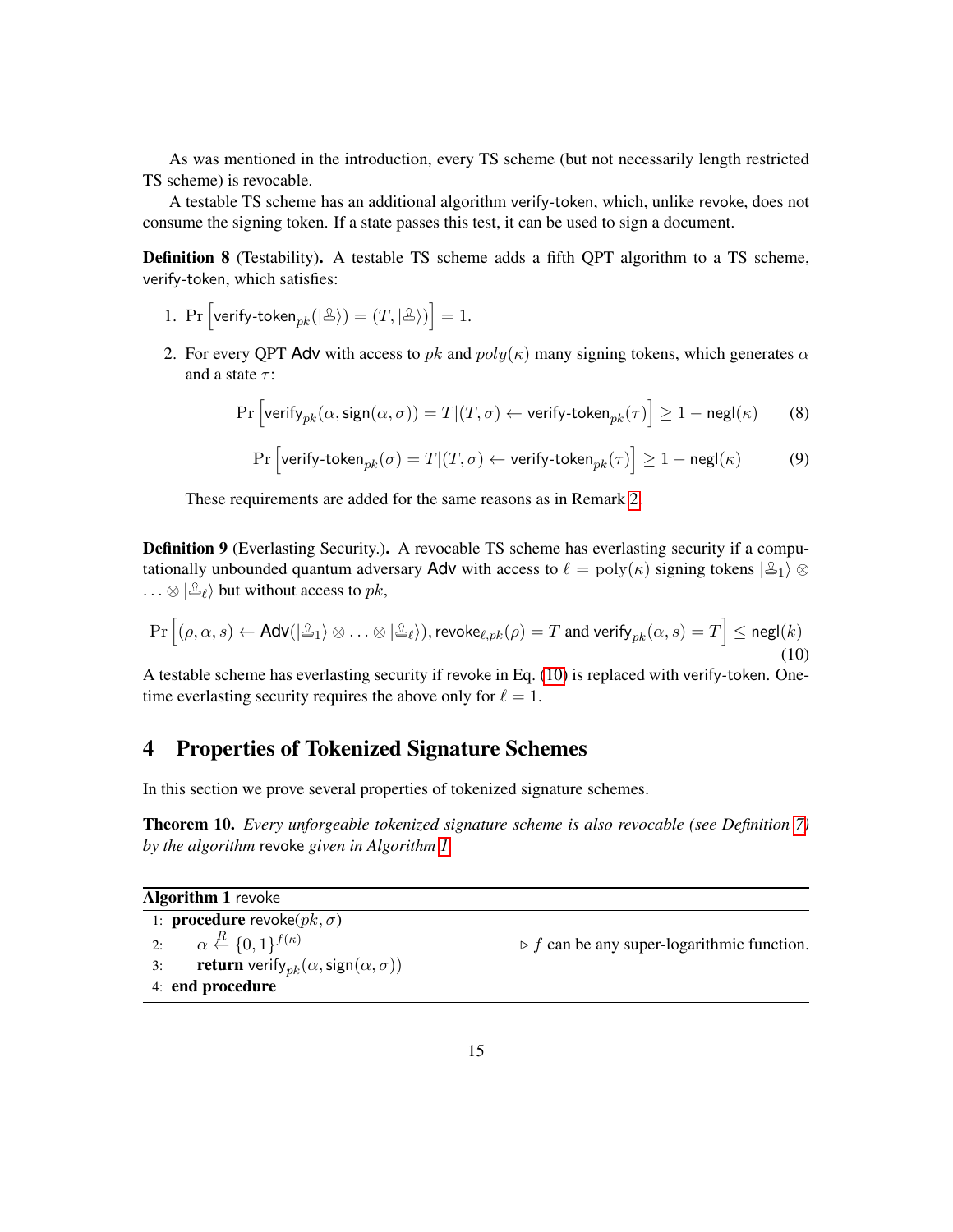As was mentioned in the introduction, every TS scheme (but not necessarily length restricted TS scheme) is revocable.

A testable TS scheme has an additional algorithm verify*-*token, which, unlike revoke, does not consume the signing token. If a state passes this test, it can be used to sign a document.

Definition 8 (Testability). A testable TS scheme adds a fifth QPT algorithm to a TS scheme, verify*-*token, which satisfies:

- <span id="page-14-6"></span>1. Pr  $\left[\textsf{verify-token}_{pk}(|\mathcal{L}\rangle) = (T, |\mathcal{L}\rangle)\right] = 1.$
- 2. For every QPT Adv with access to *pk* and *poly*(*κ*) many signing tokens, which generates *α* and a state *τ* :

$$
\Pr\left[\text{verify}_{pk}(\alpha, \text{sign}(\alpha, \sigma)) = T | (T, \sigma) \leftarrow \text{verify-token}_{pk}(\tau)\right] \ge 1 - \text{negl}(\kappa) \tag{8}
$$

<span id="page-14-5"></span><span id="page-14-4"></span>
$$
\Pr\left[\text{verify-token}_{pk}(\sigma) = T | (T, \sigma) \leftarrow \text{verify-token}_{pk}(\tau)\right] \ge 1 - \text{negl}(\kappa) \tag{9}
$$

These requirements are added for the same reasons as in Remark [2.](#page-12-3)

**Definition 9** (Everlasting Security.). A revocable TS scheme has everlasting security if a computationally unbounded quantum adversary Adv with access to  $\ell = \text{poly}(\kappa)$  signing tokens  $|\mathcal{L}_1\rangle \otimes$  $\ldots \otimes |\mathcal{L}_\ell\rangle$  but without access to *pk*,

$$
\Pr\left[(\rho,\alpha,s) \leftarrow \mathsf{Adv}(|\Delta_1\rangle \otimes \ldots \otimes |\Delta_\ell\rangle), \mathsf{revolse}_{\ell, pk}(\rho) = T \text{ and verify}_{pk}(\alpha,s) = T\right] \le \mathsf{negl}(k)
$$
\n(10)

A testable scheme has everlasting security if revoke in Eq. [\(10\)](#page-14-2) is replaced with verify*-*token. Onetime everlasting security requires the above only for  $\ell = 1$ .

### <span id="page-14-0"></span>4 Properties of Tokenized Signature Schemes

In this section we prove several properties of tokenized signature schemes.

<span id="page-14-1"></span>Theorem 10. *Every unforgeable tokenized signature scheme is also revocable (see Definition [7\)](#page-13-1) by the algorithm* revoke *given in Algorithm [1.](#page-14-3)*

**Algorithm 1 revoke** 

<span id="page-14-3"></span>1: **procedure** revoke( $pk, σ$ )

2: *α*  $\alpha \stackrel{R}{\leftarrow} \{0,1\}^{f(\kappa)}$ 3: **return** verify<sub>pk</sub> $(\alpha, \text{sign}(\alpha, \sigma))$ 4: end procedure

<span id="page-14-2"></span> $\triangleright$  *f* can be any super-logarithmic function.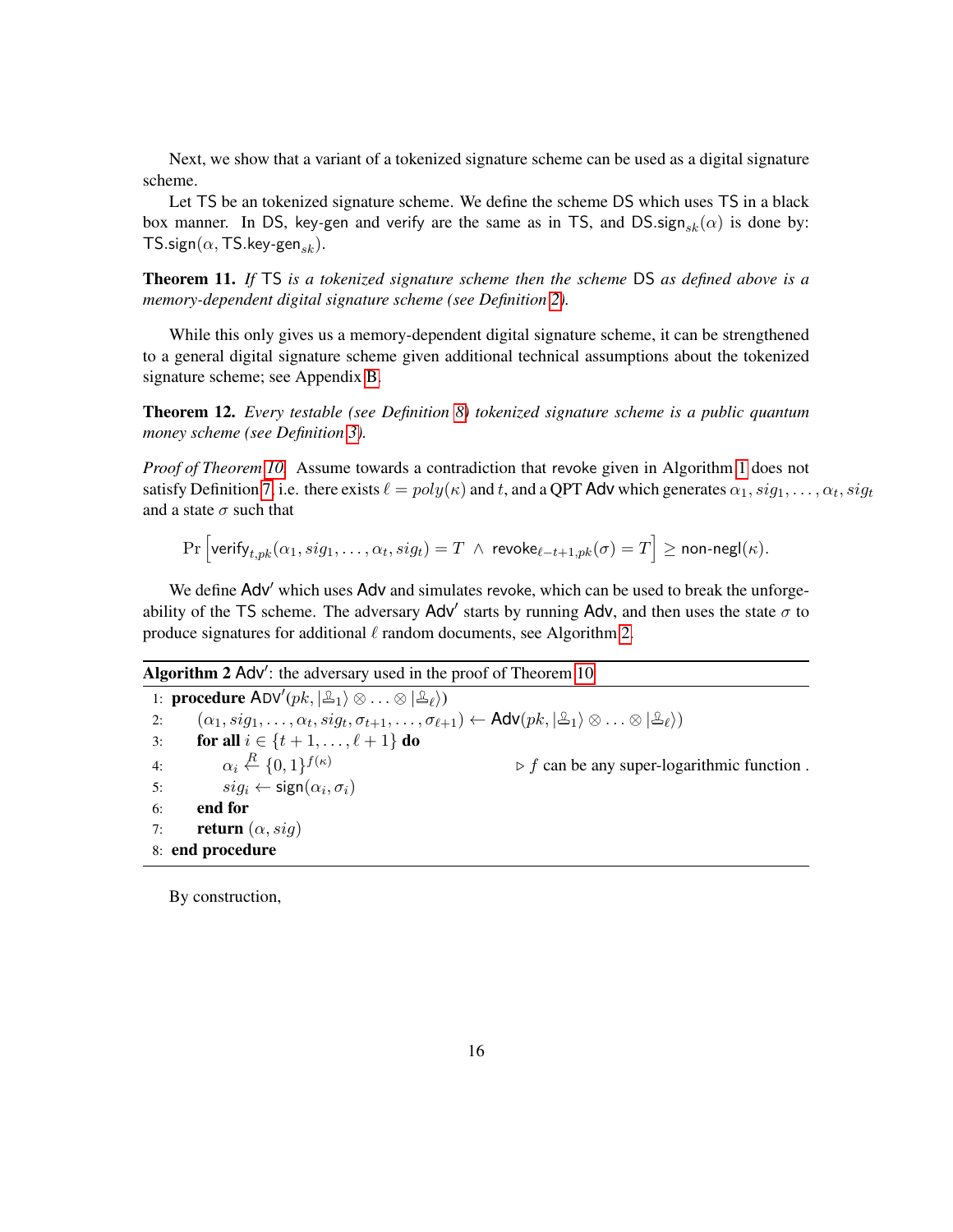Next, we show that a variant of a tokenized signature scheme can be used as a digital signature scheme.

Let TS be an tokenized signature scheme. We define the scheme DS which uses TS in a black box manner. In DS, key-gen and verify are the same as in TS, and DS sign<sub>sk</sub>( $\alpha$ ) is done by:  $TS.\text{sign}(\alpha, TS.\text{key-gen}_{sk}).$ 

<span id="page-15-0"></span>Theorem 11. *If* TS *is a tokenized signature scheme then the scheme* DS *as defined above is a memory-dependent digital signature scheme (see Definition [2\)](#page-10-2).*

While this only gives us a memory-dependent digital signature scheme, it can be strengthened to a general digital signature scheme given additional technical assumptions about the tokenized signature scheme; see Appendix [B.](#page-43-0)

<span id="page-15-1"></span>Theorem 12. *Every testable (see Definition [8\)](#page-14-4) tokenized signature scheme is a public quantum money scheme (see Definition [3\)](#page-12-1).*

*Proof of Theorem [10.](#page-14-1)* Assume towards a contradiction that revoke given in Algorithm [1](#page-14-3) does not satisfy Definition [7,](#page-13-1) i.e. there exists  $\ell = poly(\kappa)$  and *t*, and a QPT Adv which generates  $\alpha_1$ ,  $sig_1$ , . . . ,  $\alpha_t$ ,  $sig_t$ and a state  $\sigma$  such that

 $\Pr\left[\mathsf{verify}_{t,pk}(\alpha_1, sig_1, \ldots, \alpha_t, sig_t) = T \: \land \: \mathsf{revoke}_{\ell-t+1,pk}(\sigma) = T \right] \geq \mathsf{non-negl}(\kappa).$ 

We define Adv' which uses Adv and simulates revoke, which can be used to break the unforgeability of the TS scheme. The adversary  $Adv'$  starts by running  $Adv$ , and then uses the state  $\sigma$  to produce signatures for additional  $\ell$  random documents, see Algorithm [2.](#page-15-2)

### Algorithm  $2$  Adv': the adversary used in the proof of Theorem [10](#page-14-1)

<span id="page-15-2"></span>1: **procedure**  $ADV'(pk, |\mathcal{L}_1\rangle \otimes ... \otimes |\mathcal{L}_{\ell}\rangle)$  $\alpha_1, sig_1, \ldots, \alpha_t, sig_t, \sigma_{t+1}, \ldots, \sigma_{\ell+1}) \leftarrow \mathsf{Adv}(pk, \ket{\mathbb{A}_1} \otimes \ldots \otimes \ket{\mathbb{A}_\ell})$ 3: **for all**  $i \in \{t+1, ..., \ell+1\}$  **do** 4:  $\alpha_i \stackrel{R}{\leftarrow} \{0,1\}$  $\triangleright$  *f* can be any super-logarithmic function. 5:  $sig_i \leftarrow sign(\alpha_i, \sigma_i)$ 6: end for 7: **return**  $(\alpha, sig)$ 8: end procedure

By construction,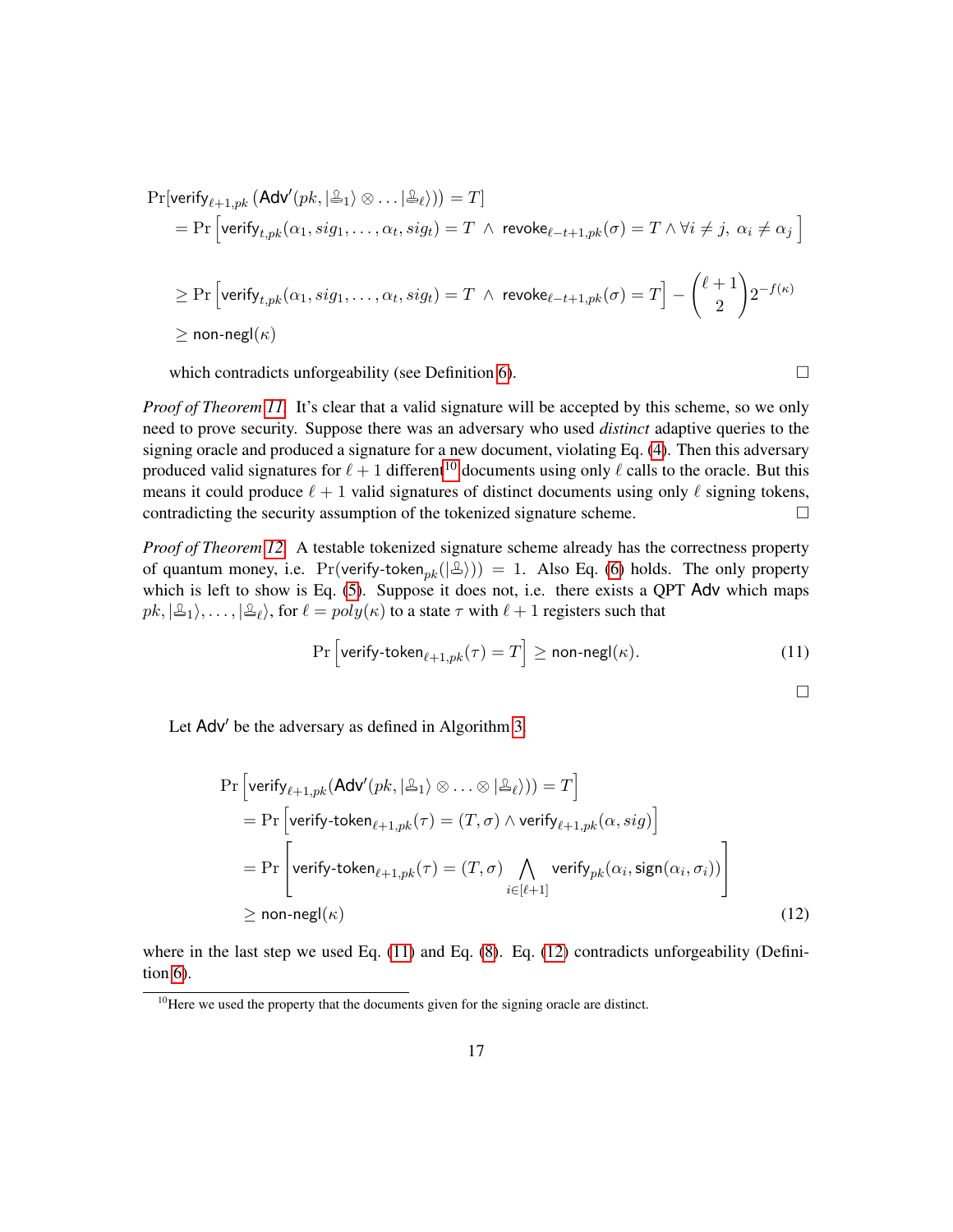$$
\begin{aligned} &\Pr[\text{verify}_{\ell+1, pk}\left(\textsf{Adv}'(pk, |\triangle_1\rangle \otimes \ldots |\triangle_{\ell}\rangle)\right) = T] \\ &= \Pr\Big[\textsf{verify}_{t, pk}(\alpha_1, sig_1, \ldots, \alpha_t, sig_t) = T \ \wedge \ \textsf{revoke}_{\ell-t+1, pk}(\sigma) = T \ \wedge \ \forall i \neq j, \ \alpha_i \neq \alpha_j \ \Big] \\ &\geq \Pr\Big[\textsf{verify}_{t, pk}(\alpha_1, sig_1, \ldots, \alpha_t, sig_t) = T \ \wedge \ \textsf{revoke}_{\ell-t+1, pk}(\sigma) = T\Big] - \binom{\ell+1}{2} 2^{-f(\kappa)} \\ &\geq \textsf{non-negl}(\kappa) \end{aligned}
$$

which contradicts unforgeability (see Definition [6\)](#page-13-2).  $\Box$ 

*Proof of Theorem [11.](#page-15-0)* It's clear that a valid signature will be accepted by this scheme, so we only need to prove security. Suppose there was an adversary who used *distinct* adaptive queries to the signing oracle and produced a signature for a new document, violating Eq. [\(4\)](#page-11-1). Then this adversary produced valid signatures for  $\ell + 1$  different<sup>[10](#page-16-0)</sup> documents using only  $\ell$  calls to the oracle. But this means it could produce  $\ell + 1$  valid signatures of distinct documents using only  $\ell$  signing tokens, contradicting the security assumption of the tokenized signature scheme.  $\Box$ 

*Proof of Theorem [12.](#page-15-1)* A testable tokenized signature scheme already has the correctness property of quantum money, i.e.  $Pr(\text{verify-token}_{pk}(\lvert \Delta\rangle)) = 1$ . Also Eq. [\(6\)](#page-12-1) holds. The only property which is left to show is Eq. [\(5\)](#page-12-4). Suppose it does not, i.e. there exists a QPT Adv which maps  $pk, |\triangle_1\rangle, \ldots, |\triangle_\ell\rangle$ , for  $\ell = poly(\kappa)$  to a state  $\tau$  with  $\ell + 1$  registers such that

$$
\Pr\left[\text{verify-token}_{\ell+1, pk}(\tau) = T\right] \ge \text{non-negl}(\kappa). \tag{11}
$$

<span id="page-16-2"></span><span id="page-16-1"></span> $\Box$ 

Let Adv' be the adversary as defined in Algorithm [3.](#page-17-2)

$$
\Pr\left[\text{verify}_{\ell+1, pk}(\text{Adv}'(pk, |\mathcal{L}_1) \otimes ... \otimes |\mathcal{L}_\ell)\right) = T\right]
$$
\n
$$
= \Pr\left[\text{verify-token}_{\ell+1, pk}(\tau) = (T, \sigma) \wedge \text{verify}_{\ell+1, pk}(\alpha, sig)\right]
$$
\n
$$
= \Pr\left[\text{verify-token}_{\ell+1, pk}(\tau) = (T, \sigma) \bigwedge_{i \in [\ell+1]} \text{verify}_{pk}(\alpha_i, sign(\alpha_i, \sigma_i))\right]
$$
\n
$$
\geq \text{non-negl}(\kappa) \tag{12}
$$

where in the last step we used Eq.  $(11)$  and Eq.  $(8)$ . Eq.  $(12)$  contradicts unforgeability (Definition [6\)](#page-13-2).

<span id="page-16-0"></span><sup>&</sup>lt;sup>10</sup>Here we used the property that the documents given for the signing oracle are distinct.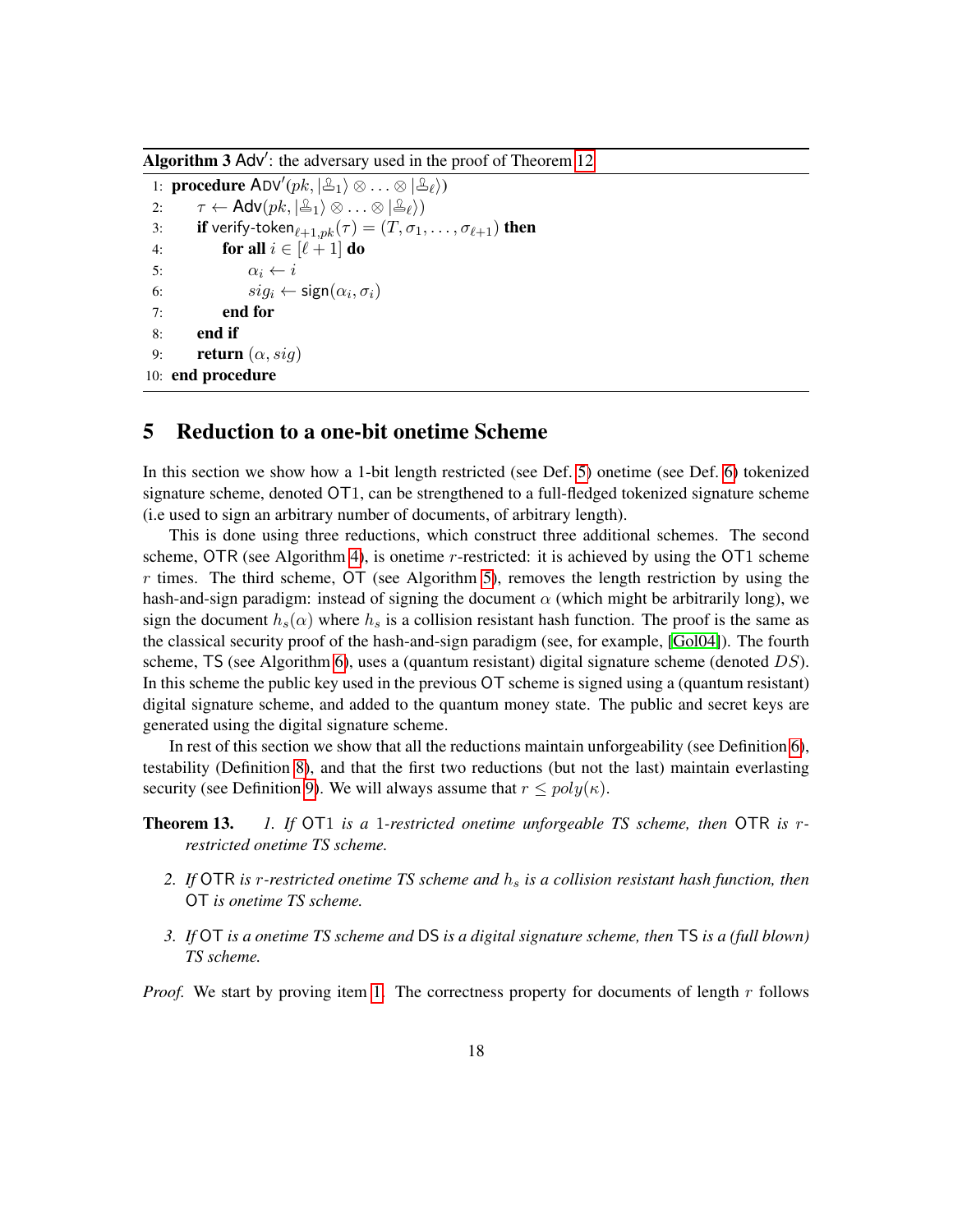Algorithm  $3$  Adv': the adversary used in the proof of Theorem [12](#page-15-1)

<span id="page-17-2"></span>1: **procedure**  $ADV'(pk, |\mathcal{L}_1\rangle \otimes ... \otimes |\mathcal{L}_{\ell}\rangle)$ 2:  $\tau \leftarrow \mathsf{Adv}(pk, |\mathcal{L}_1\rangle \otimes \ldots \otimes |\mathcal{L}_\ell\rangle)$ 3: **if** verify-token<sub> $\ell+1,pk(\tau) = (T, \sigma_1, \ldots, \sigma_{\ell+1})$  then</sub> 4: **for all**  $i \in [\ell + 1]$  **do** 5:  $\alpha_i \leftarrow i$ 6:  $sig_i \leftarrow sign(\alpha_i, \sigma_i)$ 7: end for 8: end if 9: **return**  $(\alpha, sig)$ 10: end procedure

### <span id="page-17-0"></span>5 Reduction to a one-bit onetime Scheme

In this section we show how a 1-bit length restricted (see Def. [5\)](#page-13-3) onetime (see Def. [6\)](#page-13-2) tokenized signature scheme, denoted OT1, can be strengthened to a full-fledged tokenized signature scheme (i.e used to sign an arbitrary number of documents, of arbitrary length).

This is done using three reductions, which construct three additional schemes. The second scheme, OTR (see Algorithm [4\)](#page-18-0), is onetime *r*-restricted: it is achieved by using the OT1 scheme *r* times. The third scheme, OT (see Algorithm [5\)](#page-19-0), removes the length restriction by using the hash-and-sign paradigm: instead of signing the document  $\alpha$  (which might be arbitrarily long), we sign the document  $h_s(\alpha)$  where  $h_s$  is a collision resistant hash function. The proof is the same as the classical security proof of the hash-and-sign paradigm (see, for example, [\[Gol04\]](#page-41-3)). The fourth scheme, TS (see Algorithm [6\)](#page-20-0), uses a (quantum resistant) digital signature scheme (denoted *DS*). In this scheme the public key used in the previous OT scheme is signed using a (quantum resistant) digital signature scheme, and added to the quantum money state. The public and secret keys are generated using the digital signature scheme.

In rest of this section we show that all the reductions maintain unforgeability (see Definition [6\)](#page-13-2), testability (Definition [8\)](#page-14-4), and that the first two reductions (but not the last) maintain everlasting security (see Definition [9\)](#page-14-2). We will always assume that  $r \leq poly(\kappa)$ .

<span id="page-17-3"></span>Theorem 13. *1. If* OT1 *is a* 1*-restricted onetime unforgeable TS scheme, then* OTR *is rrestricted onetime TS scheme.*

- <span id="page-17-4"></span>*2. If* OTR *is r-restricted onetime TS scheme and h<sup>s</sup> is a collision resistant hash function, then* OT *is onetime TS scheme.*
- <span id="page-17-1"></span>*3. If* OT *is a onetime TS scheme and* DS *is a digital signature scheme, then* TS *is a (full blown) TS scheme.*

*Proof.* We start by proving item [1.](#page-17-3) The correctness property for documents of length *r* follows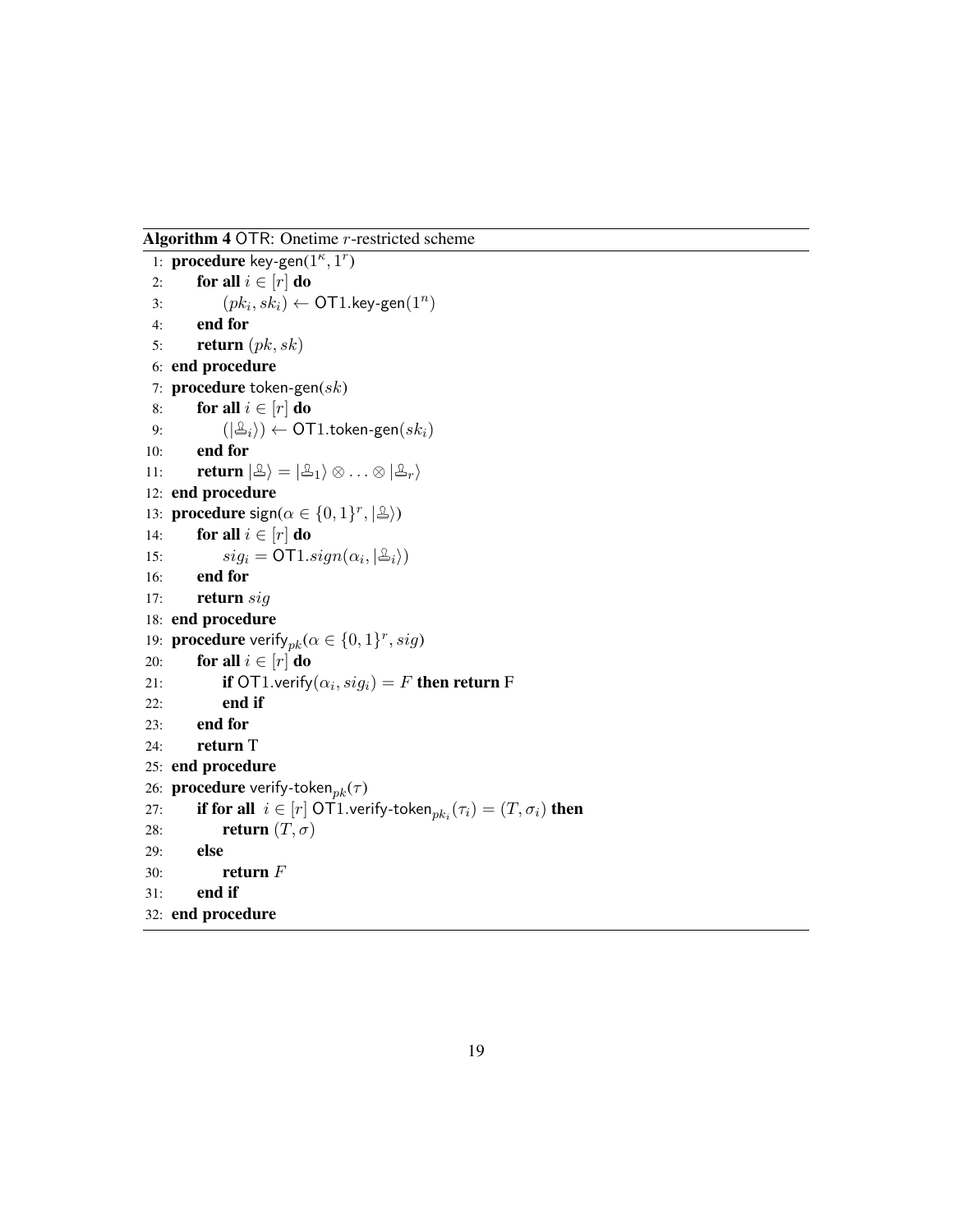Algorithm 4 OTR: Onetime *r*-restricted scheme

```
1: procedure key-gen(1^{\kappa}, 1^r)
 2: for all i \in [r] do
 3: (pk_i, sk_i) \leftarrow \textsf{OT1}.key\text{-}\textsf{gen}(1^n)4: end for
 5: return (pk, sk)
 6: end procedure
 7: procedure token-gen(sk)
 8: for all i \in [r] do
 9: (|\mathcal{L}_i\rangle) \leftarrow \text{OT1.token-gen}(sk_i)10: end for
11: return |\mathcal{L}\rangle = |\mathcal{L}_1\rangle \otimes \ldots \otimes |\mathcal{L}_r\rangle12: end procedure
13: procedure sign(\alpha \in \{0, 1\}^r, |\mathcal{Q}\rangle)
14: for all i \in [r] do
15: sig_i = \text{OT1}.sign(\alpha_i, |\mathcal{Z}_i\rangle)16: end for
17: return sig
18: end procedure
19: procedure verify<sub>pk</sub>(\alpha \in \{0, 1\}^r, sig)20: for all i \in [r] do
21: if OT1.verify(\alpha_i, sig_i) = F then return F
22: end if
23: end for
24: return T
25: end procedure
26: procedure verify-tokenpk(τ )
27: if for all i \in [r] OT1.verify-token_{pk_i}(\tau_i) = (T, \sigma_i) then
28: return (T, \sigma)29: else
30: return F
31: end if
32: end procedure
```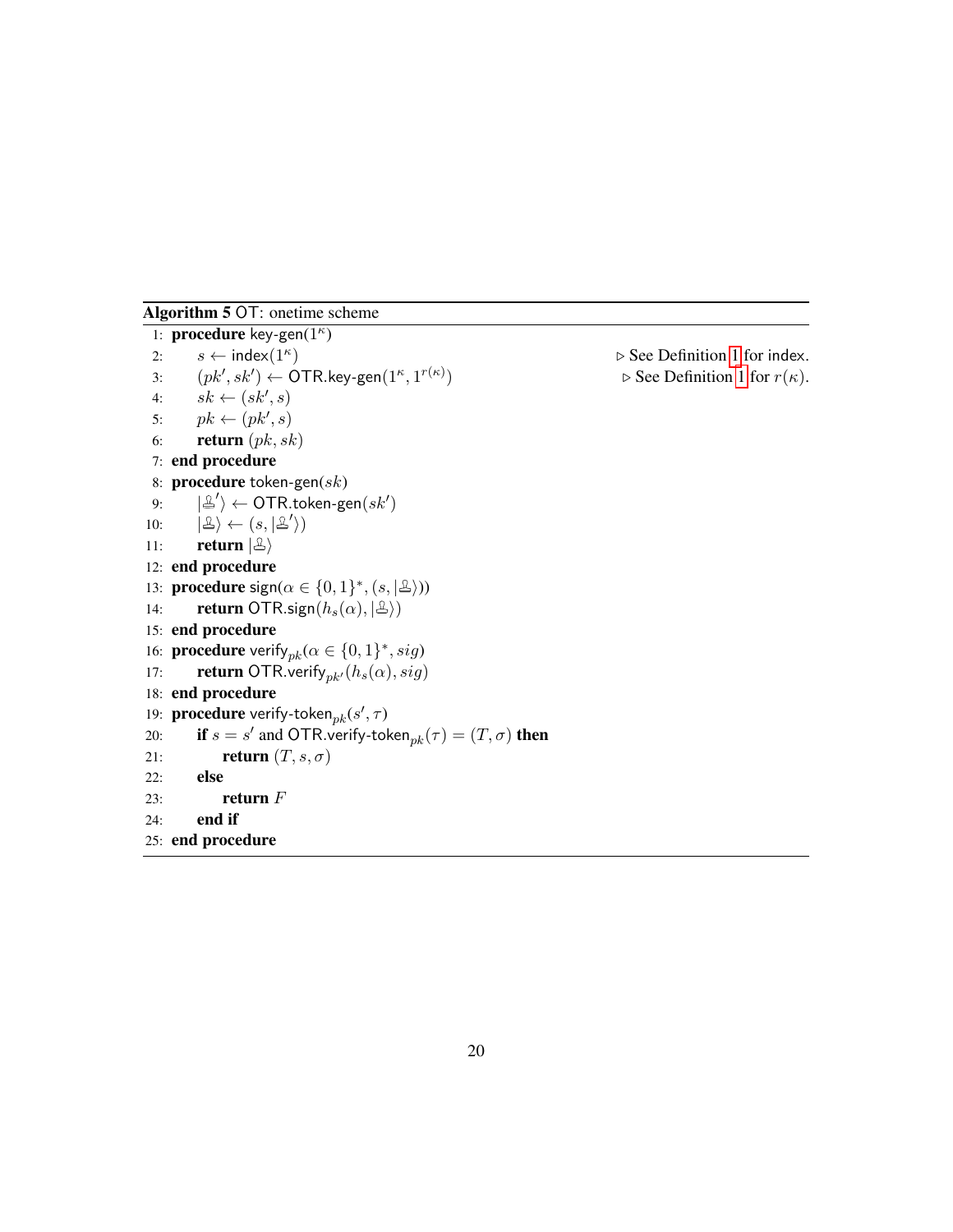Algorithm 5 OT: onetime scheme

<span id="page-19-0"></span>1: **procedure** key-gen(1<sup>*κ*</sup>)</sub> 2:  $s \leftarrow \text{index}(1^{\kappa})$ ) *.* See Definition [1](#page-10-3) for index.  $\mathcal{B}: \qquad (pk', sk') \leftarrow \mathsf{OTR}$ .key-gen $(1^\kappa, 1^{r(\kappa)})$  $\rhd$  See Definition [1](#page-10-3) for  $r(\kappa)$ . 4:  $sk \leftarrow (sk', s)$ 5:  $pk \leftarrow (pk', s)$ 6: return (*pk, sk*) 7: end procedure 8: procedure token*-*gen(*sk*) 9: |  $\mathcal{O}' \rangle \leftarrow \mathsf{OTR}.$ token-gen $(\mathit{sk}')$ 10:  $\left|\mathfrak{B}\right\rangle \leftarrow (s, \left|\mathfrak{B}'\right\rangle)$ 11: **return**  $|\mathcal{L}\rangle$ 12: end procedure 13: **procedure**  $sign(\alpha \in \{0, 1\}^*, (s, |\mathcal{L}|))$ 14: **return** OTR.sign $(h_s(\alpha), |\mathcal{L})$ 15: end procedure 16: **procedure** verify<sub>pk</sub> $(\alpha \in \{0, 1\}^*, sig)$ 17: **return** OTR.verify<sub>pk</sub> $(h_s(\alpha), sig)$ 18: end procedure 19: **procedure** verify-token $_{pk}(s', \tau)$ 20: **if**  $s = s'$  and OTR.verify-token $_{pk}(\tau) = (T, \sigma)$  then 21: **return**  $(T, s, \sigma)$ 22: else 23: return *F* 24: end if 25: end procedure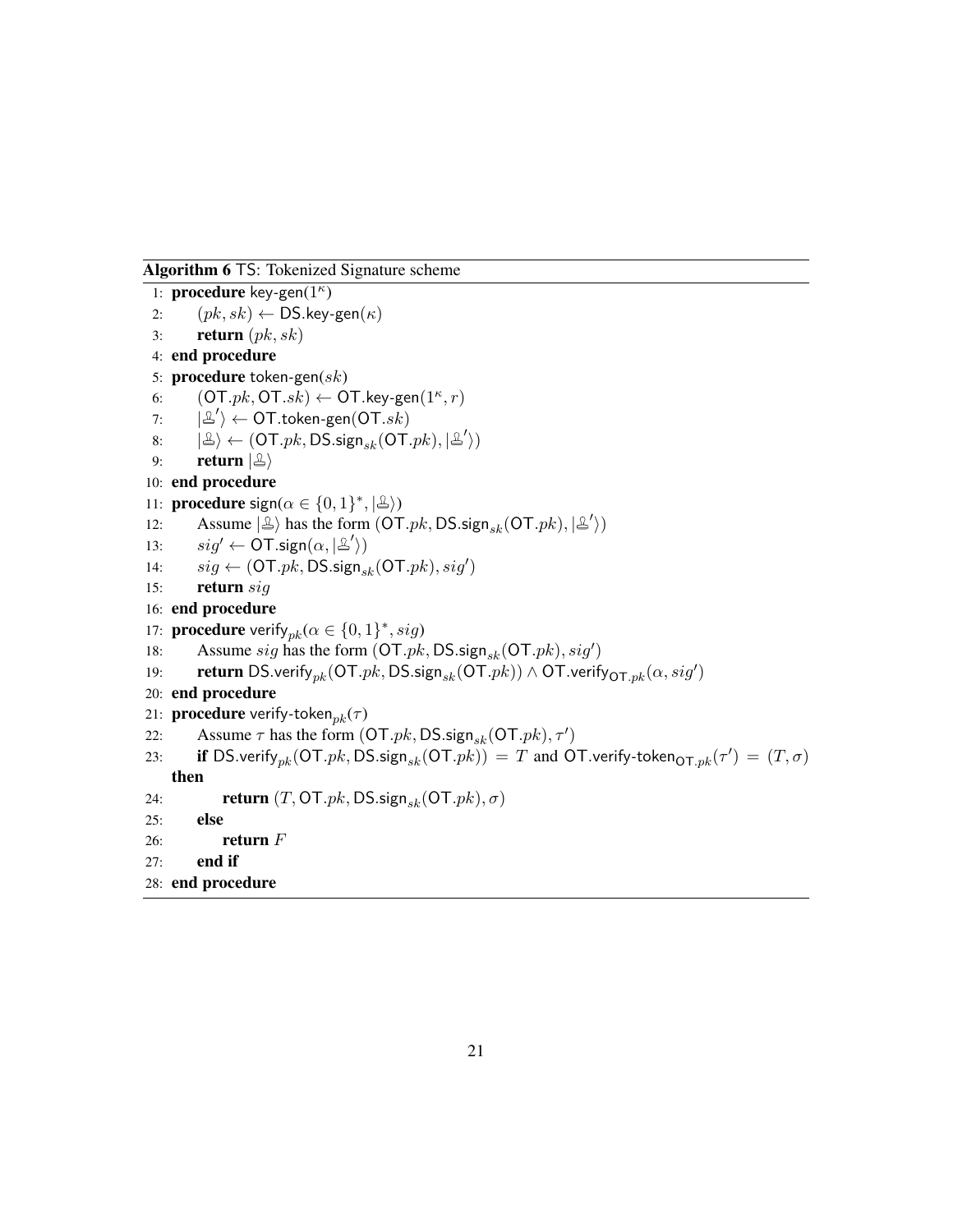Algorithm 6 TS: Tokenized Signature scheme

```
1: procedure key-gen(1^{\kappa})
 2: (pk, sk) \leftarrow \mathsf{DS}.\mathsf{key}\text{-}\mathsf{gen}(\kappa)3: return (pk, sk)
 4: end procedure
 5: procedure token-gen(sk)
 6: (OT.pk, OT.sk) \leftarrow OT.key\text{-}gen(1<sup><i>k</i></sup>,<i>r</i>)7:\hat{O} \leftarrow \overline{\textsf{OT}.}token-gen(\overline{\textsf{OT}.}sk)\ket{\mathbb{E}} \leftarrow (\textsf{OT}.pk, \textsf{DS}.\textsf{sign}_{sk}(\textsf{OT}.pk), \ket{\mathbb{E}'}).9: return |\hat{\mathbb{E}}\rangle10: end procedure
11: procedure sign(\alpha \in \{0, 1\}^*, |\mathcal{Q}|)12: Assume |\mathcal{L}\rangle has the form (OT.pk, DS.sign_{sk}(OT.pk), |\mathcal{L}\rangle)13: sig' \leftarrow \overline{OT}.\text{sign}(\alpha, |\mathcal{L}'\rangle)14: sig \leftarrow (OT.pk, DS.\text{sign}_{sk}(OT.pk), sig')15: return sig
16: end procedure
17: procedure verify<sub>pk</sub>(\alpha \in \{0, 1\}^*, sig)18: Assume sig has the form (OT.pk, DS.sign_{sk}(OT.pk), sig')19: return DS.verify<sub>pk</sub>(OT.pk, DS.sign<sub>sk</sub>(OT.pk)) \wedge OT.verify<sub>OT.pk</sub>(\alpha, sig')
20: end procedure
21: procedure verify-tokenpk(τ )
22: Assume \tau has the form (OT.pk, DS.sign_{sk}(OT.pk), \tau')23: if DS.verify<sub>pk</sub>(OT.pk, DS.sign<sub>sk</sub>(OT.pk)) = T and OT.verify-token<sub>OT.pk</sub>(\tau') = (T,\sigma)
     then
24: return (T, OT.pk, DS.signsk(OT.pk), σ)
25: else
26: return F
27: end if
28: end procedure
```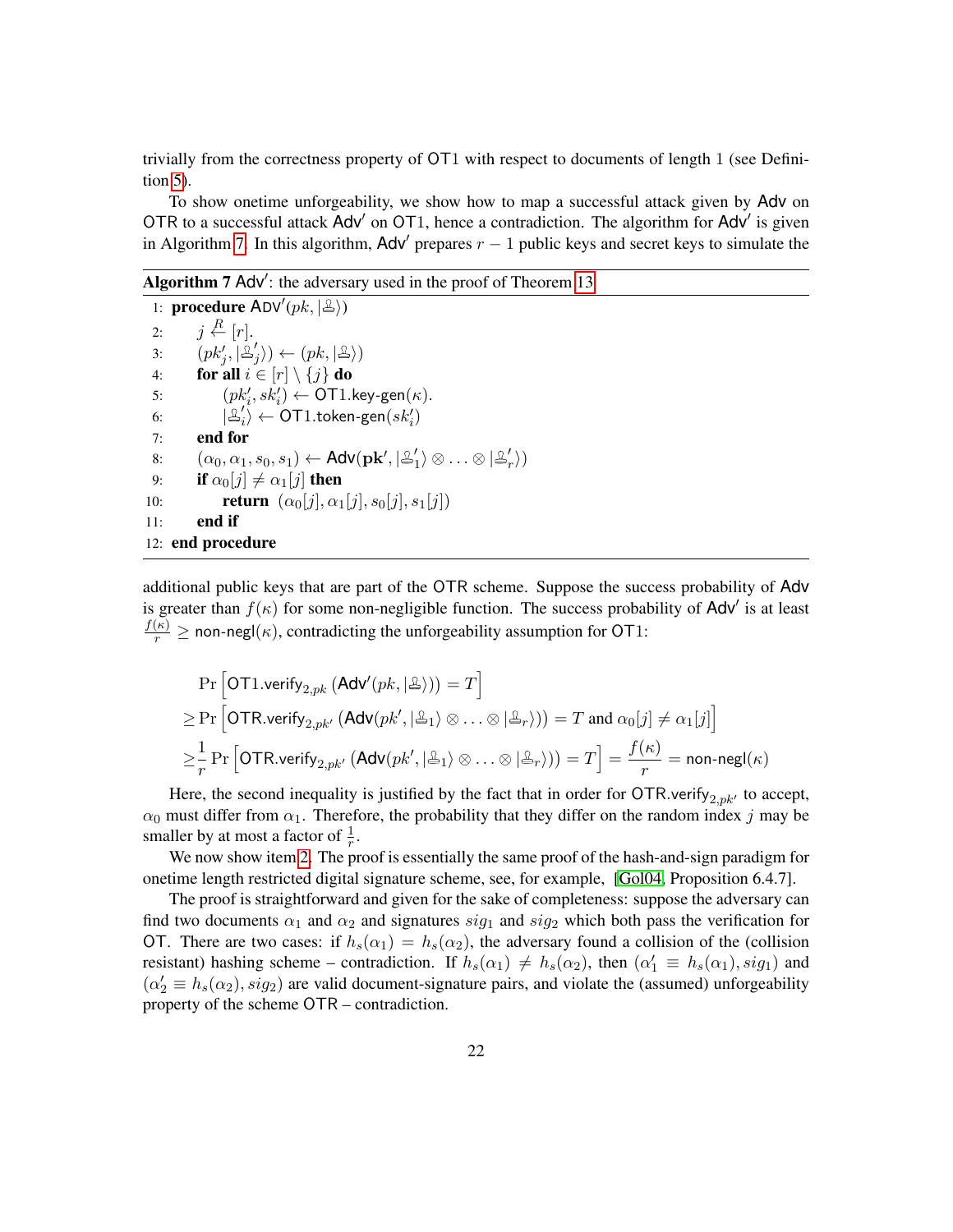trivially from the correctness property of OT1 with respect to documents of length 1 (see Definition [5\)](#page-13-3).

To show onetime unforgeability, we show how to map a successful attack given by Adv on OTR to a successful attack Adv' on OT1, hence a contradiction. The algorithm for Adv' is given in Algorithm [7.](#page-21-0) In this algorithm,  $\text{Adv}'$  prepares  $r - 1$  public keys and secret keys to simulate the

Algorithm  $7$  Adv': the adversary used in the proof of Theorem [13](#page-17-1)

<span id="page-21-0"></span>1: **procedure**  $ADV'(pk, |\triangle)$ ) 2: *j*  $\stackrel{R}{\leftarrow}$  [*r*]. 3:  $(pk'_j, |\mathcal{L}'_j|)$  $\langle j \rangle \rangle \leftarrow (pk, \ket{\mathfrak{L}})$ 4: **for all**  $i \in [r] \setminus \{j\}$  do 5:  $(pk'_i, sk'_i) \leftarrow \textsf{OT1}. \textsf{key-gen}(\kappa).$ 6: |  $\prime$  $\langle i\rangle \leftarrow \mathsf{OT1}.$ token-gen $\left( sk_i' \right)$ 7: end for 8:  $(\alpha_0, \alpha_1, s_0, s_1) \leftarrow \mathsf{Adv}(\mathbf{pk}', | \mathcal{Z}'_1)$  $\ket{1} \otimes \ldots \otimes \ket{\mathbb{Z}'_r}$ 9: **if**  $\alpha_0[j] \neq \alpha_1[j]$  then 10: **return**  $(\alpha_0[j], \alpha_1[j], s_0[j], s_1[j])$ 11: end if 12: end procedure

additional public keys that are part of the OTR scheme. Suppose the success probability of Adv is greater than  $f(\kappa)$  for some non-negligible function. The success probability of Adv' is at least  $\frac{f(\kappa)}{r} \geq$  non-negl( $\kappa$ ), contradicting the unforgeability assumption for OT1:

$$
\Pr\left[\mathsf{OT1}.\mathsf{verify}_{2, pk}\left(\mathsf{Adv}'(pk, |\triangle\rangle)\right) = T\right]
$$
\n
$$
\geq \Pr\left[\mathsf{OTR}.\mathsf{verify}_{2, pk'}\left(\mathsf{Adv}(pk', |\triangle_1\rangle \otimes \ldots \otimes |\triangle_r\rangle)\right) = T \text{ and } \alpha_0[j] \neq \alpha_1[j]\right]
$$
\n
$$
\geq \frac{1}{r} \Pr\left[\mathsf{OTR}.\mathsf{verify}_{2, pk'}\left(\mathsf{Adv}(pk', |\triangle_1\rangle \otimes \ldots \otimes |\triangle_r\rangle)\right) = T\right] = \frac{f(\kappa)}{r} = \mathsf{non-negl}(\kappa)
$$

Here, the second inequality is justified by the fact that in order for  $\text{OTR}$ *.verify*<sub>2*,pk'*</sub> to accept,  $\alpha_0$  must differ from  $\alpha_1$ . Therefore, the probability that they differ on the random index *j* may be smaller by at most a factor of  $\frac{1}{r}$ .

We now show item [2.](#page-17-4) The proof is essentially the same proof of the hash-and-sign paradigm for onetime length restricted digital signature scheme, see, for example, [\[Gol04,](#page-41-3) Proposition 6.4.7].

The proof is straightforward and given for the sake of completeness: suppose the adversary can find two documents  $\alpha_1$  and  $\alpha_2$  and signatures  $sig_1$  and  $sig_2$  which both pass the verification for OT. There are two cases: if  $h_s(\alpha_1) = h_s(\alpha_2)$ , the adversary found a collision of the (collision resistant) hashing scheme – contradiction. If  $h_s(\alpha_1) \neq h_s(\alpha_2)$ , then  $(\alpha'_1 \equiv h_s(\alpha_1), sig_1)$  and  $(\alpha'_2 \equiv h_s(\alpha_2), sig_2)$  are valid document-signature pairs, and violate the (assumed) unforgeability property of the scheme OTR – contradiction.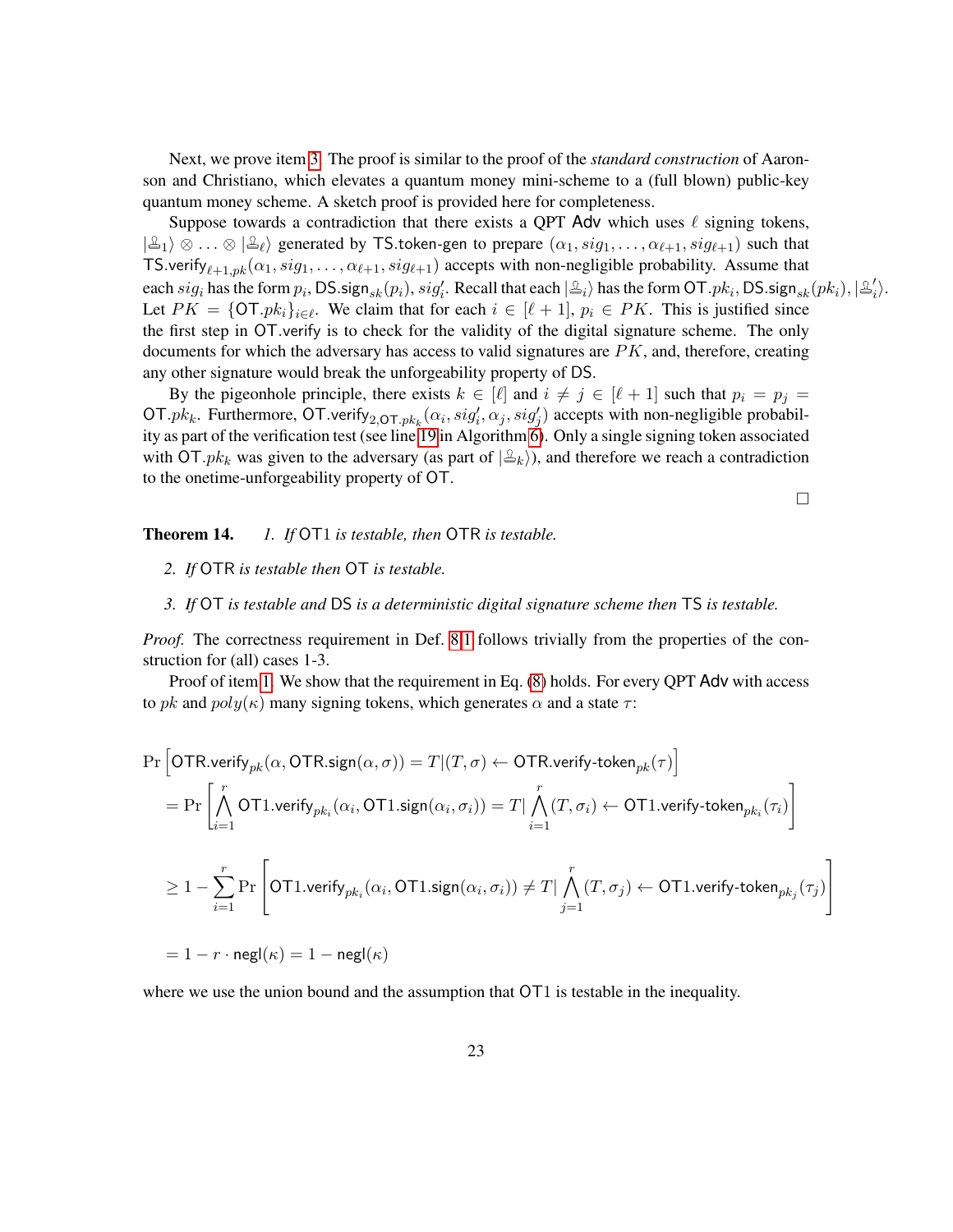Next, we prove item [3.](#page-17-1) The proof is similar to the proof of the *standard construction* of Aaronson and Christiano, which elevates a quantum money mini-scheme to a (full blown) public-key quantum money scheme. A sketch proof is provided here for completeness.

Suppose towards a contradiction that there exists a QPT Adv which uses  $\ell$  signing tokens,  $|\mathcal{L}_1\rangle \otimes \ldots \otimes |\mathcal{L}_\ell\rangle$  generated by TS token-gen to prepare  $(\alpha_1, sig_1, \ldots, \alpha_{\ell+1}, sig_{\ell+1})$  such that TS.verify<sub> $\ell+1,pk$ </sub>  $(\alpha_1, sig_1, \ldots, \alpha_{\ell+1}, sig_{\ell+1})$  accepts with non-negligible probability. Assume that each  $sig_i$  has the form  $p_i$ , DS sign<sub>sk</sub> $(p_i)$ ,  $sig'_i$ . Recall that each  $|\triangleq_i\rangle$  has the form OT  $,pk_i$ , DS sign<sub>sk</sub> $(pk_i)$ ,  $|\triangleq'_i$  $\langle i \rangle$ . Let  $PK = \{\text{OT.} pk_i\}_{i \in \ell}$ . We claim that for each  $i \in [\ell + 1]$ ,  $p_i \in PK$ . This is justified since the first step in OT*.*verify is to check for the validity of the digital signature scheme. The only documents for which the adversary has access to valid signatures are *PK*, and, therefore, creating any other signature would break the unforgeability property of DS.

By the pigeonhole principle, there exists  $k \in [\ell]$  and  $i \neq j \in [\ell + 1]$  such that  $p_i = p_j =$ OT.pk<sub>k</sub>. Furthermore, OT.verify<sub>2,OT.pk<sub>k</sub></sub>( $\alpha_i$ ,  $sig'_i$ ,  $\alpha_j$ ,  $sig'_j$ ) accepts with non-negligible probabil-ity as part of the verification test (see line [19](#page-20-0) in Algorithm  $\check{\text{o}}$ ). Only a single signing token associated with OT.*pk*<sub>k</sub> was given to the adversary (as part of  $|\mathcal{L}_k\rangle$ ), and therefore we reach a contradiction to the onetime-unforgeability property of OT.

 $\Box$ 

#### <span id="page-22-2"></span><span id="page-22-1"></span>Theorem 14. *1. If* OT1 *is testable, then* OTR *is testable.*

- *2. If* OTR *is testable then* OT *is testable.*
- <span id="page-22-0"></span>*3. If* OT *is testable and* DS *is a deterministic digital signature scheme then* TS *is testable.*

*Proof.* The correctness requirement in Def. [8.](#page-14-4)[1](#page-14-6) follows trivially from the properties of the construction for (all) cases 1-3.

Proof of item [1.](#page-22-1) We show that the requirement in Eq. [\(8\)](#page-14-5) holds. For every QPT Adv with access to *pk* and *poly*(*κ*) many signing tokens, which generates *α* and a state *τ* :

$$
\begin{aligned} &\Pr\Big[\text{OTR}.\text{verify}_{pk}(\alpha,\text{OTR}.\text{sign}(\alpha,\sigma))=T|(T,\sigma) \leftarrow \text{OTR}.\text{verify-token}_{pk}(\tau)\Big] \\ &=\Pr\left[\bigwedge_{i=1}^{r} \text{OT1}.\text{verify}_{pk_{i}}(\alpha_{i},\text{OT1}.\text{sign}(\alpha_{i},\sigma_{i}))=T|\bigwedge_{i=1}^{r}(T,\sigma_{i}) \leftarrow \text{OT1}.\text{verify-token}_{pk_{i}}(\tau_{i})\right] \\ &\geq 1-\sum_{i=1}^{r}\Pr\Bigg[\text{OT1}.\text{verify}_{pk_{i}}(\alpha_{i},\text{OT1}.\text{sign}(\alpha_{i},\sigma_{i}))\neq T|\bigwedge_{j=1}^{r}(T,\sigma_{j}) \leftarrow \text{OT1}.\text{verify-token}_{pk_{j}}(\tau_{j})\Bigg] \\ &=1-r\cdot\text{negl}(\kappa)=1-\text{negl}(\kappa) \end{aligned}
$$

where we use the union bound and the assumption that  $\overline{OT1}$  is testable in the inequality.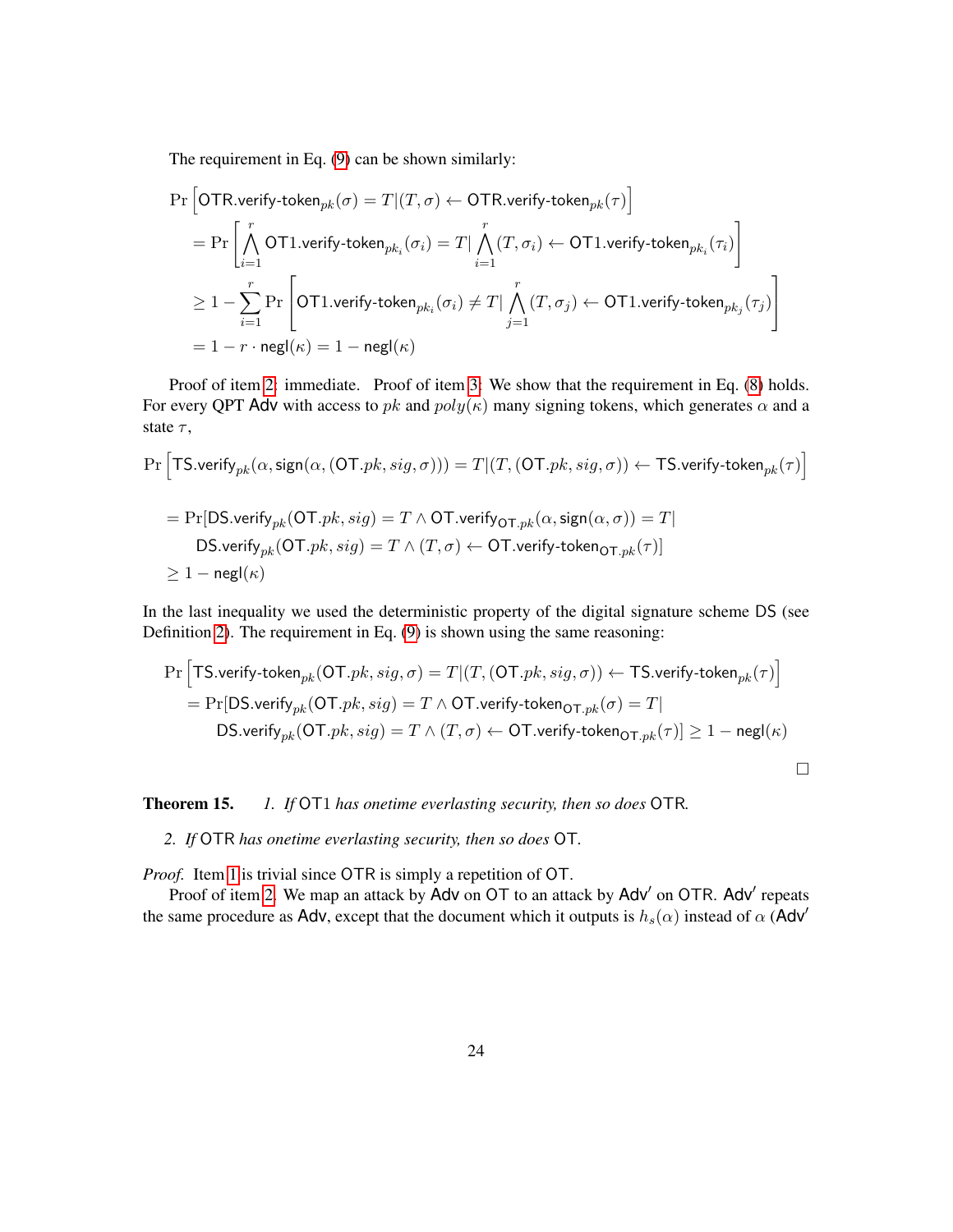<span id="page-23-2"></span>The requirement in Eq. [\(9\)](#page-14-4) can be shown similarly:

$$
\begin{aligned} &\Pr\Big[\text{OTR}.\text{verify-token}_{pk}(\sigma) = T | (T,\sigma) \leftarrow \text{OTR}.\text{verify-token}_{pk}(\tau)\Big] \\ &= \Pr\left[\bigwedge_{i=1}^r \text{OT1}.\text{verify-token}_{pk_i}(\sigma_i) = T | \bigwedge_{i=1}^r (T,\sigma_i) \leftarrow \text{OT1}.\text{verify-token}_{pk_i}(\tau_i)\right] \\ &\geq 1 - \sum_{i=1}^r \Pr\left[\text{OT1}.\text{verify-token}_{pk_i}(\sigma_i) \neq T | \bigwedge_{j=1}^r (T,\sigma_j) \leftarrow \text{OT1}.\text{verify-token}_{pk_j}(\tau_j)\right] \\ &= 1 - r \cdot \text{negl}(\kappa) \\ \end{aligned}
$$

Proof of item [2:](#page-22-2) immediate. Proof of item [3:](#page-22-0) We show that the requirement in Eq. [\(8\)](#page-14-5) holds. For every QPT Adv with access to *pk* and  $poly(\kappa)$  many signing tokens, which generates  $\alpha$  and a state *τ* ,

$$
\begin{aligned} \Pr\Big[\text{TS}.\small \text{verify}_{pk}(\alpha, \text{sign}(\alpha,(\text{OT}.pk, sig, \sigma))) = T | (T,(\text{OT}.pk, sig, \sigma)) \leftarrow \text{TS}.\small \text{verify-token}_{pk}(\tau) \Big] \\ = \Pr[\text{DS}.\small \text{verify}_{pk}(\text{OT}.pk, sig) = T \wedge \text{OT}.\small \text{verify}_{\text{OT}.pk}(\alpha, \text{sign}(\alpha, \sigma)) = T | \\ \text{DS}.\small \text{verify}_{pk}(\text{OT}.pk, sig) = T \wedge (T, \sigma) \leftarrow \text{OT}.\small \text{verify-token}_{\text{OT}.pk}(\tau) ] \\ \geq 1 - \mathsf{negl}(\kappa) \end{aligned}
$$

In the last inequality we used the deterministic property of the digital signature scheme DS (see Definition [2\)](#page-10-2). The requirement in Eq. [\(9\)](#page-14-4) is shown using the same reasoning:

$$
\Pr\Big[\text{TS}.\text{verify-token}_{pk}(\text{OT}.pk, sig, \sigma) = T | (T, (\text{OT}.pk, sig, \sigma)) \leftarrow \text{TS}.\text{verify-token}_{pk}(\tau)\Big] \\ = \Pr[\text{DS}.\text{verify}( \text{OT}.pk, sig) = T \land \text{OT}.\text{verify-token}_{\text{OT}.pk}(\sigma) = T | \\ \text{DS}.\text{verify}( \text{OT}.pk, sig) = T \land (T, \sigma) \leftarrow \text{OT}.\text{verify-token}_{\text{OT}.pk}(\tau)] \ge 1 - \text{negl}(\kappa) \\ \Box
$$

<span id="page-23-1"></span>Theorem 15. *1. If* OT1 *has onetime everlasting security, then so does* OTR*.*

<span id="page-23-0"></span>*2. If* OTR *has onetime everlasting security, then so does* OT*.*

*Proof.* Item [1](#page-23-1) is trivial since OTR is simply a repetition of OT.

Proof of item [2.](#page-23-0) We map an attack by Adv on OT to an attack by Adv' on OTR. Adv' repeats the same procedure as Adv, except that the document which it outputs is  $h_s(\alpha)$  instead of  $\alpha$  (Adv<sup>'</sup>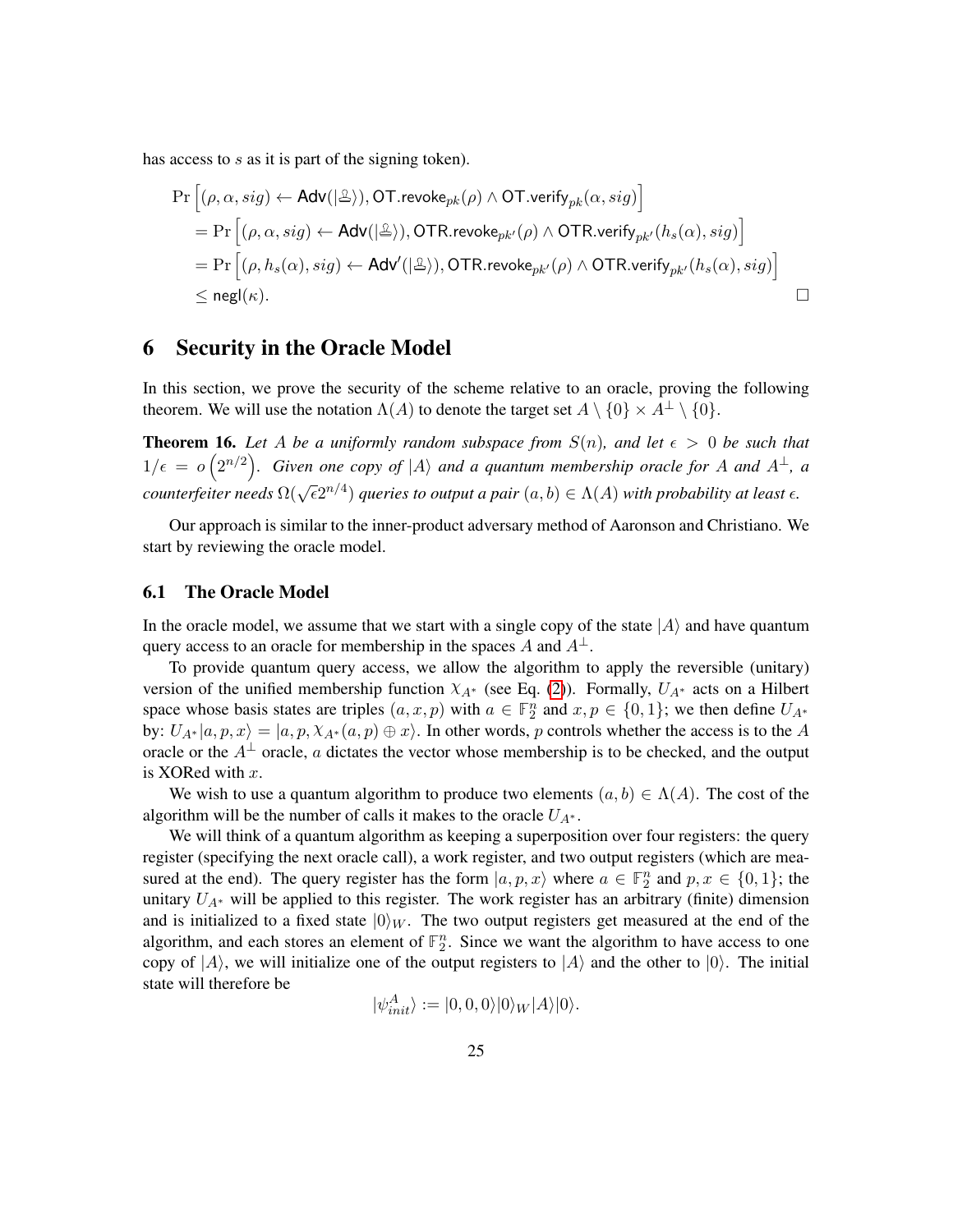<span id="page-24-3"></span>has access to *s* as it is part of the signing token).

$$
\begin{aligned} &\Pr\Big[(\rho,\alpha,sig)\leftarrow \mathsf{Adv}(|\triangle\rangle),\mathsf{OT}.\mathsf{revoke}_{pk}(\rho)\wedge \mathsf{OT}.\mathsf{verify}_{pk}(\alpha,sig)\Big] \\ &=\Pr\Big[(\rho,\alpha,sig)\leftarrow \mathsf{Adv}(|\triangle\rangle),\mathsf{OTR}.\mathsf{revoke}_{pk'}(\rho)\wedge \mathsf{OTR}.\mathsf{verify}_{pk'}(h_s(\alpha),sig)\Big] \\ &=\Pr\Big[(\rho,h_s(\alpha),sig)\leftarrow \mathsf{Adv}'(|\triangle\rangle),\mathsf{OTR}.\mathsf{revoke}_{pk'}(\rho)\wedge \mathsf{OTR}.\mathsf{verify}_{pk'}(h_s(\alpha),sig)\Big] \\ &\leq \mathsf{negl}(\kappa). \end{aligned} \qquad \qquad \Box
$$

### <span id="page-24-0"></span>6 Security in the Oracle Model

In this section, we prove the security of the scheme relative to an oracle, proving the following theorem. We will use the notation  $\Lambda(A)$  to denote the target set  $A \setminus \{0\} \times A^{\perp} \setminus \{0\}.$ 

<span id="page-24-2"></span>**Theorem 16.** Let A be a uniformly random subspace from  $S(n)$ , and let  $\epsilon > 0$  be such that  $1/\epsilon = o\left(2^{n/2}\right)$ . Given one copy of  $|A\rangle$  and a quantum membership oracle for A and  $A^{\perp}$ , a *counterfeiter needs*  $\Omega(\sqrt{\epsilon}2^{n/4})$  *queries to output a pair*  $(a, b) \in \Lambda(A)$  *with probability at least*  $\epsilon$ *.* 

Our approach is similar to the inner-product adversary method of Aaronson and Christiano. We start by reviewing the oracle model.

#### <span id="page-24-1"></span>6.1 The Oracle Model

In the oracle model, we assume that we start with a single copy of the state  $|A\rangle$  and have quantum query access to an oracle for membership in the spaces *A* and  $A^{\perp}$ .

To provide quantum query access, we allow the algorithm to apply the reversible (unitary) version of the unified membership function *χA*<sup>∗</sup> (see Eq. [\(2\)](#page-9-4)). Formally, *UA*<sup>∗</sup> acts on a Hilbert space whose basis states are triples  $(a, x, p)$  with  $a \in \mathbb{F}_2^n$  and  $x, p \in \{0, 1\}$ ; we then define  $U_{A^*}$ by:  $U_{A^*}|a, p, x\rangle = |a, p, \chi_{A^*}(a, p) \oplus x\rangle$ . In other words, *p* controls whether the access is to the *A* oracle or the  $A^{\perp}$  oracle, *a* dictates the vector whose membership is to be checked, and the output is XORed with *x*.

We wish to use a quantum algorithm to produce two elements  $(a, b) \in \Lambda(A)$ . The cost of the algorithm will be the number of calls it makes to the oracle  $U_{A^*}$ .

We will think of a quantum algorithm as keeping a superposition over four registers: the query register (specifying the next oracle call), a work register, and two output registers (which are measured at the end). The query register has the form  $|a, p, x\rangle$  where  $a \in \mathbb{F}_2^n$  and  $p, x \in \{0, 1\}$ ; the unitary  $U_{A^*}$  will be applied to this register. The work register has an arbitrary (finite) dimension and is initialized to a fixed state  $|0\rangle_W$ . The two output registers get measured at the end of the algorithm, and each stores an element of  $\mathbb{F}_2^n$ . Since we want the algorithm to have access to one copy of  $|A\rangle$ , we will initialize one of the output registers to  $|A\rangle$  and the other to  $|0\rangle$ . The initial state will therefore be

$$
|\psi_{init}^A\rangle := |0,0,0\rangle|0\rangle_W|A\rangle|0\rangle.
$$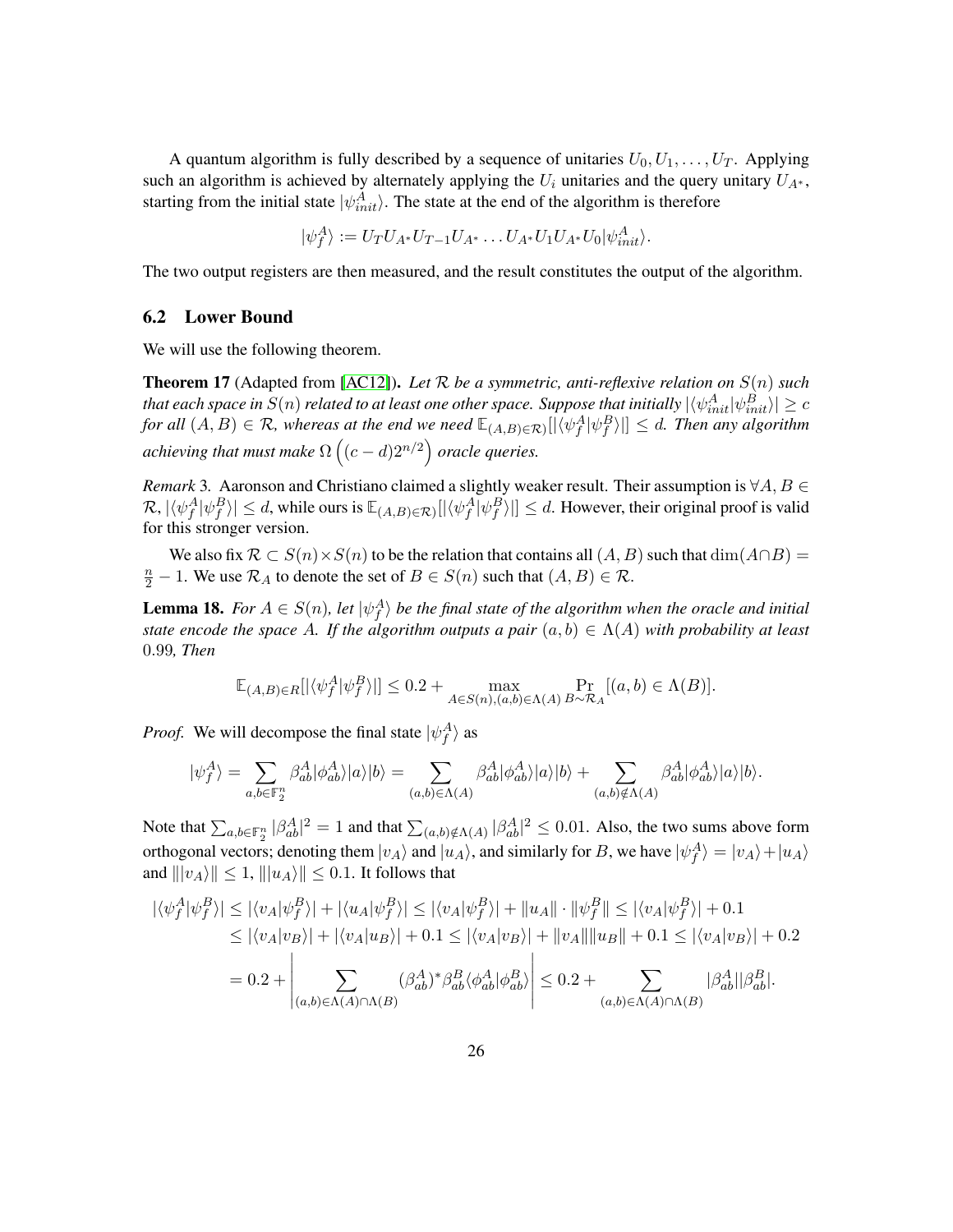A quantum algorithm is fully described by a sequence of unitaries  $U_0, U_1, \ldots, U_T$ . Applying such an algorithm is achieved by alternately applying the  $U_i$  unitaries and the query unitary  $U_{A^*}$ , starting from the initial state  $|\psi_{init}^A\rangle$ . The state at the end of the algorithm is therefore

$$
|\psi_f^A\rangle := U_T U_{A^*} U_{T-1} U_{A^*} \dots U_{A^*} U_1 U_{A^*} U_0 |\psi_{init}^A\rangle.
$$

The two output registers are then measured, and the result constitutes the output of the algorithm.

#### <span id="page-25-0"></span>6.2 Lower Bound

We will use the following theorem.

<span id="page-25-2"></span>Theorem 17 (Adapted from [\[AC12\]](#page-38-1)). *Let* R *be a symmetric, anti-reflexive relation on S*(*n*) *such that each space in*  $S(n)$  *related to at least one other space. Suppose that initially*  $|\langle \psi^A_{init} | \psi^B_{init} \rangle| \ge c$  $f$ *or all*  $(A, B) \in \mathcal{R}$ , whereas at the end we need  $\mathbb{E}_{(A, B) \in \mathcal{R}}([\langle \psi_f^A | \psi_f^B \rangle]] \le d$ . Then any algorithm achieving that must make  $\Omega\left((c-d)2^{n/2}\right)$  oracle queries.

*Remark* 3*.* Aaronson and Christiano claimed a slightly weaker result. Their assumption is ∀*A, B* ∈  $\mathcal{R}, |\langle \psi_f^A | \psi_f^B \rangle| \leq d$ , while ours is  $\mathbb{E}_{(A,B) \in \mathcal{R}}[|\langle \psi_f^A | \psi_f^B \rangle|] \leq d$ . However, their original proof is valid for this stronger version.

We also fix  $\mathcal{R} \subset S(n) \times S(n)$  to be the relation that contains all  $(A, B)$  such that  $\dim(A \cap B)$ *n*<sup>2</sup> − 1. We use  $\mathcal{R}_A$  to denote the set of *B* ∈ *S*(*n*) such that  $(A, B)$  ∈  $\mathcal{R}$ .

<span id="page-25-1"></span>**Lemma 18.** *For*  $A \in S(n)$ *, let*  $|\psi_f^A\rangle$  *be the final state of the algorithm when the oracle and initial state encode the space A. If the algorithm outputs a pair*  $(a, b) \in \Lambda(A)$  *with probability at least* 0*.*99*, Then*

$$
\mathbb{E}_{(A,B)\in R}[|\langle \psi_f^A|\psi_f^B\rangle|] \leq 0.2 + \max_{A\in S(n),(a,b)\in \Lambda(A)} \Pr_{B\sim \mathcal{R}_A}[(a,b)\in \Lambda(B)].
$$

*Proof.* We will decompose the final state  $|\psi_f^A\rangle$  as

$$
|\psi^A_f\rangle=\sum_{a,b\in\mathbb{F}_2^n}\beta^A_{ab}|\phi^A_{ab}\rangle|a\rangle|b\rangle=\sum_{(a,b)\in\Lambda(A)}\beta^A_{ab}|\phi^A_{ab}\rangle|a\rangle|b\rangle+\sum_{(a,b)\notin\Lambda(A)}\beta^A_{ab}|\phi^A_{ab}\rangle|a\rangle|b\rangle.
$$

Note that  $\sum_{a,b\in\mathbb{F}_2^n} |\beta_{ab}^A|^2 = 1$  and that  $\sum_{(a,b)\notin\Lambda(A)} |\beta_{ab}^A|^2 \le 0.01$ . Also, the two sums above form orthogonal vectors; denoting them  $|v_A\rangle$  and  $|u_A\rangle$ , and similarly for *B*, we have  $|\psi_f^A\rangle = |v_A\rangle + |u_A\rangle$ and  $||v_A|| \leq 1$ ,  $||u_A|| \leq 0.1$ . It follows that

$$
|\langle \psi_f^A | \psi_f^B \rangle| \le |\langle v_A | \psi_f^B \rangle| + |\langle u_A | \psi_f^B \rangle| \le |\langle v_A | \psi_f^B \rangle| + ||u_A|| \cdot ||\psi_f^B|| \le |\langle v_A | \psi_f^B \rangle| + 0.1
$$
  
\n
$$
\le |\langle v_A | v_B \rangle| + |\langle v_A | u_B \rangle| + 0.1 \le |\langle v_A | v_B \rangle| + ||v_A|| ||u_B|| + 0.1 \le |\langle v_A | v_B \rangle| + 0.2
$$
  
\n
$$
= 0.2 + \left| \sum_{(a,b) \in \Lambda(A) \cap \Lambda(B)} (\beta_{ab}^A)^* \beta_{ab}^B \langle \phi_{ab}^A | \phi_{ab}^B \rangle \right| \le 0.2 + \sum_{(a,b) \in \Lambda(A) \cap \Lambda(B)} |\beta_{ab}^A| |\beta_{ab}^B|.
$$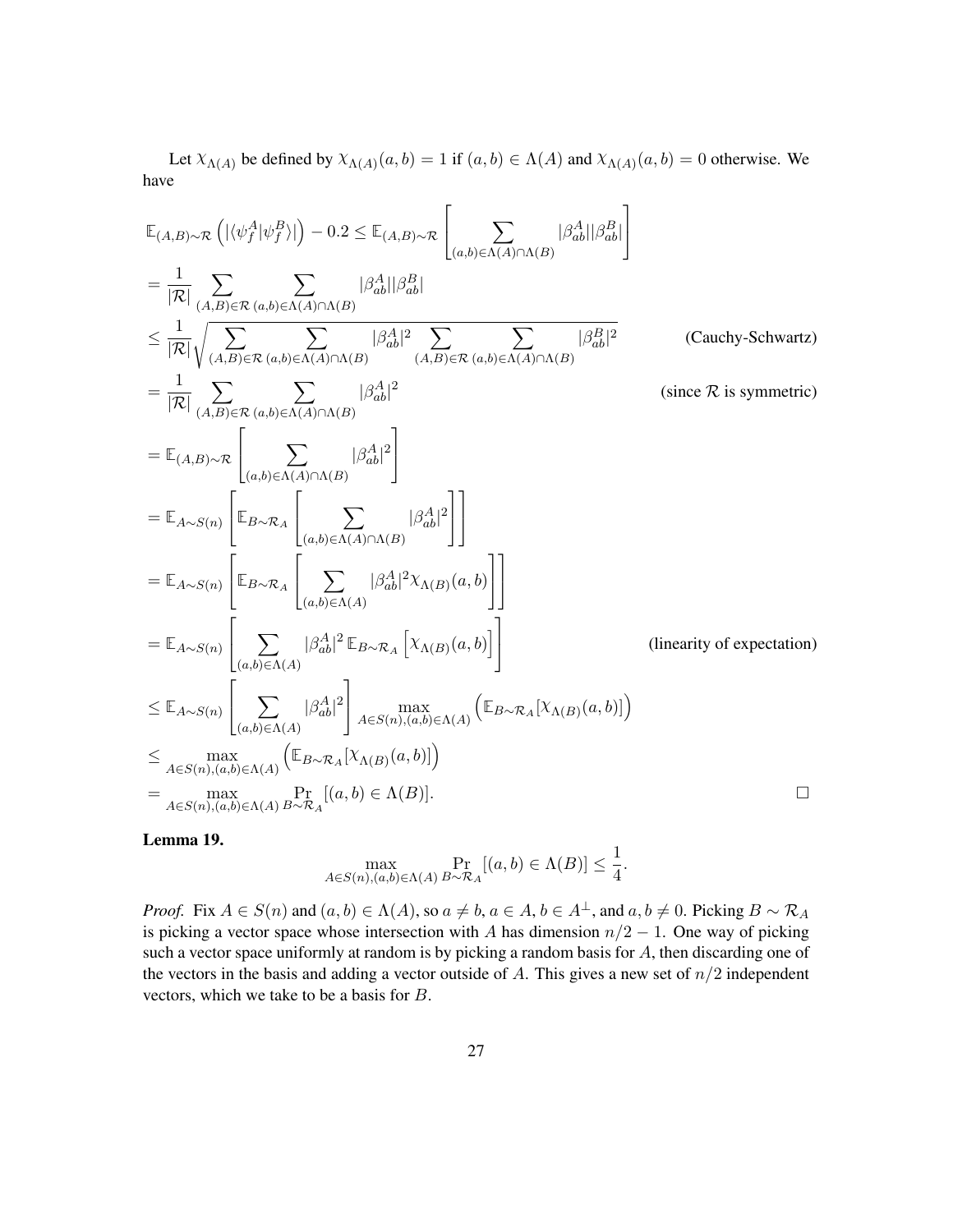Let  $X_{\Lambda(A)}$  be defined by  $X_{\Lambda(A)}(a, b) = 1$  if  $(a, b) \in \Lambda(A)$  and  $X_{\Lambda(A)}(a, b) = 0$  otherwise. We have

$$
\mathbb{E}_{(A,B)\sim\mathcal{R}}\left(|\langle\psi_{f}^{A}|\psi_{f}^{B}\rangle|\right)-0.2 \leq \mathbb{E}_{(A,B)\sim\mathcal{R}}\left[\sum_{(a,b)\in\Lambda(A)\cap\Lambda(B)}|\beta_{ab}^{A}||\beta_{ab}^{B}|\right]
$$
\n
$$
=\frac{1}{|\mathcal{R}|}\sum_{(A,B)\in\mathcal{R}}\sum_{(a,b)\in\Lambda(A)\cap\Lambda(B)}|\beta_{ab}^{A}||\beta_{ab}^{B}|\
$$
\n
$$
\leq \frac{1}{|\mathcal{R}|}\sqrt{\sum_{(A,B)\in\mathcal{R}}\sum_{(a,b)\in\Lambda(A)\cap\Lambda(B)}|\beta_{ab}^{A}|^{2}\sum_{(A,B)\in\mathcal{R}}\sum_{(a,b)\in\Lambda(A)\cap\Lambda(B)}|\beta_{ab}^{B}|^{2}} \qquad \text{(Cauchy-Schwartz)}
$$
\n
$$
=\frac{1}{|\mathcal{R}|}\sum_{(A,B)\in\mathcal{R}}\sum_{(a,b)\in\Lambda(A)\cap\Lambda(B)}|\beta_{ab}^{A}|^{2}\left[\sum_{(a,b)\in\Lambda(A)\cap\Lambda(B)}|\beta_{ab}^{A}|^{2}\right]\qquad \text{(since }\mathcal{R} \text{ is symmetric)}
$$
\n
$$
=\mathbb{E}_{A\sim S(n)}\left[\mathbb{E}_{B\sim\mathcal{R}_{A}}\left[\sum_{(a,b)\in\Lambda(A)\cap\Lambda(B)}|\beta_{ab}^{A}|^{2}\right]\right]
$$
\n
$$
=\mathbb{E}_{A\sim S(n)}\left[\mathbb{E}_{B\sim\mathcal{R}_{A}}\left[\sum_{(a,b)\in\Lambda(A)}|\beta_{ab}^{A}|^{2}\mathbb{E}_{B\sim\mathcal{R}_{A}}\left[\chi_{\Lambda(B)}(a,b)\right]\right]\right]
$$
\n
$$
=\mathbb{E}_{A\sim S(n)}\left[\sum_{(a,b)\in\Lambda(A)}|\beta_{ab}^{A}|^{2}\mathbb{E}_{B\sim\mathcal{R}_{A}}\left[\chi_{\Lambda(B)}(a,b)\right]\right]
$$
\n
$$
\leq \mathbb{E}_{A\sim S(n)}\left[\sum_{(a,b)\in\Lambda(A)}|\beta_{ab}^{A}|^{2}\right]_{A\in S(n),(a,b)\in\Lambda(A)}\left(\mathbb{E}_{B\sim\mathcal{R}_{A}}[\chi_{\Lambda(B)}(a,b)]\right)
$$
\n

### <span id="page-26-0"></span>Lemma 19.

$$
\max_{A \in S(n), (a,b) \in \Lambda(A)} \Pr_{B \sim \mathcal{R}_A} [(a,b) \in \Lambda(B)] \leq \frac{1}{4}.
$$

*Proof.* Fix  $A \in S(n)$  and  $(a, b) \in \Lambda(A)$ , so  $a \neq b$ ,  $a \in A$ ,  $b \in A^{\perp}$ , and  $a, b \neq 0$ . Picking  $B \sim \mathcal{R}_A$ is picking a vector space whose intersection with *A* has dimension  $n/2 - 1$ . One way of picking such a vector space uniformly at random is by picking a random basis for *A*, then discarding one of the vectors in the basis and adding a vector outside of *A*. This gives a new set of *n/*2 independent vectors, which we take to be a basis for *B*.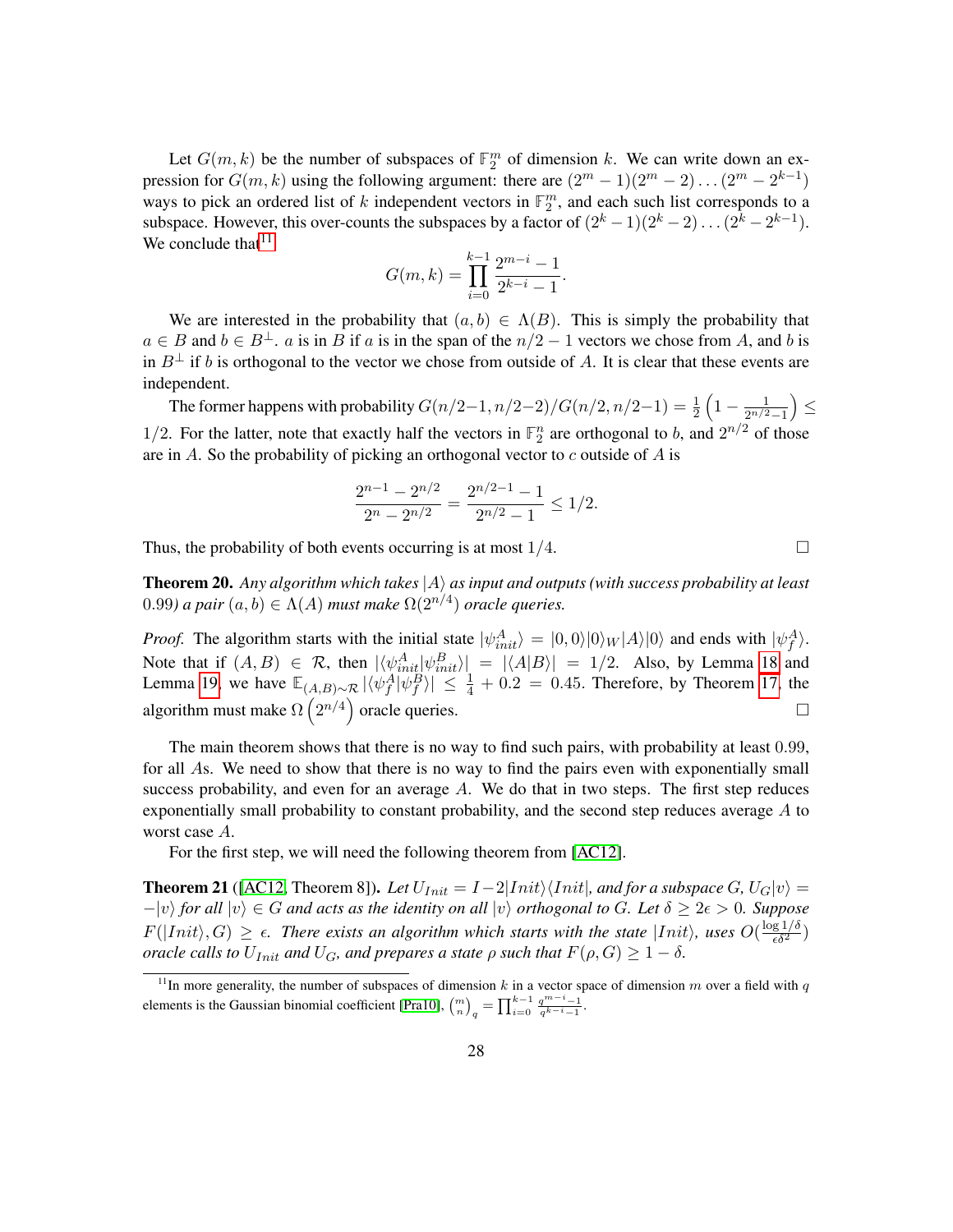Let  $G(m, k)$  be the number of subspaces of  $\mathbb{F}_2^m$  of dimension k. We can write down an expression for  $G(m, k)$  using the following argument: there are  $(2^m - 1)(2^m - 2) \dots (2^m - 2^{k-1})$ ways to pick an ordered list of  $k$  independent vectors in  $\mathbb{F}_2^m$ , and each such list corresponds to a subspace. However, this over-counts the subspaces by a factor of  $(2<sup>k</sup> - 1)(2<sup>k</sup> - 2) \dots (2<sup>k</sup> - 2<sup>k-1</sup>)$ . We conclude that  $11$ 

$$
G(m,k) = \prod_{i=0}^{k-1} \frac{2^{m-i} - 1}{2^{k-i} - 1}.
$$

We are interested in the probability that  $(a, b) \in \Lambda(B)$ . This is simply the probability that *a* ∈ *B* and *b* ∈ *B*<sup>⊥</sup>. *a* is in *B* if *a* is in the span of the *n/*2 − 1 vectors we chose from *A*, and *b* is in  $B^{\perp}$  if *b* is orthogonal to the vector we chose from outside of *A*. It is clear that these events are independent.

The former happens with probability  $G(n/2-1, n/2-2)/G(n/2, n/2-1) = \frac{1}{2}\left(1 - \frac{1}{2^{n/2}}\right)$ 2 *n/*2−1 ≤ 1/2. For the latter, note that exactly half the vectors in  $\mathbb{F}_2^n$  are orthogonal to *b*, and  $2^{n/2}$  of those are in *A*. So the probability of picking an orthogonal vector to *c* outside of *A* is

$$
\frac{2^{n-1} - 2^{n/2}}{2^n - 2^{n/2}} = \frac{2^{n/2 - 1} - 1}{2^{n/2} - 1} \le 1/2.
$$

Thus, the probability of both events occurring is at most  $1/4$ .

<span id="page-27-1"></span>Theorem 20. *Any algorithm which takes* |*A*i *as input and outputs (with success probability at least*  $(0.99)$  a pair  $(a, b) \in \Lambda(A)$  must make  $\Omega(2^{n/4})$  oracle queries.

*Proof.* The algorithm starts with the initial state  $|\psi_{init}^A\rangle = |0,0\rangle|0\rangle_W|A\rangle|0\rangle$  and ends with  $|\psi_f^A\rangle$ . Note that if  $(A, B) \in \mathcal{R}$ , then  $|\langle \psi_{init}^A | \psi_{init}^B \rangle| = |\langle A|B \rangle| = 1/2$ . Also, by Lemma [18](#page-25-1) and Lemma [19,](#page-26-0) we have  $\mathbb{E}_{(A,B)\sim \mathcal{R}} |\langle \psi_f^A | \psi_f^B \rangle| \leq \frac{1}{4} + 0.2 = 0.45$ . Therefore, by Theorem [17,](#page-25-2) the algorithm must make  $\Omega\left(2^{n/4}\right)$  oracle queries.

The main theorem shows that there is no way to find such pairs, with probability at least 0*.*99, for all *A*s. We need to show that there is no way to find the pairs even with exponentially small success probability, and even for an average *A*. We do that in two steps. The first step reduces exponentially small probability to constant probability, and the second step reduces average *A* to worst case *A*.

For the first step, we will need the following theorem from [\[AC12\]](#page-38-1).

<span id="page-27-2"></span>**Theorem 21** ([\[AC12,](#page-38-1) Theorem 8]). Let  $U_{Init} = I - 2|Init \rangle \langleInit|$ , and for a subspace G,  $U_G|v\rangle =$  $-|v\rangle$  *for all*  $|v\rangle \in G$  *and acts as the identity on all*  $|v\rangle$  *orthogonal to G. Let*  $\delta \geq 2\epsilon > 0$ *. Suppose*  $F(|Init\rangle, G) \geq \epsilon$ . There exists an algorithm which starts with the state  $|Init\rangle$ , uses  $O(\frac{\log 1/\delta}{\epsilon \delta^2})$ *oracle calls to*  $U_{Init}$  *and*  $U_G$ *, and prepares a state*  $\rho$  *such that*  $F(\rho, G) \geq 1 - \delta$ *.* 

<span id="page-27-0"></span><sup>&</sup>lt;sup>11</sup>In more generality, the number of subspaces of dimension  $k$  in a vector space of dimension  $m$  over a field with  $q$ elements is the Gaussian binomial coefficient [\[Pra10\]](#page-41-4),  $\binom{m}{n}_q = \prod_{i=0}^{k-1} \frac{q^{m-i}-1}{q^{k-i}-1}$ .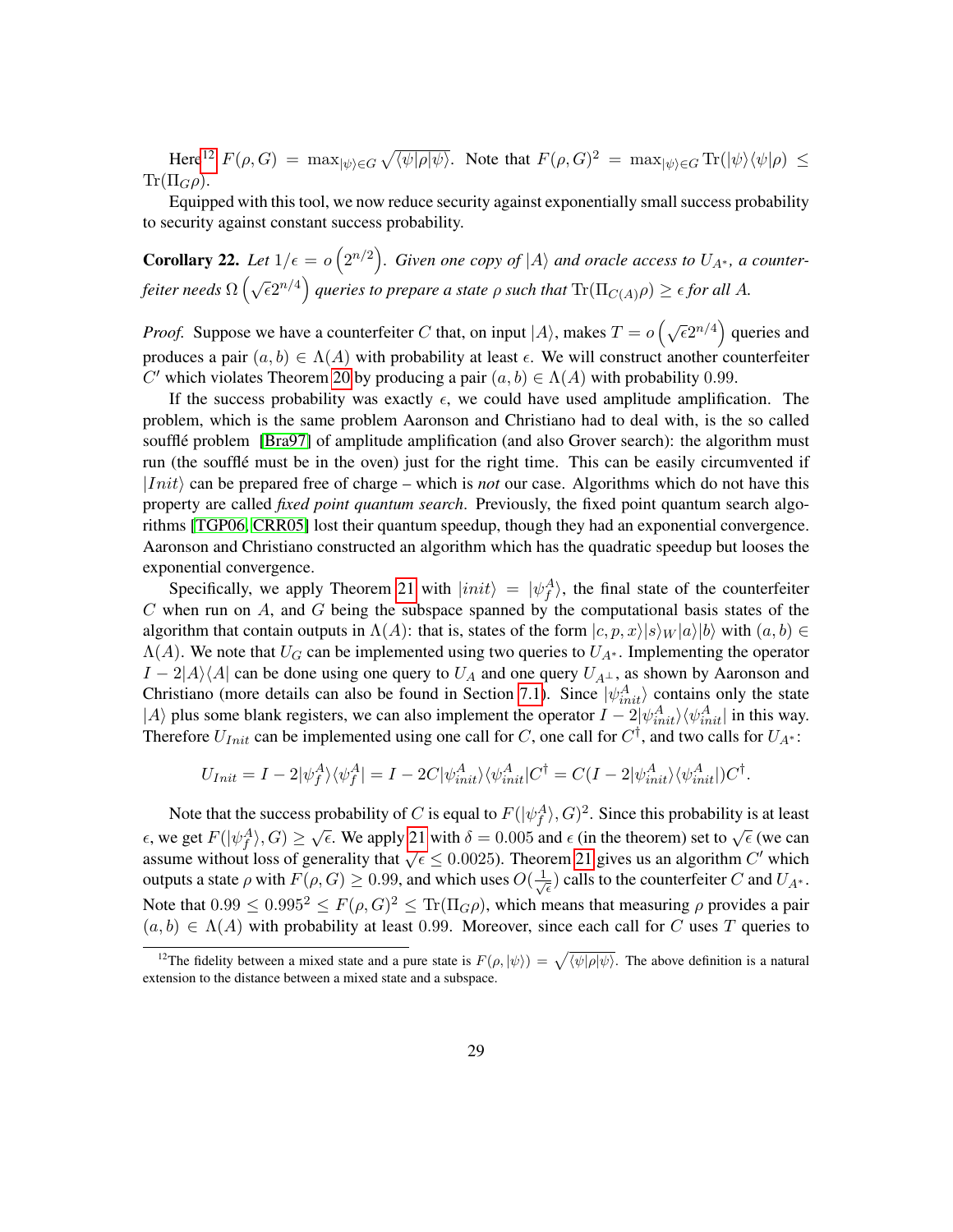<span id="page-28-2"></span> $\text{Here}^{12}$  $\text{Here}^{12}$  $\text{Here}^{12}$   $F(\rho, G) = \max_{|\psi\rangle \in G} \sqrt{\langle \psi | \rho | \psi \rangle}$ . Note that  $F(\rho, G)^2 = \max_{|\psi\rangle \in G} \text{Tr}(|\psi\rangle \langle \psi | \rho) \le$  $\text{Tr}(\Pi_G \rho)$ .

Equipped with this tool, we now reduce security against exponentially small success probability to security against constant success probability.

<span id="page-28-1"></span>**Corollary 22.** Let  $1/\epsilon = o(2^{n/2})$ . Given one copy of  $|A\rangle$  and oracle access to  $U_{A^*}$ , a counter- $\int$ *feiter needs*  $\Omega$   $\left(\sqrt{\epsilon}2^{n/4}\right)$  queries to prepare a state  $\rho$  such that  $\text{Tr}(\Pi_{C(A)}\rho)\geq \epsilon$  for all A.

*Proof.* Suppose we have a counterfeiter *C* that, on input  $|A\rangle$ , makes  $T = o\left(\sqrt{\epsilon}2^{n/4}\right)$  queries and produces a pair  $(a, b) \in \Lambda(A)$  with probability at least  $\epsilon$ . We will construct another counterfeiter *C*' which violates Theorem [20](#page-27-1) by producing a pair  $(a, b) \in \Lambda(A)$  with probability 0*.*99.

If the success probability was exactly  $\epsilon$ , we could have used amplitude amplification. The problem, which is the same problem Aaronson and Christiano had to deal with, is the so called soufflé problem [\[Bra97\]](#page-39-1) of amplitude amplification (and also Grover search): the algorithm must run (the soufflé must be in the oven) just for the right time. This can be easily circumvented if  $|Init\rangle$  can be prepared free of charge – which is *not* our case. Algorithms which do not have this property are called *fixed point quantum search*. Previously, the fixed point quantum search algorithms [\[TGP06,](#page-41-5) [CRR05\]](#page-39-2) lost their quantum speedup, though they had an exponential convergence. Aaronson and Christiano constructed an algorithm which has the quadratic speedup but looses the exponential convergence.

Specifically, we apply Theorem [21](#page-27-2) with  $|init\rangle = |\psi_f^A\rangle$ , the final state of the counterfeiter *C* when run on *A*, and *G* being the subspace spanned by the computational basis states of the algorithm that contain outputs in  $\Lambda(A)$ : that is, states of the form  $|c, p, x\rangle |s\rangle \langle w|a\rangle |b\rangle$  with  $(a, b) \in$  $\Lambda(A)$ . We note that  $U_G$  can be implemented using two queries to  $U_{A^*}$ . Implementing the operator  $I - 2|A\rangle\langle A|$  can be done using one query to  $U_A$  and one query  $U_{A^{\perp}}$ , as shown by Aaronson and Christiano (more details can also be found in Section [7.1\)](#page-29-1). Since  $|\psi_{init}^A\rangle$  contains only the state  $|A\rangle$  plus some blank registers, we can also implement the operator  $I - 2|\psi_{init}^A\rangle\langle\psi_{init}^A|$  in this way. Therefore  $U_{Init}$  can be implemented using one call for *C*, one call for  $C^{\dagger}$ , and two calls for  $U_{A^*}$ :

$$
U_{Init} = I - 2|\psi_f^A\rangle\langle\psi_f^A| = I - 2C|\psi_{init}^A\rangle\langle\psi_{init}^A|C^\dagger = C(I - 2|\psi_{init}^A\rangle\langle\psi_{init}^A|)C^\dagger.
$$

Note that the success probability of *C* is equal to  $F(|\psi_f^A\rangle, G)^2$ . Since this probability is at least *f*, we get  $F(|\psi_f^A\rangle, G) \ge \sqrt{\epsilon}$ . We apply [21](#page-27-2) with  $\delta = 0.005$  and  $\epsilon$  (in the theorem) set to  $\sqrt{\epsilon}$  (we can assume without loss of generality that  $\sqrt{\epsilon} \le 0.0025$ ). Theorem [21](#page-27-2) gives us an algorithm *C'* which assume without loss of generality that  $\sqrt{\epsilon} \le 0.0025$ ). Theorem 21 gives us an algorithm *C'* which outputs a state  $\rho$  with  $F(\rho, G) \ge 0.99$ , and which uses  $O(\frac{1}{\sqrt{2}})$  $(\frac{1}{\epsilon})$  calls to the counterfeiter *C* and  $U_{A^*}$ . Note that  $0.99 \le 0.995^2 \le F(\rho, G)^2 \le \text{Tr}(\Pi_G \rho)$ , which means that measuring  $\rho$  provides a pair  $(a, b) \in \Lambda(A)$  with probability at least 0.99. Moreover, since each call for *C* uses *T* queries to

<span id="page-28-0"></span><sup>&</sup>lt;sup>12</sup>The fidelity between a mixed state and a pure state is  $F(\rho, |\psi\rangle) = \sqrt{\langle \psi | \rho | \psi \rangle}$ . The above definition is a natural extension to the distance between a mixed state and a subspace.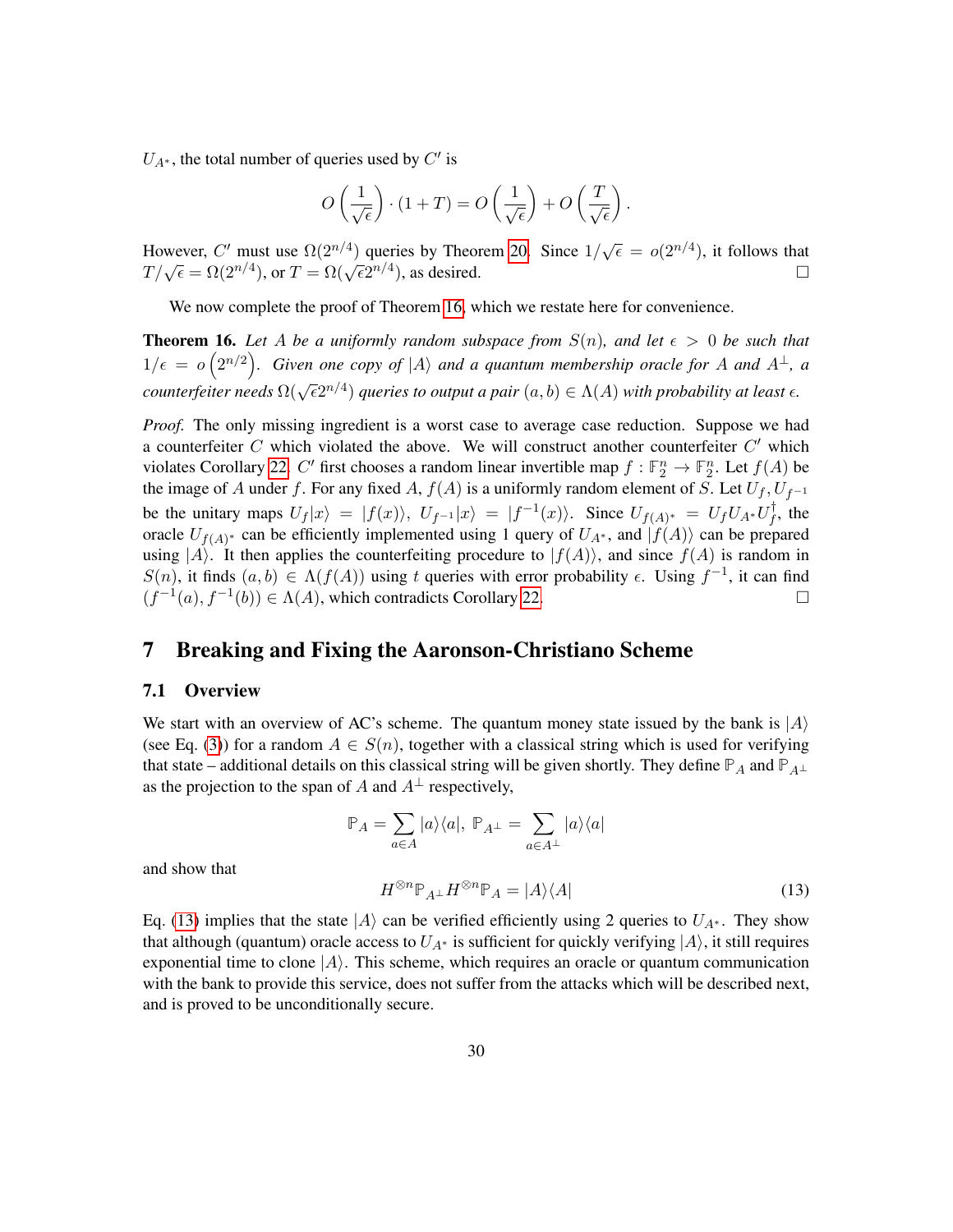<span id="page-29-3"></span> $U_{A^*}$ , the total number of queries used by  $C'$  is

$$
O\left(\frac{1}{\sqrt{\epsilon}}\right) \cdot (1+T) = O\left(\frac{1}{\sqrt{\epsilon}}\right) + O\left(\frac{T}{\sqrt{\epsilon}}\right).
$$

However, *C'* must use  $\Omega(2^{n/4})$  queries by Theorem [20.](#page-27-1) Since  $1/\sqrt{\epsilon} = o(2^{n/4})$ , it follows that *T*/ $\sqrt{\epsilon} = \Omega(2^{n/4})$ , or  $T = \Omega(\sqrt{\epsilon}2^{n/4})$ , as desired.

We now complete the proof of Theorem [16,](#page-24-2) which we restate here for convenience.

**Theorem 16.** Let A be a uniformly random subspace from  $S(n)$ , and let  $\epsilon > 0$  be such that  $1/\epsilon = o\left(2^{n/2}\right)$ . Given one copy of  $|A\rangle$  and a quantum membership oracle for A and  $A^{\perp}$ , a *counterfeiter needs*  $\Omega(\sqrt{\epsilon}2^{n/4})$  *queries to output a pair*  $(a, b) \in \Lambda(A)$  *with probability at least*  $\epsilon$ *.* 

*Proof.* The only missing ingredient is a worst case to average case reduction. Suppose we had a counterfeiter  $C$  which violated the above. We will construct another counterfeiter  $C'$  which violates Corollary [22.](#page-28-1) *C*' first chooses a random linear invertible map  $f : \mathbb{F}_2^n \to \mathbb{F}_2^n$ . Let  $f(A)$  be the image of *A* under *f*. For any fixed *A*,  $f(A)$  is a uniformly random element of *S*. Let  $U_f$ ,  $U_{f^{-1}}$ be the unitary maps  $U_f|x\rangle = |f(x)\rangle$ ,  $U_{f^{-1}}|x\rangle = |f^{-1}(x)\rangle$ . Since  $U_{f(A)^*} = U_f U_{A^*} U_f^{\dagger}$  $f$ , the oracle  $U_{f(A)^*}$  can be efficiently implemented using 1 query of  $U_{A^*}$ , and  $|f(A)\rangle$  can be prepared using  $|A\rangle$ . It then applies the counterfeiting procedure to  $|f(A)\rangle$ , and since  $f(A)$  is random in *S*(*n*), it finds  $(a, b)$  ∈  $Λ(f(A))$  using *t* queries with error probability  $ε$ . Using  $f^{-1}$ , it can find  $(f^{-1}(a), f^{-1}(b)) \in \Lambda(A)$ , which contradicts Corollary [22.](#page-28-1)

### <span id="page-29-0"></span>7 Breaking and Fixing the Aaronson-Christiano Scheme

#### <span id="page-29-1"></span>7.1 Overview

We start with an overview of AC's scheme. The quantum money state issued by the bank is  $|A\rangle$ (see Eq. [\(3\)](#page-10-4)) for a random  $A \in S(n)$ , together with a classical string which is used for verifying that state – additional details on this classical string will be given shortly. They define  $\mathbb{P}_A$  and  $\mathbb{P}_{A^\perp}$ as the projection to the span of *A* and  $A^{\perp}$  respectively,

> <span id="page-29-2"></span> $\mathbb{P}_A = \sum$ *a*∈*A*  $|a\rangle\langle a|, P_{A^{\perp}} = \sum$ *a*∈*A*<sup>⊥</sup>  $|a\rangle\langle a|$  $H^{\otimes n} \mathbb{P}_{A^\perp} H^{\otimes n} \mathbb{P}_A = |A\rangle\langle A|$  (13)

and show that

Eq. [\(13\)](#page-29-2) implies that the state  $|A\rangle$  can be verified efficiently using 2 queries to  $U_{A^*}$ . They show that although (quantum) oracle access to  $U_{A^*}$  is sufficient for quickly verifying  $|A\rangle$ , it still requires exponential time to clone  $|A\rangle$ . This scheme, which requires an oracle or quantum communication with the bank to provide this service, does not suffer from the attacks which will be described next, and is proved to be unconditionally secure.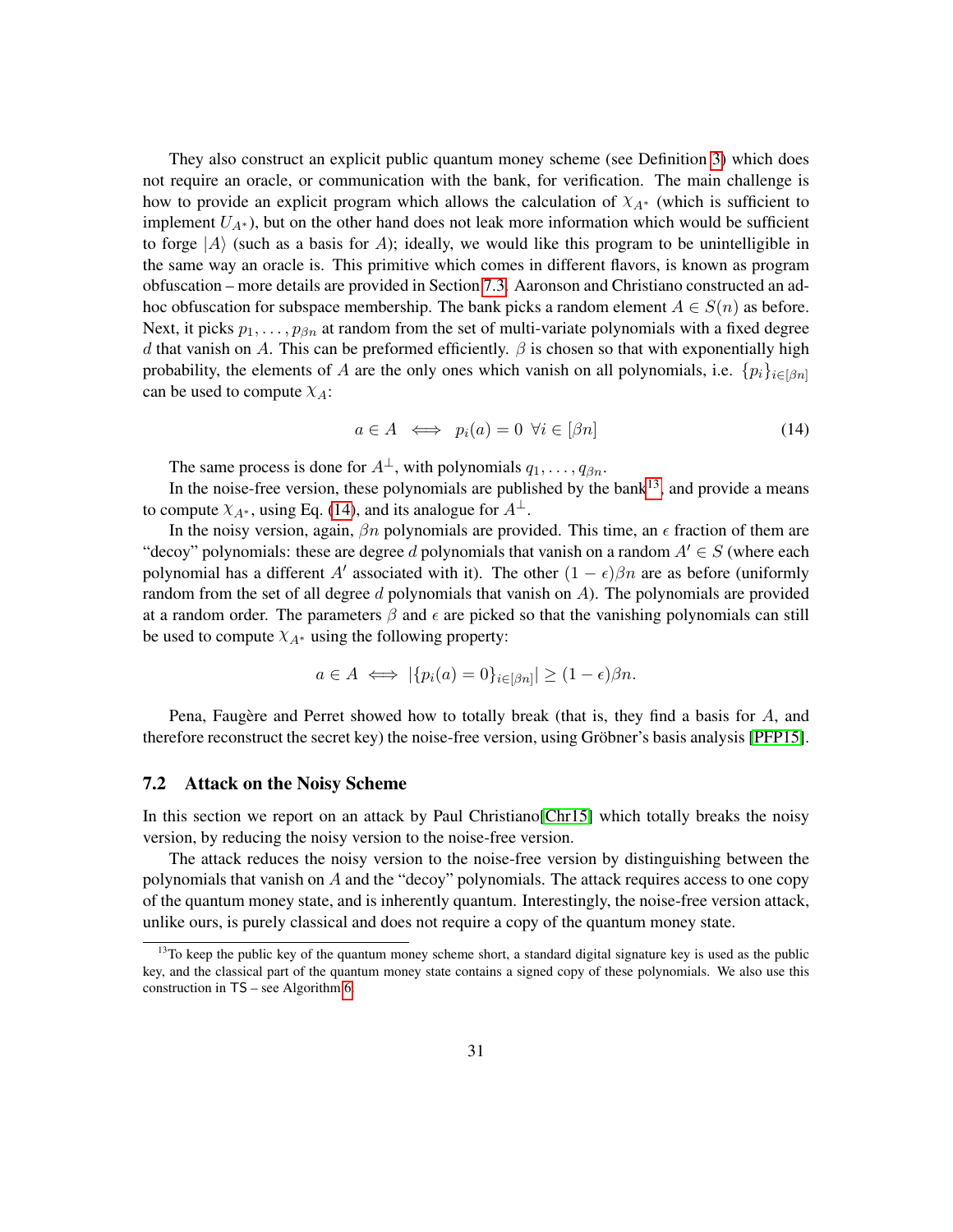<span id="page-30-3"></span>They also construct an explicit public quantum money scheme (see Definition [3\)](#page-12-1) which does not require an oracle, or communication with the bank, for verification. The main challenge is how to provide an explicit program which allows the calculation of *χA*<sup>∗</sup> (which is sufficient to implement *UA*<sup>∗</sup> ), but on the other hand does not leak more information which would be sufficient to forge  $|A\rangle$  (such as a basis for *A*); ideally, we would like this program to be unintelligible in the same way an oracle is. This primitive which comes in different flavors, is known as program obfuscation – more details are provided in Section [7.3.](#page-31-0) Aaronson and Christiano constructed an adhoc obfuscation for subspace membership. The bank picks a random element  $A \in S(n)$  as before. Next, it picks *p*1*, . . . , pβn* at random from the set of multi-variate polynomials with a fixed degree *d* that vanish on *A*. This can be preformed efficiently. *β* is chosen so that with exponentially high probability, the elements of *A* are the only ones which vanish on all polynomials, i.e.  $\{p_i\}_{i\in[\beta_n]}$ can be used to compute *χA*:

<span id="page-30-2"></span>
$$
a \in A \iff p_i(a) = 0 \quad \forall i \in [\beta n] \tag{14}
$$

The same process is done for  $A^{\perp}$ , with polynomials  $q_1, \ldots, q_{\beta n}$ .

In the noise-free version, these polynomials are published by the bank<sup>[13](#page-30-1)</sup>, and provide a means to compute  $\chi_{A^*}$ , using Eq. [\(14\)](#page-30-2), and its analogue for  $A^{\perp}$ .

In the noisy version, again,  $\beta n$  polynomials are provided. This time, an  $\epsilon$  fraction of them are "decoy" polynomials: these are degree *d* polynomials that vanish on a random  $A' \in S$  (where each polynomial has a different *A'* associated with it). The other  $(1 - \epsilon)\beta n$  are as before (uniformly random from the set of all degree *d* polynomials that vanish on *A*). The polynomials are provided at a random order. The parameters  $\beta$  and  $\epsilon$  are picked so that the vanishing polynomials can still be used to compute  $X_{A^*}$  using the following property:

$$
a \in A \iff |\{p_i(a) = 0\}_{i \in [\beta n]}| \ge (1 - \epsilon)\beta n.
$$

Pena, Faugère and Perret showed how to totally break (that is, they find a basis for *A*, and therefore reconstruct the secret key) the noise-free version, using Gröbner's basis analysis [\[PFP15\]](#page-41-0).

#### <span id="page-30-0"></span>7.2 Attack on the Noisy Scheme

In this section we report on an attack by Paul Christiano [\[Chr15\]](#page-39-3) which totally breaks the noisy version, by reducing the noisy version to the noise-free version.

The attack reduces the noisy version to the noise-free version by distinguishing between the polynomials that vanish on *A* and the "decoy" polynomials. The attack requires access to one copy of the quantum money state, and is inherently quantum. Interestingly, the noise-free version attack, unlike ours, is purely classical and does not require a copy of the quantum money state.

<span id="page-30-1"></span> $13$ To keep the public key of the quantum money scheme short, a standard digital signature key is used as the public key, and the classical part of the quantum money state contains a signed copy of these polynomials. We also use this construction in TS – see Algorithm [6.](#page-20-0)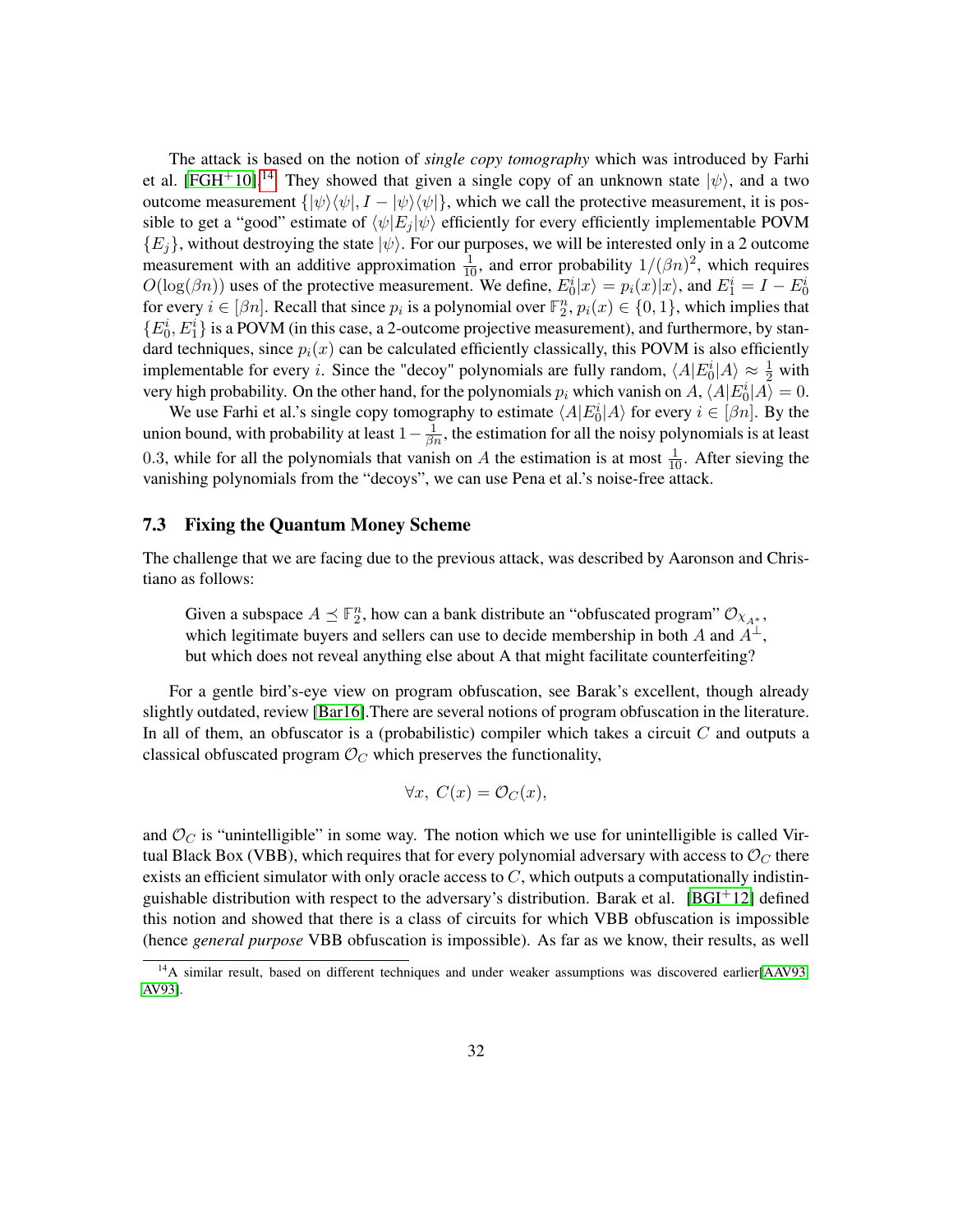The attack is based on the notion of *single copy tomography* which was introduced by Farhi et al. [\[FGH](#page-40-4)<sup>+</sup>10].<sup>[14](#page-31-1)</sup> They showed that given a single copy of an unknown state  $|\psi\rangle$ , and a two outcome measurement  $\{|\psi\rangle\langle\psi|, I - |\psi\rangle\langle\psi|\}$ , which we call the protective measurement, it is possible to get a "good" estimate of  $\langle \psi | E_j | \psi \rangle$  efficiently for every efficiently implementable POVM  ${E<sub>j</sub>}$ , without destroying the state  $|\psi\rangle$ . For our purposes, we will be interested only in a 2 outcome measurement with an additive approximation  $\frac{1}{10}$ , and error probability  $1/(\beta n)^2$ , which requires  $O(\log(\beta n))$  uses of the protective measurement. We define,  $E_0^i|x\rangle = p_i(x)|x\rangle$ , and  $E_1^i = I - E_0^i$ for every  $i \in [\beta n]$ . Recall that since  $p_i$  is a polynomial over  $\mathbb{F}_2^n$ ,  $p_i(x) \in \{0, 1\}$ , which implies that  $\{E_0^i, E_1^i\}$  is a POVM (in this case, a 2-outcome projective measurement), and furthermore, by standard techniques, since  $p_i(x)$  can be calculated efficiently classically, this POVM is also efficiently implementable for every *i*. Since the "decoy" polynomials are fully random,  $\langle A | E_0^i | A \rangle \approx \frac{1}{2}$  with very high probability. On the other hand, for the polynomials  $p_i$  which vanish on  $A$ ,  $\langle A|E_0^i|A\rangle = 0$ .

We use Farhi et al.'s single copy tomography to estimate  $\langle A|E_0^i|A\rangle$  for every  $i \in [\beta n]$ . By the union bound, with probability at least  $1-\frac{1}{\beta n}$ , the estimation for all the noisy polynomials is at least 0.3, while for all the polynomials that vanish on *A* the estimation is at most  $\frac{1}{10}$ . After sieving the vanishing polynomials from the "decoys", we can use Pena et al.'s noise-free attack.

#### <span id="page-31-0"></span>7.3 Fixing the Quantum Money Scheme

The challenge that we are facing due to the previous attack, was described by Aaronson and Christiano as follows:

Given a subspace  $A \preceq \mathbb{F}_2^n$ , how can a bank distribute an "obfuscated program"  $\mathcal{O}_{X_{A^*}}$ , which legitimate buyers and sellers can use to decide membership in both *A* and  $A^{\perp}$ , but which does not reveal anything else about A that might facilitate counterfeiting?

For a gentle bird's-eye view on program obfuscation, see Barak's excellent, though already slightly outdated, review [\[Bar16\]](#page-38-5).There are several notions of program obfuscation in the literature. In all of them, an obfuscator is a (probabilistic) compiler which takes a circuit *C* and outputs a classical obfuscated program  $\mathcal{O}_C$  which preserves the functionality,

$$
\forall x, C(x) = \mathcal{O}_C(x),
$$

and  $\mathcal{O}_C$  is "unintelligible" in some way. The notion which we use for unintelligible is called Virtual Black Box (VBB), which requires that for every polynomial adversary with access to  $\mathcal{O}_C$  there exists an efficient simulator with only oracle access to *C*, which outputs a computationally indistin-guishable distribution with respect to the adversary's distribution. Barak et al. [\[BGI](#page-39-0)+12] defined this notion and showed that there is a class of circuits for which VBB obfuscation is impossible (hence *general purpose* VBB obfuscation is impossible). As far as we know, their results, as well

<span id="page-31-1"></span><sup>&</sup>lt;sup>14</sup>A similar result, based on different techniques and under weaker assumptions was discovered earlier[\[AAV93,](#page-38-6) [AV93\]](#page-38-7).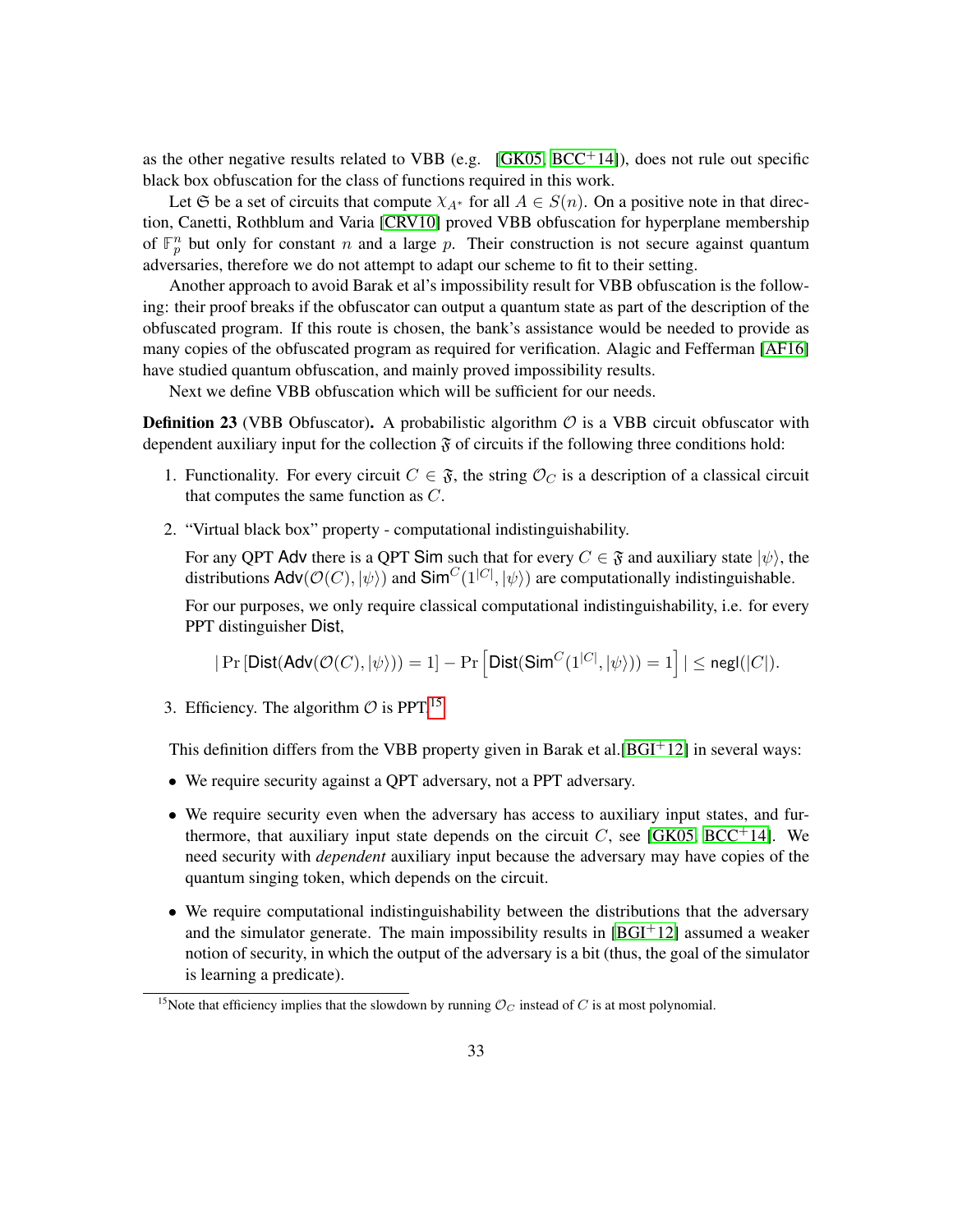as the other negative results related to VBB (e.g.  $[GK05, BCC<sup>+</sup>14]$  $[GK05, BCC<sup>+</sup>14]$  $[GK05, BCC<sup>+</sup>14]$ ), does not rule out specific black box obfuscation for the class of functions required in this work.

Let G be a set of circuits that compute  $\chi_{A^*}$  for all  $A \in S(n)$ . On a positive note in that direction, Canetti, Rothblum and Varia [\[CRV10\]](#page-40-6) proved VBB obfuscation for hyperplane membership of  $\mathbb{F}_p^n$  but only for constant *n* and a large *p*. Their construction is not secure against quantum adversaries, therefore we do not attempt to adapt our scheme to fit to their setting.

Another approach to avoid Barak et al's impossibility result for VBB obfuscation is the following: their proof breaks if the obfuscator can output a quantum state as part of the description of the obfuscated program. If this route is chosen, the bank's assistance would be needed to provide as many copies of the obfuscated program as required for verification. Alagic and Fefferman [\[AF16\]](#page-38-8) have studied quantum obfuscation, and mainly proved impossibility results.

Next we define VBB obfuscation which will be sufficient for our needs.

**Definition 23** (VBB Obfuscator). A probabilistic algorithm  $\mathcal{O}$  is a VBB circuit obfuscator with dependent auxiliary input for the collection  $\mathfrak F$  of circuits if the following three conditions hold:

- 1. Functionality. For every circuit  $C \in \mathfrak{F}$ , the string  $\mathcal{O}_C$  is a description of a classical circuit that computes the same function as *C*.
- 2. "Virtual black box" property computational indistinguishability.

For any QPT Adv there is a QPT Sim such that for every  $C \in \mathfrak{F}$  and auxiliary state  $|\psi\rangle$ , the distributions  $\mathsf{Adv}(\mathcal{O}(C), |\psi\rangle)$  and  $\mathsf{Sim}^C(1^{|C|}, |\psi\rangle)$  are computationally indistinguishable.

For our purposes, we only require classical computational indistinguishability, i.e. for every PPT distinguisher Dist,

$$
|\Pr\left[\mathsf{Dist}(\mathsf{Adv}(\mathcal{O}(C), |\psi\rangle)) = 1\right] - \Pr\left[\mathsf{Dist}(\mathsf{Sim}^C(1^{|C|}, |\psi\rangle)) = 1\right]| \leq {\mathsf{negl}}(|C|).
$$

<span id="page-32-1"></span>3. Efficiency. The algorithm  $\mathcal{O}$  is PPT.<sup>[15](#page-32-0)</sup>

This definition differs from the VBB property given in Barak et al.  $[BGI^+12]$  $[BGI^+12]$  in several ways:

- We require security against a QPT adversary, not a PPT adversary.
- We require security even when the adversary has access to auxiliary input states, and furthermore, that auxiliary input state depends on the circuit  $C$ , see [\[GK05,](#page-40-5) [BCC](#page-39-4)<sup>+</sup>14]. We need security with *dependent* auxiliary input because the adversary may have copies of the quantum singing token, which depends on the circuit.
- We require computational indistinguishability between the distributions that the adversary and the simulator generate. The main impossibility results in  $[BGI^+12]$  $[BGI^+12]$  assumed a weaker notion of security, in which the output of the adversary is a bit (thus, the goal of the simulator is learning a predicate).

<span id="page-32-0"></span><sup>&</sup>lt;sup>15</sup>Note that efficiency implies that the slowdown by running  $\mathcal{O}_C$  instead of *C* is at most polynomial.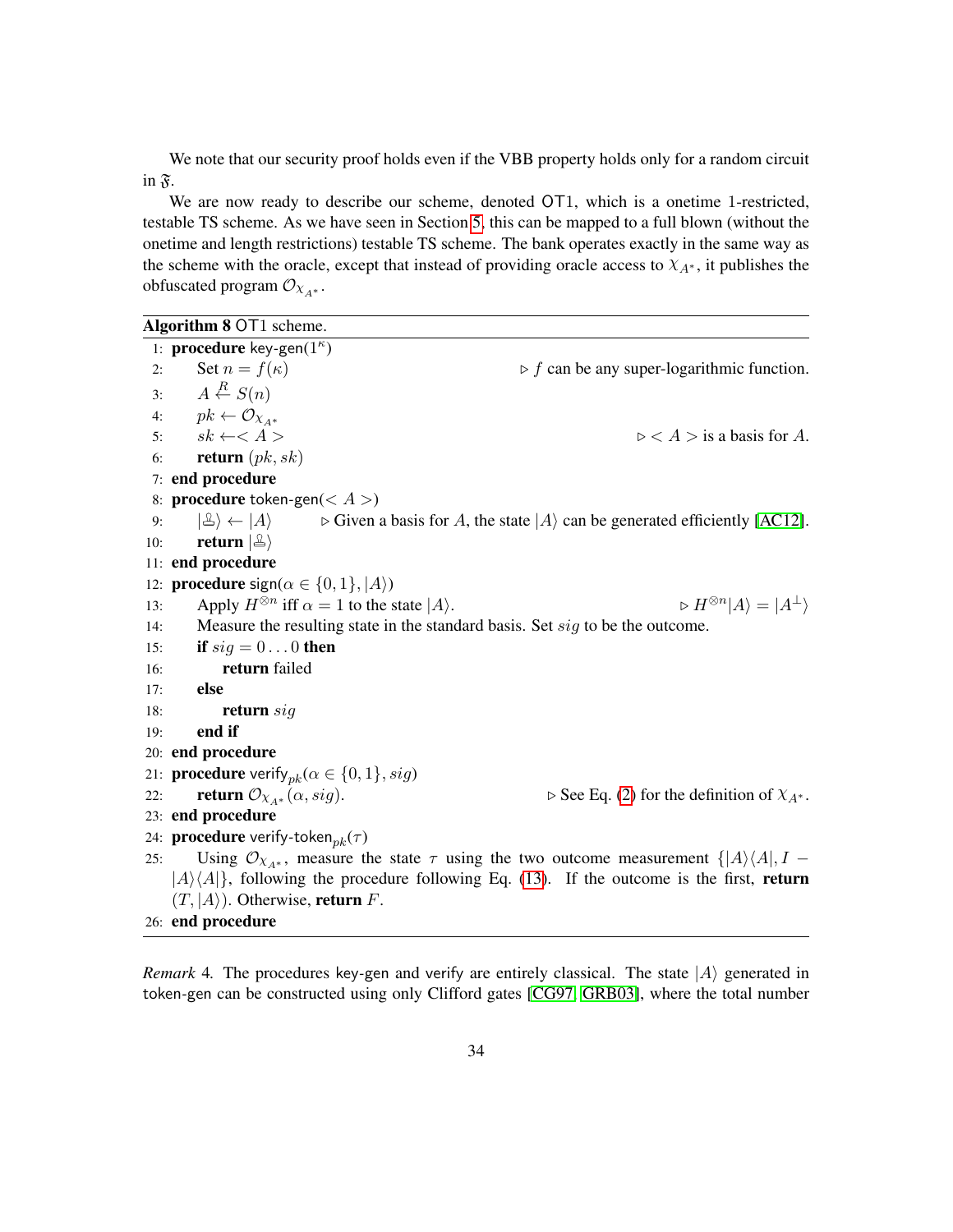We note that our security proof holds even if the VBB property holds only for a random circuit in  $\mathfrak{F}$ .

We are now ready to describe our scheme, denoted OT1, which is a onetime 1-restricted, testable TS scheme. As we have seen in Section [5,](#page-17-0) this can be mapped to a full blown (without the onetime and length restrictions) testable TS scheme. The bank operates exactly in the same way as the scheme with the oracle, except that instead of providing oracle access to  $\chi_{A^*}$ , it publishes the obfuscated program  $\mathcal{O}_{X_{A^*}}$ .

Algorithm 8 OT1 scheme.

<span id="page-33-0"></span>1: **procedure** key-gen(1<sup>*κ*</sup>)</sub> 2: Set  $n = f(\kappa)$   $\triangleright$  *f* can be any super-logarithmic function. 3:  $A \stackrel{R}{\leftarrow} S(n)$ 4:  $pk \leftarrow \mathcal{O}_{\mathcal{X}_{A^*}}$ <br>5:  $sk \leftarrow \leftarrow A >$ 5:  $sk \leftarrow \leftarrow A >$   $\triangleright \leftarrow A$   $\triangleright$   $\leftarrow A >$  is a basis for *A*. 6: return (*pk, sk*) 7: end procedure 8: procedure token*-*gen(*< A >*) 9:  $|\mathcal{L}\rangle \leftarrow |A\rangle$   $\triangleright$  Given a basis for *A*, the state  $|A\rangle$  can be generated efficiently [\[AC12\]](#page-38-1). 10: **return**  $|\mathcal{L}\rangle$ 11: end procedure 12: **procedure** sign( $\alpha \in \{0, 1\}, |\mathcal{A}\rangle$ ) 13: Apply  $H^{\otimes n}$  iff  $\alpha = 1$  to the state  $|A\rangle$ .  $\triangleright H^{\otimes n}$  $\triangleright H^{\otimes n}|A\rangle = |A^{\perp}\rangle$ 14: Measure the resulting state in the standard basis. Set *sig* to be the outcome. 15: **if**  $sig = 0...0$  then 16: return failed 17: else 18: return *sig* 19: end if 20: end procedure 21: **procedure** verify<sub>pk</sub>( $\alpha \in \{0, 1\}$ , *sig*)<br>22: **return**  $\mathcal{O}_{\chi_{A^*}}(\alpha, sig)$ . 22: **return**  $\mathcal{O}_{\chi_{A^*}}(\alpha, sig)$ .  $\qquad \qquad \triangleright \text{See Eq. (2) for the definition of } \chi_{A^*}.$  $\qquad \qquad \triangleright \text{See Eq. (2) for the definition of } \chi_{A^*}.$  $\qquad \qquad \triangleright \text{See Eq. (2) for the definition of } \chi_{A^*}.$ 23: end procedure 24: procedure verify*-*token*pk*(*τ* ) 25: Using  $\mathcal{O}_{\chi_{A^*}}$ , measure the state  $\tau$  using the two outcome measurement  $\{|A\rangle\langle A|, I |A\rangle\langle A|$ , following the procedure following Eq. [\(13\)](#page-29-2). If the outcome is the first, return  $(T, |A\rangle)$ . Otherwise, return *F*. 26: end procedure

*Remark* 4. The procedures key-gen and verify are entirely classical. The state  $|A\rangle$  generated in token*-*gen can be constructed using only Clifford gates [\[CG97,](#page-39-5) [GRB03\]](#page-41-6), where the total number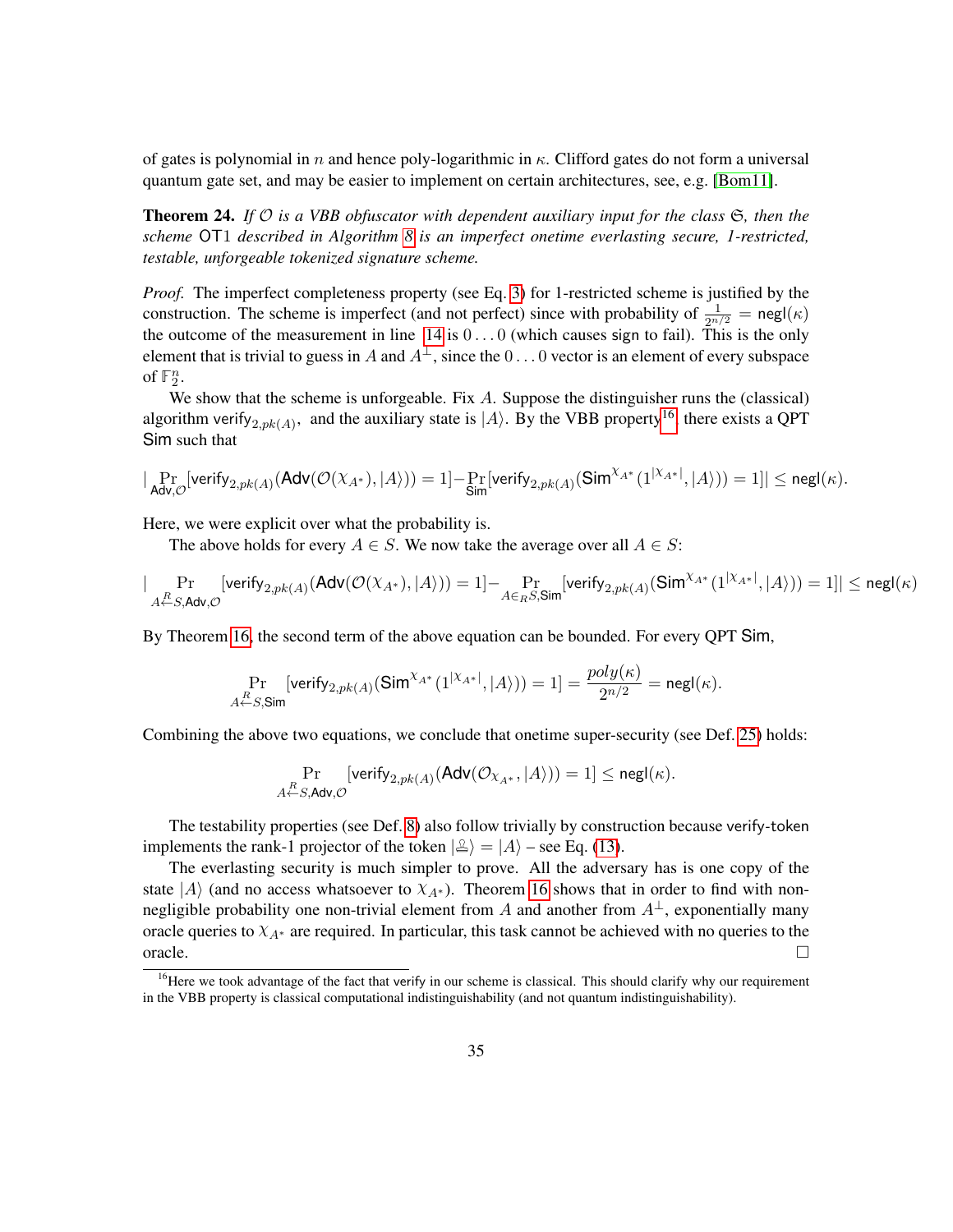of gates is polynomial in *n* and hence poly-logarithmic in *κ*. Clifford gates do not form a universal quantum gate set, and may be easier to implement on certain architectures, see, e.g. [\[Bom11\]](#page-39-6).

<span id="page-34-1"></span>Theorem 24. *If* O *is a VBB obfuscator with dependent auxiliary input for the class* S*, then the scheme* OT1 *described in Algorithm [8](#page-33-0) is an imperfect onetime everlasting secure, 1-restricted, testable, unforgeable tokenized signature scheme.*

*Proof.* The imperfect completeness property (see Eq. [3\)](#page-12-2) for 1-restricted scheme is justified by the construction. The scheme is imperfect (and not perfect) since with probability of  $\frac{1}{2^{n/2}} = \text{negl}(\kappa)$ the outcome of the measurement in line  $14$  is  $0 \ldots 0$  (which causes sign to fail). This is the only element that is trivial to guess in *A* and  $A^{\perp}$ , since the 0... 0 vector is an element of every subspace of  $\mathbb{F}_2^n$ .

We show that the scheme is unforgeable. Fix *A*. Suppose the distinguisher runs the (classical) algorithm verify<sub>2,pk</sub>(*A*), and the auxiliary state is  $|A\rangle$ . By the VBB property<sup>[16](#page-34-0)</sup>, there exists a QPT Sim such that

$$
|\Pr_{\mathsf{Adv}, \mathcal{O}}[\mathsf{verify}_{2, pk(A)}(\mathsf{Adv}(\mathcal{O}(\chi_{A^*}), |A\rangle)) = 1] - \Pr_{\mathsf{Sim}}[\mathsf{verify}_{2, pk(A)}(\mathsf{Sim}^{\chi_{A^*}}(1^{|\chi_{A^*}|}, |A\rangle)) = 1]| \leq {\mathsf{negl}}(\kappa).
$$

Here, we were explicit over what the probability is.

The above holds for every  $A \in S$ . We now take the average over all  $A \in S$ :

$$
|\Pr_{A \leftarrow S, \mathsf{Adv}, \mathcal{O}}[\mathsf{verify}_{2, pk(A)}(\mathsf{Adv}(\mathcal{O}(\chi_{A^*}), |A \rangle)) = 1] - \Pr_{A \in_R S, \mathsf{Sim}}[\mathsf{verify}_{2, pk(A)}(\mathsf{Sim}^{\chi_{A^*}}(1^{| \chi_{A^*} |}, |A \rangle)) = 1]| \leq {\mathsf{negl}}(\kappa)
$$

By Theorem [16,](#page-24-2) the second term of the above equation can be bounded. For every QPT Sim,

$$
\Pr_{A\leftarrow S,\mathsf{Sim}}\left[\mathsf{verify}_{2,pk(A)}(\mathsf{Sim}^{\chi_{A^*}}(1^{|\chi_{A^*}|},|A\rangle))=1\right] = \frac{poly(\kappa)}{2^{n/2}} = \mathsf{negl}(\kappa).
$$

Combining the above two equations, we conclude that onetime super-security (see Def. [25\)](#page-43-1) holds:

$$
\Pr_{A \leftarrow S, \mathsf{Adv}, \mathcal{O}}[\mathsf{verify}_{2, pk(A)}(\mathsf{Adv}(\mathcal{O}_{X_{A^*}}, |A\rangle)) = 1] \leq \mathsf{negl}(\kappa).
$$

The testability properties (see Def. [8\)](#page-14-4) also follow trivially by construction because verify*-*token implements the rank-1 projector of the token  $|\mathcal{L}\rangle = |A\rangle$  – see Eq. [\(13\)](#page-29-2).

The everlasting security is much simpler to prove. All the adversary has is one copy of the state  $|A\rangle$  (and no access whatsoever to  $\chi_{A^*}$ ). Theorem [16](#page-24-2) shows that in order to find with nonnegligible probability one non-trivial element from *A* and another from  $A^{\perp}$ , exponentially many oracle queries to  $\chi_{A^*}$  are required. In particular, this task cannot be achieved with no queries to the  $\Box$ 

<span id="page-34-0"></span><sup>&</sup>lt;sup>16</sup>Here we took advantage of the fact that verify in our scheme is classical. This should clarify why our requirement in the VBB property is classical computational indistinguishability (and not quantum indistinguishability).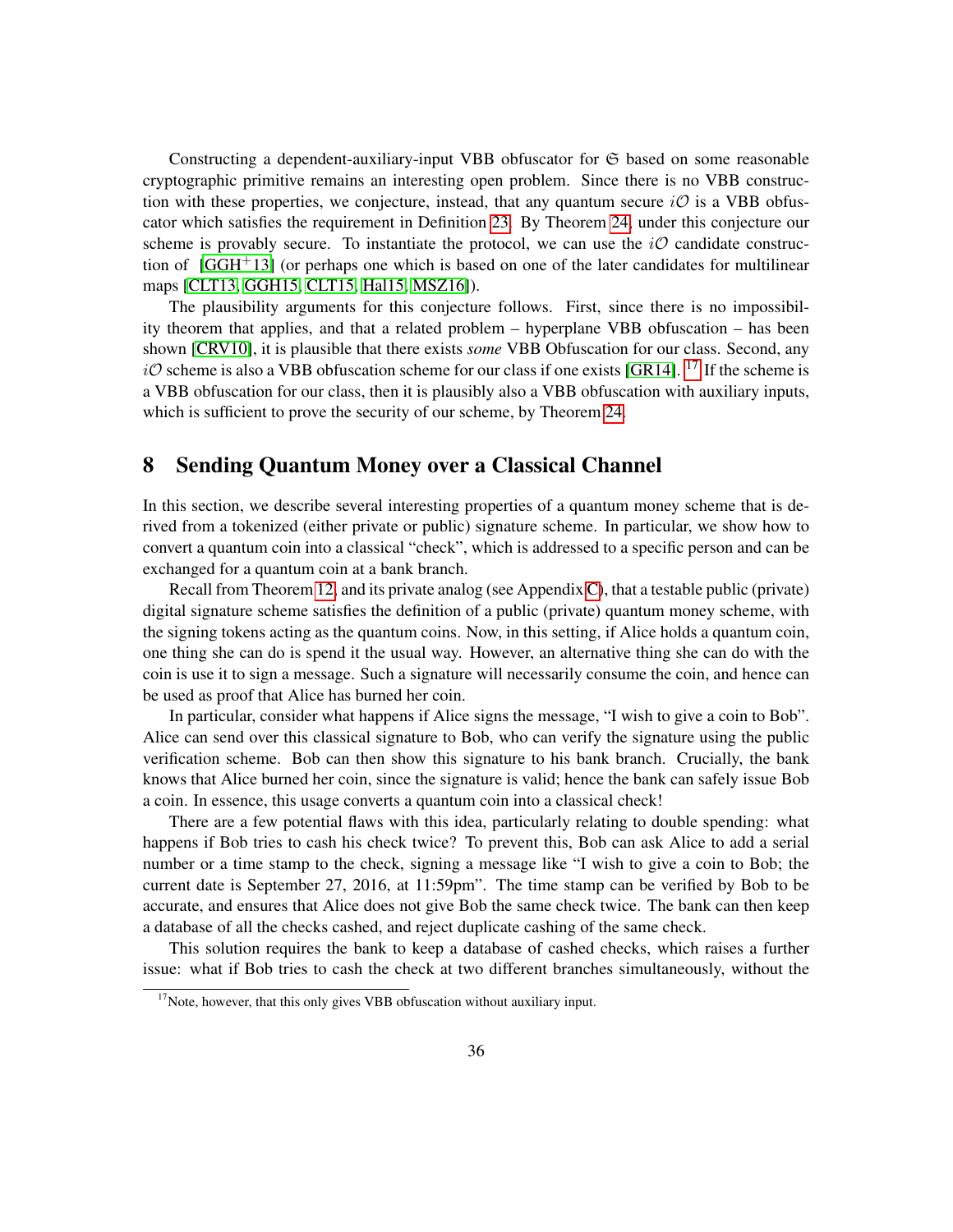Constructing a dependent-auxiliary-input VBB obfuscator for  $\mathfrak S$  based on some reasonable cryptographic primitive remains an interesting open problem. Since there is no VBB construction with these properties, we conjecture, instead, that any quantum secure  $i\mathcal{O}$  is a VBB obfuscator which satisfies the requirement in Definition [23.](#page-32-1) By Theorem [24,](#page-34-1) under this conjecture our scheme is provably secure. To instantiate the protocol, we can use the  $i\mathcal{O}$  candidate construction of  $[GGH<sup>+</sup>13]$  $[GGH<sup>+</sup>13]$  (or perhaps one which is based on one of the later candidates for multilinear maps [\[CLT13,](#page-39-7) [GGH15,](#page-40-8) [CLT15,](#page-39-8) [Hal15,](#page-41-7) [MSZ16\]](#page-41-8)).

The plausibility arguments for this conjecture follows. First, since there is no impossibility theorem that applies, and that a related problem – hyperplane VBB obfuscation – has been shown [\[CRV10\]](#page-40-6), it is plausible that there exists *some* VBB Obfuscation for our class. Second, any  $i\mathcal{O}$  scheme is also a VBB obfuscation scheme for our class if one exists [\[GR14\]](#page-41-9). <sup>[17](#page-35-1)</sup> If the scheme is a VBB obfuscation for our class, then it is plausibly also a VBB obfuscation with auxiliary inputs, which is sufficient to prove the security of our scheme, by Theorem [24.](#page-34-1)

### <span id="page-35-0"></span>8 Sending Quantum Money over a Classical Channel

In this section, we describe several interesting properties of a quantum money scheme that is derived from a tokenized (either private or public) signature scheme. In particular, we show how to convert a quantum coin into a classical "check", which is addressed to a specific person and can be exchanged for a quantum coin at a bank branch.

Recall from Theorem [12,](#page-15-1) and its private analog (see Appendix [C\)](#page-46-0), that a testable public (private) digital signature scheme satisfies the definition of a public (private) quantum money scheme, with the signing tokens acting as the quantum coins. Now, in this setting, if Alice holds a quantum coin, one thing she can do is spend it the usual way. However, an alternative thing she can do with the coin is use it to sign a message. Such a signature will necessarily consume the coin, and hence can be used as proof that Alice has burned her coin.

In particular, consider what happens if Alice signs the message, "I wish to give a coin to Bob". Alice can send over this classical signature to Bob, who can verify the signature using the public verification scheme. Bob can then show this signature to his bank branch. Crucially, the bank knows that Alice burned her coin, since the signature is valid; hence the bank can safely issue Bob a coin. In essence, this usage converts a quantum coin into a classical check!

There are a few potential flaws with this idea, particularly relating to double spending: what happens if Bob tries to cash his check twice? To prevent this, Bob can ask Alice to add a serial number or a time stamp to the check, signing a message like "I wish to give a coin to Bob; the current date is September 27, 2016, at 11:59pm". The time stamp can be verified by Bob to be accurate, and ensures that Alice does not give Bob the same check twice. The bank can then keep a database of all the checks cashed, and reject duplicate cashing of the same check.

This solution requires the bank to keep a database of cashed checks, which raises a further issue: what if Bob tries to cash the check at two different branches simultaneously, without the

<span id="page-35-1"></span> $17$ Note, however, that this only gives VBB obfuscation without auxiliary input.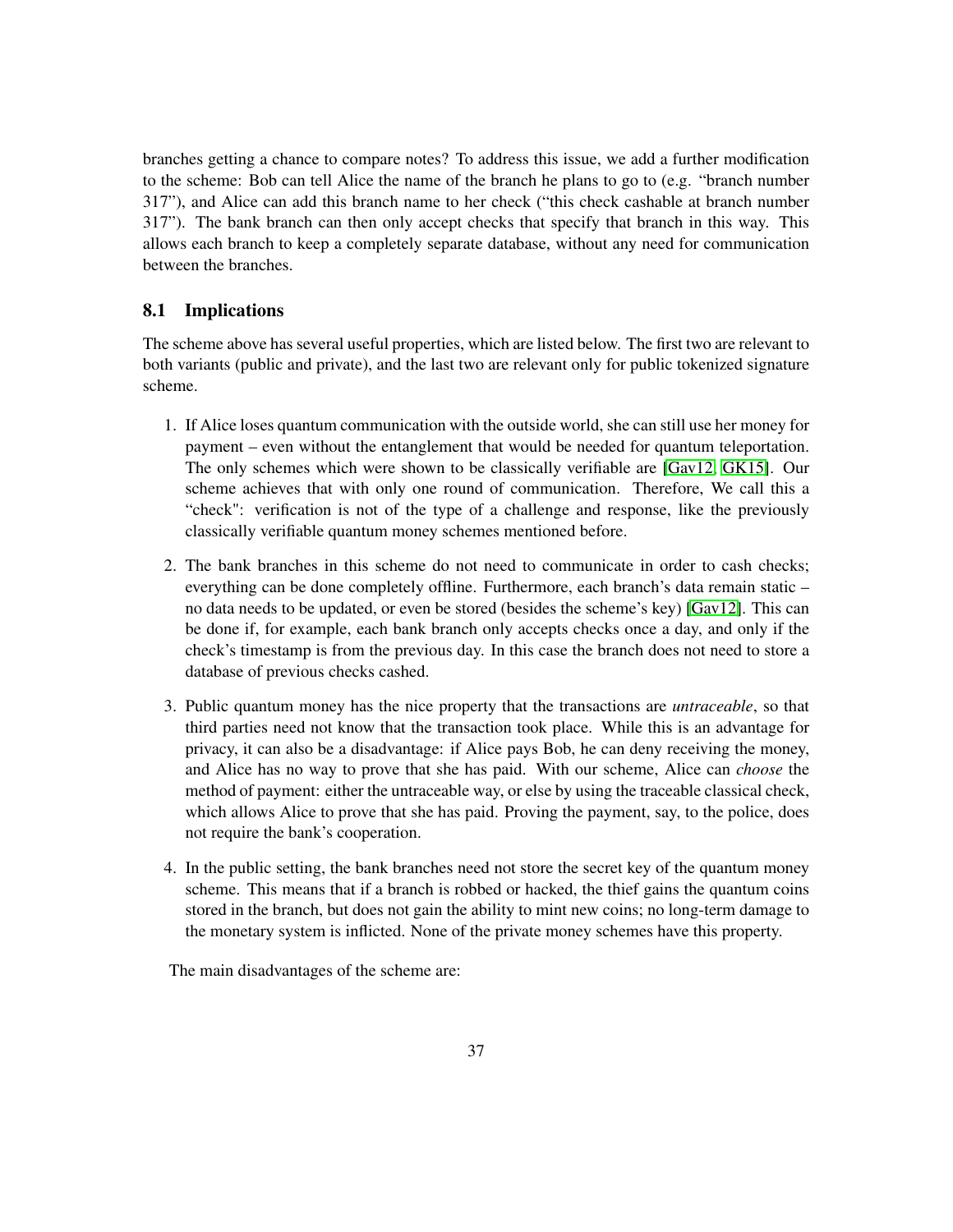branches getting a chance to compare notes? To address this issue, we add a further modification to the scheme: Bob can tell Alice the name of the branch he plans to go to (e.g. "branch number 317"), and Alice can add this branch name to her check ("this check cashable at branch number 317"). The bank branch can then only accept checks that specify that branch in this way. This allows each branch to keep a completely separate database, without any need for communication between the branches.

#### <span id="page-36-0"></span>8.1 Implications

The scheme above has several useful properties, which are listed below. The first two are relevant to both variants (public and private), and the last two are relevant only for public tokenized signature scheme.

- 1. If Alice loses quantum communication with the outside world, she can still use her money for payment – even without the entanglement that would be needed for quantum teleportation. The only schemes which were shown to be classically verifiable are [\[Gav12,](#page-40-1) [GK15\]](#page-40-3). Our scheme achieves that with only one round of communication. Therefore, We call this a "check": verification is not of the type of a challenge and response, like the previously classically verifiable quantum money schemes mentioned before.
- 2. The bank branches in this scheme do not need to communicate in order to cash checks; everything can be done completely offline. Furthermore, each branch's data remain static – no data needs to be updated, or even be stored (besides the scheme's key) [\[Gav12\]](#page-40-1). This can be done if, for example, each bank branch only accepts checks once a day, and only if the check's timestamp is from the previous day. In this case the branch does not need to store a database of previous checks cashed.
- 3. Public quantum money has the nice property that the transactions are *untraceable*, so that third parties need not know that the transaction took place. While this is an advantage for privacy, it can also be a disadvantage: if Alice pays Bob, he can deny receiving the money, and Alice has no way to prove that she has paid. With our scheme, Alice can *choose* the method of payment: either the untraceable way, or else by using the traceable classical check, which allows Alice to prove that she has paid. Proving the payment, say, to the police, does not require the bank's cooperation.
- 4. In the public setting, the bank branches need not store the secret key of the quantum money scheme. This means that if a branch is robbed or hacked, the thief gains the quantum coins stored in the branch, but does not gain the ability to mint new coins; no long-term damage to the monetary system is inflicted. None of the private money schemes have this property.

The main disadvantages of the scheme are: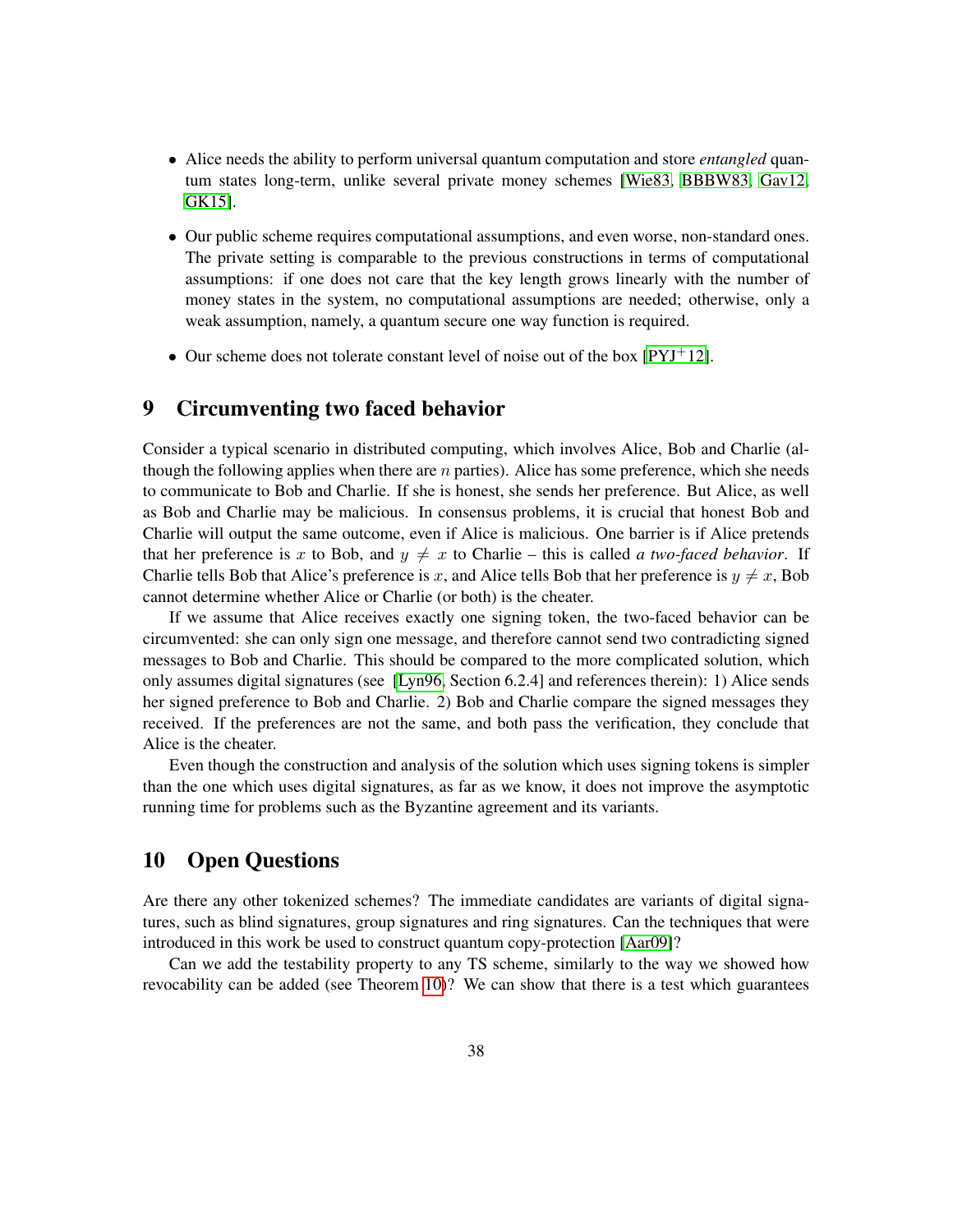- Alice needs the ability to perform universal quantum computation and store *entangled* quantum states long-term, unlike several private money schemes [\[Wie83,](#page-42-2) [BBBW83,](#page-38-3) [Gav12,](#page-40-1) [GK15\]](#page-40-3).
- Our public scheme requires computational assumptions, and even worse, non-standard ones. The private setting is comparable to the previous constructions in terms of computational assumptions: if one does not care that the key length grows linearly with the number of money states in the system, no computational assumptions are needed; otherwise, only a weak assumption, namely, a quantum secure one way function is required.
- Our scheme does not tolerate constant level of noise out of the box  $[PYJ^+12]$  $[PYJ^+12]$ .

### <span id="page-37-0"></span>9 Circumventing two faced behavior

Consider a typical scenario in distributed computing, which involves Alice, Bob and Charlie (although the following applies when there are *n* parties). Alice has some preference, which she needs to communicate to Bob and Charlie. If she is honest, she sends her preference. But Alice, as well as Bob and Charlie may be malicious. In consensus problems, it is crucial that honest Bob and Charlie will output the same outcome, even if Alice is malicious. One barrier is if Alice pretends that her preference is x to Bob, and  $y \neq x$  to Charlie – this is called *a two-faced behavior*. If Charlie tells Bob that Alice's preference is x, and Alice tells Bob that her preference is  $y \neq x$ , Bob cannot determine whether Alice or Charlie (or both) is the cheater.

If we assume that Alice receives exactly one signing token, the two-faced behavior can be circumvented: she can only sign one message, and therefore cannot send two contradicting signed messages to Bob and Charlie. This should be compared to the more complicated solution, which only assumes digital signatures (see [\[Lyn96,](#page-41-11) Section 6.2.4] and references therein): 1) Alice sends her signed preference to Bob and Charlie. 2) Bob and Charlie compare the signed messages they received. If the preferences are not the same, and both pass the verification, they conclude that Alice is the cheater.

Even though the construction and analysis of the solution which uses signing tokens is simpler than the one which uses digital signatures, as far as we know, it does not improve the asymptotic running time for problems such as the Byzantine agreement and its variants.

### <span id="page-37-1"></span>10 Open Questions

Are there any other tokenized schemes? The immediate candidates are variants of digital signatures, such as blind signatures, group signatures and ring signatures. Can the techniques that were introduced in this work be used to construct quantum copy-protection [\[Aar09\]](#page-38-4)?

Can we add the testability property to any TS scheme, similarly to the way we showed how revocability can be added (see Theorem [10\)](#page-14-1)? We can show that there is a test which guarantees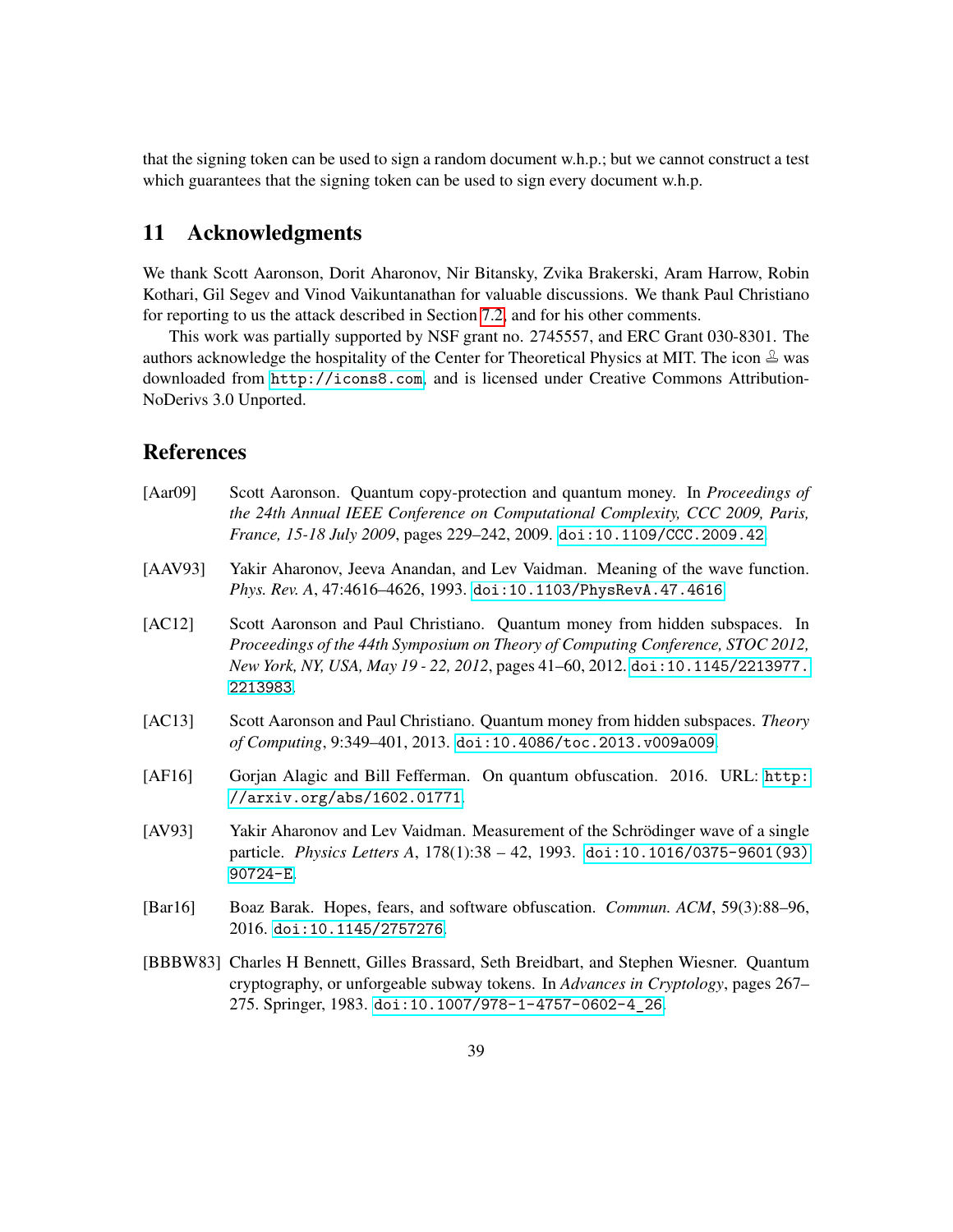that the signing token can be used to sign a random document w.h.p.; but we cannot construct a test which guarantees that the signing token can be used to sign every document w.h.p.

## <span id="page-38-0"></span>11 Acknowledgments

We thank Scott Aaronson, Dorit Aharonov, Nir Bitansky, Zvika Brakerski, Aram Harrow, Robin Kothari, Gil Segev and Vinod Vaikuntanathan for valuable discussions. We thank Paul Christiano for reporting to us the attack described in Section [7.2,](#page-30-0) and for his other comments.

This work was partially supported by NSF grant no. 2745557, and ERC Grant 030-8301. The authors acknowledge the hospitality of the Center for Theoretical Physics at MIT. The icon  $\triangle$  was downloaded from <http://icons8.com>, and is licensed under Creative Commons Attribution-NoDerivs 3.0 Unported.

### References

<span id="page-38-8"></span><span id="page-38-7"></span><span id="page-38-6"></span><span id="page-38-5"></span><span id="page-38-4"></span><span id="page-38-3"></span><span id="page-38-2"></span><span id="page-38-1"></span>

| [Aar09] | Scott Aaronson. Quantum copy-protection and quantum money. In Proceedings of<br>the 24th Annual IEEE Conference on Computational Complexity, CCC 2009, Paris,<br>France, 15-18 July 2009, pages 229-242, 2009. doi:10.1109/CCC.2009.42.                     |
|---------|-------------------------------------------------------------------------------------------------------------------------------------------------------------------------------------------------------------------------------------------------------------|
| [AAV93] | Yakir Aharonov, Jeeva Anandan, and Lev Vaidman. Meaning of the wave function.<br>Phys. Rev. A, 47:4616-4626, 1993. doi:10.1103/PhysRevA.47.4616.                                                                                                            |
| [AC12]  | Scott Aaronson and Paul Christiano. Quantum money from hidden subspaces. In<br>Proceedings of the 44th Symposium on Theory of Computing Conference, STOC 2012,<br>New York, NY, USA, May 19 - 22, 2012, pages 41-60, 2012. doi:10.1145/2213977.<br>2213983. |
| [AC13]  | Scott Aaronson and Paul Christiano. Quantum money from hidden subspaces. Theory<br>of Computing, 9:349-401, 2013. doi:10.4086/toc.2013.v009a009.                                                                                                            |
| [AF16]  | Gorjan Alagic and Bill Fefferman. On quantum obfuscation. 2016. URL: http:<br>//arxiv.org/abs/1602.01771.                                                                                                                                                   |
| [AV93]  | Yakir Aharonov and Lev Vaidman. Measurement of the Schrödinger wave of a single<br>particle. Physics Letters A, 178(1):38 - 42, 1993. doi:10.1016/0375-9601(93)<br>$90724 - E.$                                                                             |
| [Bar16] | Boaz Barak. Hopes, fears, and software obfuscation. <i>Commun. ACM</i> , 59(3):88–96,<br>2016. doi:10.1145/2757276.                                                                                                                                         |
|         | [BBBW83] Charles H Bennett, Gilles Brassard, Seth Breidbart, and Stephen Wiesner. Quantum<br>cryptography, or unforgeable subway tokens. In Advances in Cryptology, pages 267–<br>275. Springer, 1983. doi:10.1007/978-1-4757-0602-4_26.                    |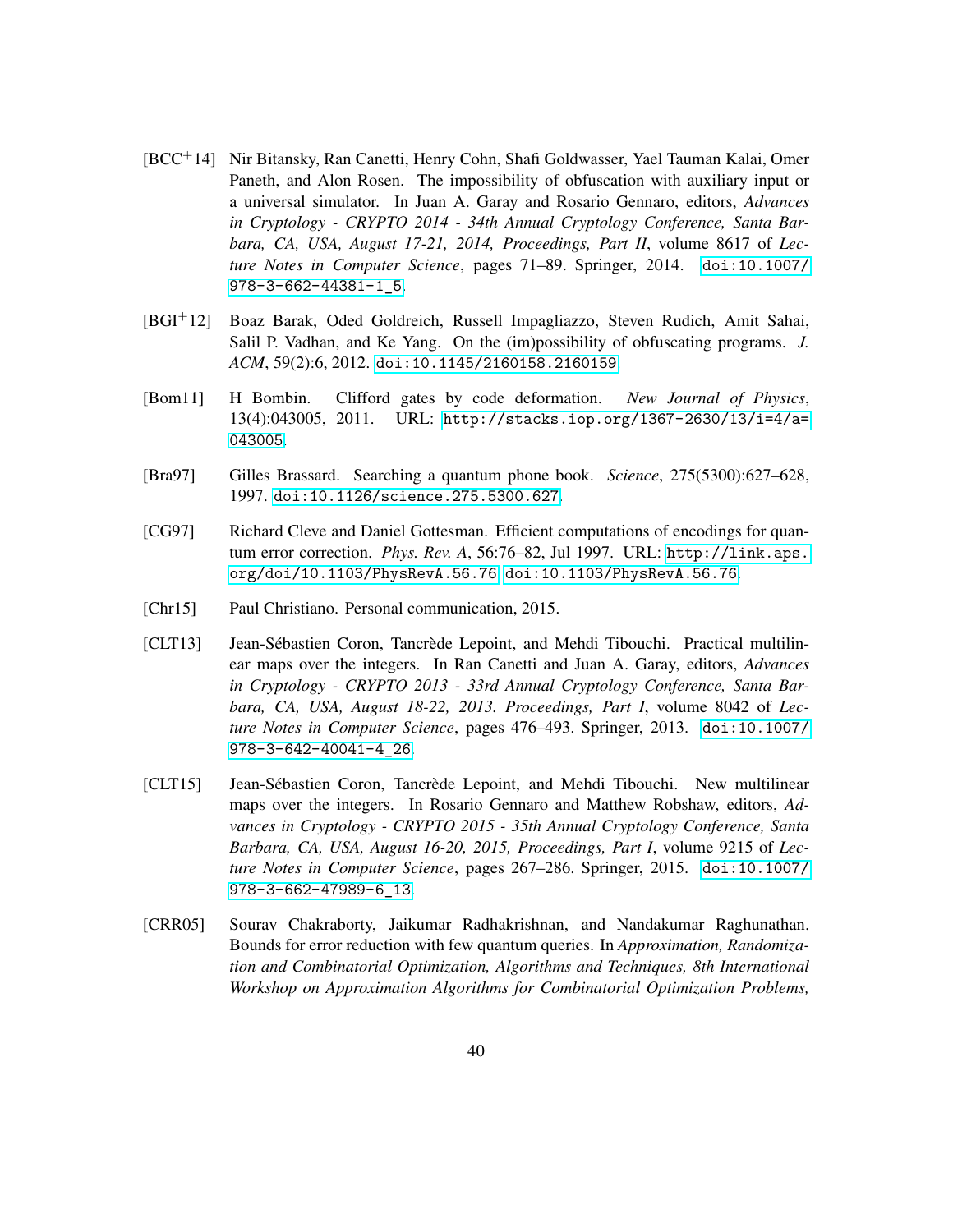- <span id="page-39-4"></span>[BCC+14] Nir Bitansky, Ran Canetti, Henry Cohn, Shafi Goldwasser, Yael Tauman Kalai, Omer Paneth, and Alon Rosen. The impossibility of obfuscation with auxiliary input or a universal simulator. In Juan A. Garay and Rosario Gennaro, editors, *Advances in Cryptology - CRYPTO 2014 - 34th Annual Cryptology Conference, Santa Barbara, CA, USA, August 17-21, 2014, Proceedings, Part II*, volume 8617 of *Lecture Notes in Computer Science*, pages 71–89. Springer, 2014. [doi:10.1007/](http://dx.doi.org/10.1007/978-3-662-44381-1_5) [978-3-662-44381-1\\_5](http://dx.doi.org/10.1007/978-3-662-44381-1_5).
- <span id="page-39-0"></span>[BGI+12] Boaz Barak, Oded Goldreich, Russell Impagliazzo, Steven Rudich, Amit Sahai, Salil P. Vadhan, and Ke Yang. On the (im)possibility of obfuscating programs. *J. ACM*, 59(2):6, 2012. [doi:10.1145/2160158.2160159](http://dx.doi.org/10.1145/2160158.2160159).
- <span id="page-39-6"></span>[Bom11] H Bombin. Clifford gates by code deformation. *New Journal of Physics*, 13(4):043005, 2011. URL: [http://stacks.iop.org/1367-2630/13/i=4/a=](http://stacks.iop.org/1367-2630/13/i=4/a=043005) [043005](http://stacks.iop.org/1367-2630/13/i=4/a=043005).
- <span id="page-39-1"></span>[Bra97] Gilles Brassard. Searching a quantum phone book. *Science*, 275(5300):627–628, 1997. [doi:10.1126/science.275.5300.627](http://dx.doi.org/10.1126/science.275.5300.627).
- <span id="page-39-5"></span>[CG97] Richard Cleve and Daniel Gottesman. Efficient computations of encodings for quantum error correction. *Phys. Rev. A*, 56:76–82, Jul 1997. URL: [http://link.aps.](http://link.aps.org/doi/10.1103/PhysRevA.56.76) [org/doi/10.1103/PhysRevA.56.76](http://link.aps.org/doi/10.1103/PhysRevA.56.76), [doi:10.1103/PhysRevA.56.76](http://dx.doi.org/10.1103/PhysRevA.56.76).
- <span id="page-39-3"></span>[Chr15] Paul Christiano. Personal communication, 2015.
- <span id="page-39-7"></span>[CLT13] Jean-Sébastien Coron, Tancrède Lepoint, and Mehdi Tibouchi. Practical multilinear maps over the integers. In Ran Canetti and Juan A. Garay, editors, *Advances in Cryptology - CRYPTO 2013 - 33rd Annual Cryptology Conference, Santa Barbara, CA, USA, August 18-22, 2013. Proceedings, Part I*, volume 8042 of *Lecture Notes in Computer Science*, pages 476–493. Springer, 2013. [doi:10.1007/](http://dx.doi.org/10.1007/978-3-642-40041-4_26) [978-3-642-40041-4\\_26](http://dx.doi.org/10.1007/978-3-642-40041-4_26).
- <span id="page-39-8"></span>[CLT15] Jean-Sébastien Coron, Tancrède Lepoint, and Mehdi Tibouchi. New multilinear maps over the integers. In Rosario Gennaro and Matthew Robshaw, editors, *Advances in Cryptology - CRYPTO 2015 - 35th Annual Cryptology Conference, Santa Barbara, CA, USA, August 16-20, 2015, Proceedings, Part I*, volume 9215 of *Lecture Notes in Computer Science*, pages 267–286. Springer, 2015. [doi:10.1007/](http://dx.doi.org/10.1007/978-3-662-47989-6_13) [978-3-662-47989-6\\_13](http://dx.doi.org/10.1007/978-3-662-47989-6_13).
- <span id="page-39-2"></span>[CRR05] Sourav Chakraborty, Jaikumar Radhakrishnan, and Nandakumar Raghunathan. Bounds for error reduction with few quantum queries. In *Approximation, Randomization and Combinatorial Optimization, Algorithms and Techniques, 8th International Workshop on Approximation Algorithms for Combinatorial Optimization Problems,*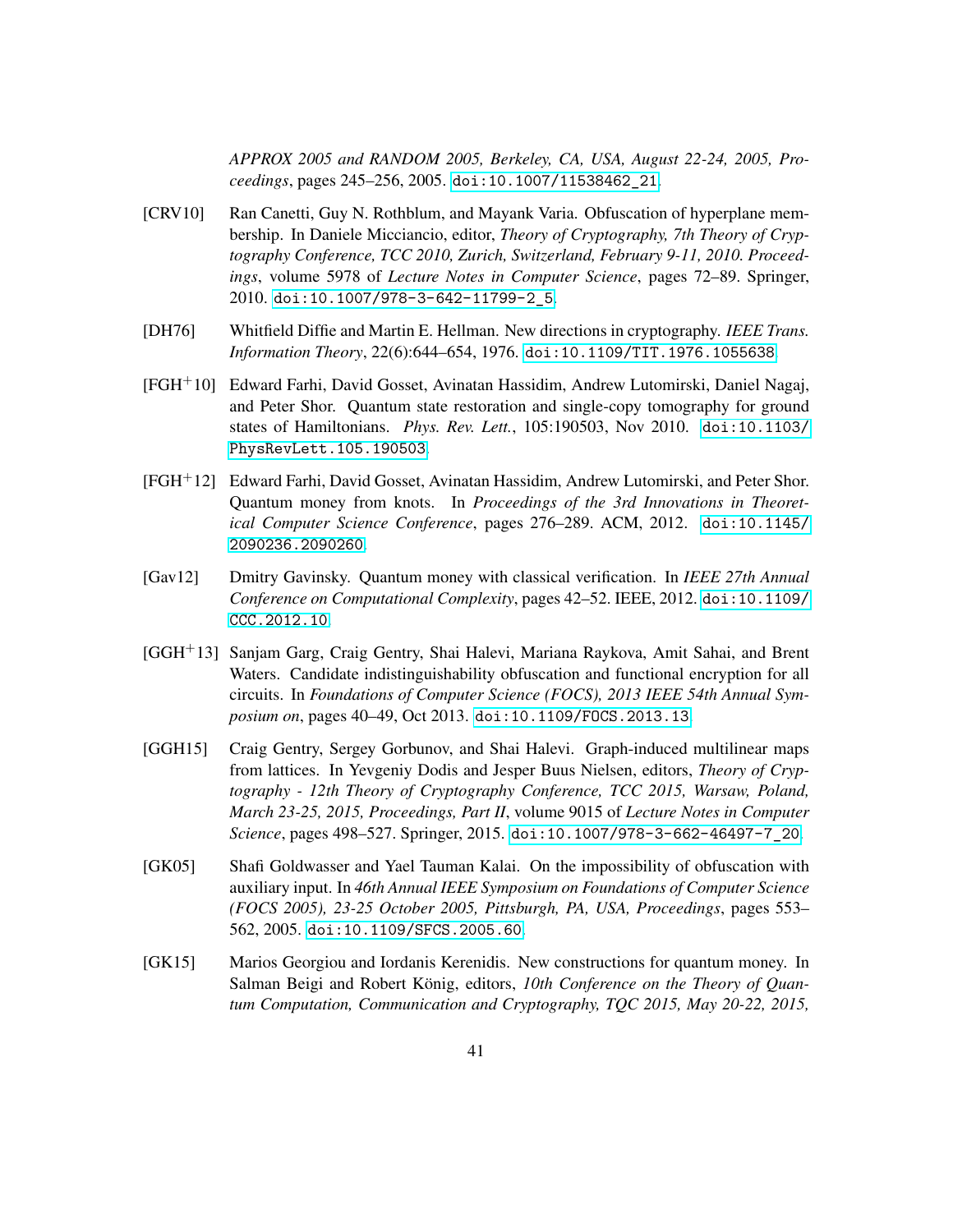*APPROX 2005 and RANDOM 2005, Berkeley, CA, USA, August 22-24, 2005, Proceedings*, pages 245–256, 2005. [doi:10.1007/11538462\\_21](http://dx.doi.org/10.1007/11538462_21).

- <span id="page-40-6"></span>[CRV10] Ran Canetti, Guy N. Rothblum, and Mayank Varia. Obfuscation of hyperplane membership. In Daniele Micciancio, editor, *Theory of Cryptography, 7th Theory of Cryptography Conference, TCC 2010, Zurich, Switzerland, February 9-11, 2010. Proceedings*, volume 5978 of *Lecture Notes in Computer Science*, pages 72–89. Springer, 2010. [doi:10.1007/978-3-642-11799-2\\_5](http://dx.doi.org/10.1007/978-3-642-11799-2_5).
- <span id="page-40-0"></span>[DH76] Whitfield Diffie and Martin E. Hellman. New directions in cryptography. *IEEE Trans. Information Theory*, 22(6):644–654, 1976. [doi:10.1109/TIT.1976.1055638](http://dx.doi.org/10.1109/TIT.1976.1055638).
- <span id="page-40-4"></span>[FGH+10] Edward Farhi, David Gosset, Avinatan Hassidim, Andrew Lutomirski, Daniel Nagaj, and Peter Shor. Quantum state restoration and single-copy tomography for ground states of Hamiltonians. *Phys. Rev. Lett.*, 105:190503, Nov 2010. [doi:10.1103/](http://dx.doi.org/10.1103/PhysRevLett.105.190503) [PhysRevLett.105.190503](http://dx.doi.org/10.1103/PhysRevLett.105.190503).
- <span id="page-40-2"></span>[FGH+12] Edward Farhi, David Gosset, Avinatan Hassidim, Andrew Lutomirski, and Peter Shor. Quantum money from knots. In *Proceedings of the 3rd Innovations in Theoretical Computer Science Conference*, pages 276–289. ACM, 2012. [doi:10.1145/](http://dx.doi.org/10.1145/2090236.2090260) [2090236.2090260](http://dx.doi.org/10.1145/2090236.2090260).
- <span id="page-40-1"></span>[Gav12] Dmitry Gavinsky. Quantum money with classical verification. In *IEEE 27th Annual Conference on Computational Complexity*, pages 42–52. IEEE, 2012. [doi:10.1109/](http://dx.doi.org/10.1109/CCC.2012.10) [CCC.2012.10](http://dx.doi.org/10.1109/CCC.2012.10).
- <span id="page-40-7"></span>[GGH+13] Sanjam Garg, Craig Gentry, Shai Halevi, Mariana Raykova, Amit Sahai, and Brent Waters. Candidate indistinguishability obfuscation and functional encryption for all circuits. In *Foundations of Computer Science (FOCS), 2013 IEEE 54th Annual Symposium on*, pages 40–49, Oct 2013. [doi:10.1109/FOCS.2013.13](http://dx.doi.org/10.1109/FOCS.2013.13).
- <span id="page-40-8"></span>[GGH15] Craig Gentry, Sergey Gorbunov, and Shai Halevi. Graph-induced multilinear maps from lattices. In Yevgeniy Dodis and Jesper Buus Nielsen, editors, *Theory of Cryptography - 12th Theory of Cryptography Conference, TCC 2015, Warsaw, Poland, March 23-25, 2015, Proceedings, Part II*, volume 9015 of *Lecture Notes in Computer Science*, pages 498–527. Springer, 2015. [doi:10.1007/978-3-662-46497-7\\_20](http://dx.doi.org/10.1007/978-3-662-46497-7_20).
- <span id="page-40-5"></span>[GK05] Shafi Goldwasser and Yael Tauman Kalai. On the impossibility of obfuscation with auxiliary input. In *46th Annual IEEE Symposium on Foundations of Computer Science (FOCS 2005), 23-25 October 2005, Pittsburgh, PA, USA, Proceedings*, pages 553– 562, 2005. [doi:10.1109/SFCS.2005.60](http://dx.doi.org/10.1109/SFCS.2005.60).
- <span id="page-40-3"></span>[GK15] Marios Georgiou and Iordanis Kerenidis. New constructions for quantum money. In Salman Beigi and Robert König, editors, *10th Conference on the Theory of Quantum Computation, Communication and Cryptography, TQC 2015, May 20-22, 2015,*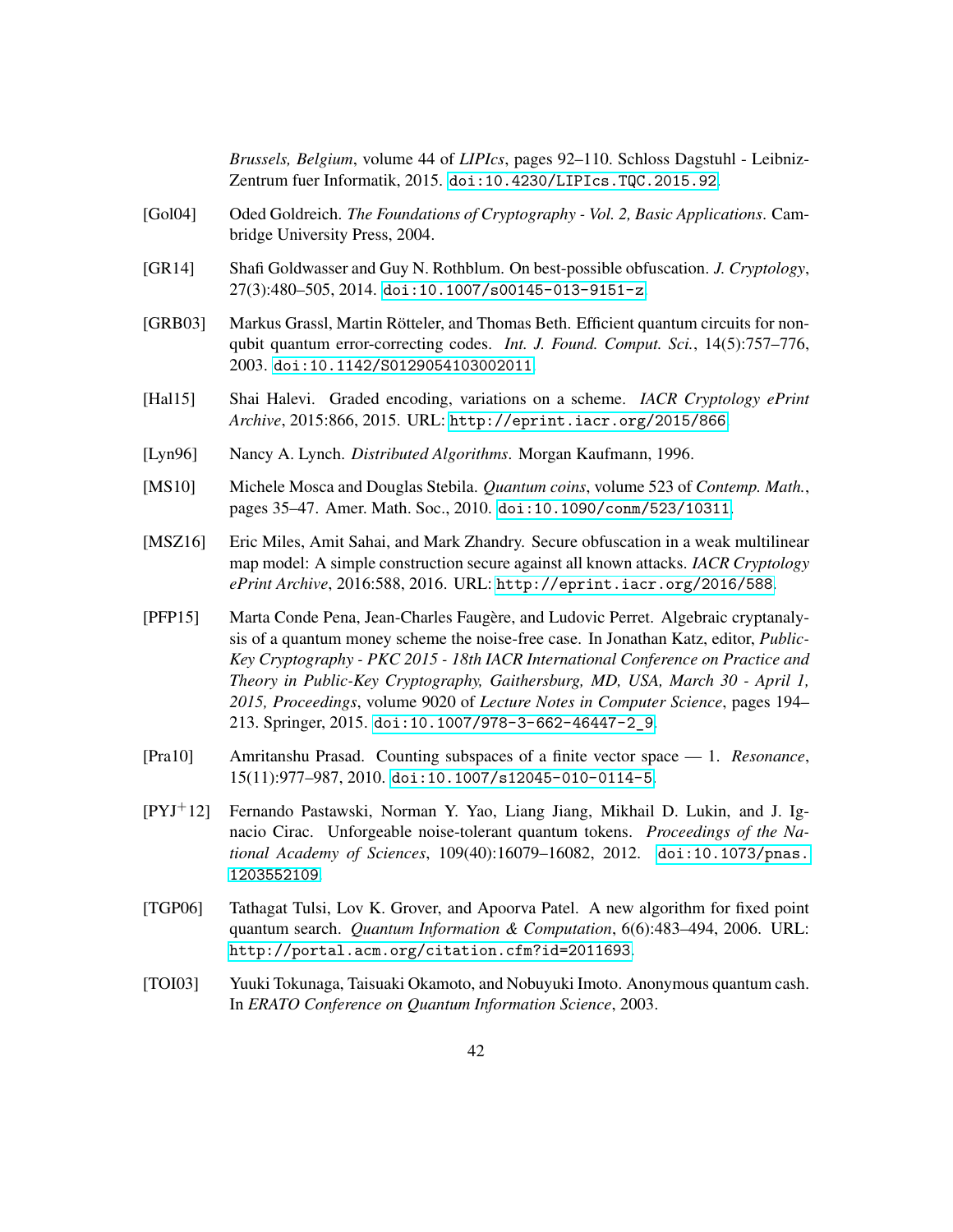*Brussels, Belgium*, volume 44 of *LIPIcs*, pages 92–110. Schloss Dagstuhl - Leibniz-Zentrum fuer Informatik, 2015. [doi:10.4230/LIPIcs.TQC.2015.92](http://dx.doi.org/10.4230/LIPIcs.TQC.2015.92).

- <span id="page-41-3"></span>[Gol04] Oded Goldreich. *The Foundations of Cryptography - Vol. 2, Basic Applications*. Cambridge University Press, 2004.
- <span id="page-41-9"></span>[GR14] Shafi Goldwasser and Guy N. Rothblum. On best-possible obfuscation. *J. Cryptology*, 27(3):480–505, 2014. [doi:10.1007/s00145-013-9151-z](http://dx.doi.org/10.1007/s00145-013-9151-z).
- <span id="page-41-6"></span>[GRB03] Markus Grassl, Martin Rötteler, and Thomas Beth. Efficient quantum circuits for nonqubit quantum error-correcting codes. *Int. J. Found. Comput. Sci.*, 14(5):757–776, 2003. [doi:10.1142/S0129054103002011](http://dx.doi.org/10.1142/S0129054103002011).
- <span id="page-41-7"></span>[Hal15] Shai Halevi. Graded encoding, variations on a scheme. *IACR Cryptology ePrint Archive*, 2015:866, 2015. URL: <http://eprint.iacr.org/2015/866>.
- <span id="page-41-11"></span>[Lyn96] Nancy A. Lynch. *Distributed Algorithms*. Morgan Kaufmann, 1996.
- <span id="page-41-2"></span>[MS10] Michele Mosca and Douglas Stebila. *Quantum coins*, volume 523 of *Contemp. Math.*, pages 35–47. Amer. Math. Soc., 2010. [doi:10.1090/conm/523/10311](http://dx.doi.org/10.1090/conm/523/10311).
- <span id="page-41-8"></span>[MSZ16] Eric Miles, Amit Sahai, and Mark Zhandry. Secure obfuscation in a weak multilinear map model: A simple construction secure against all known attacks. *IACR Cryptology ePrint Archive*, 2016:588, 2016. URL: <http://eprint.iacr.org/2016/588>.
- <span id="page-41-0"></span>[PFP15] Marta Conde Pena, Jean-Charles Faugère, and Ludovic Perret. Algebraic cryptanalysis of a quantum money scheme the noise-free case. In Jonathan Katz, editor, *Public-Key Cryptography - PKC 2015 - 18th IACR International Conference on Practice and Theory in Public-Key Cryptography, Gaithersburg, MD, USA, March 30 - April 1, 2015, Proceedings*, volume 9020 of *Lecture Notes in Computer Science*, pages 194– 213. Springer, 2015. [doi:10.1007/978-3-662-46447-2\\_9](http://dx.doi.org/10.1007/978-3-662-46447-2_9).
- <span id="page-41-4"></span>[Pra10] Amritanshu Prasad. Counting subspaces of a finite vector space — 1. *Resonance*, 15(11):977–987, 2010. [doi:10.1007/s12045-010-0114-5](http://dx.doi.org/10.1007/s12045-010-0114-5).
- <span id="page-41-10"></span>[PYJ+12] Fernando Pastawski, Norman Y. Yao, Liang Jiang, Mikhail D. Lukin, and J. Ignacio Cirac. Unforgeable noise-tolerant quantum tokens. *Proceedings of the National Academy of Sciences*, 109(40):16079–16082, 2012. [doi:10.1073/pnas.](http://dx.doi.org/10.1073/pnas.1203552109) [1203552109](http://dx.doi.org/10.1073/pnas.1203552109).
- <span id="page-41-5"></span>[TGP06] Tathagat Tulsi, Lov K. Grover, and Apoorva Patel. A new algorithm for fixed point quantum search. *Quantum Information & Computation*, 6(6):483–494, 2006. URL: <http://portal.acm.org/citation.cfm?id=2011693>.
- <span id="page-41-1"></span>[TOI03] Yuuki Tokunaga, Taisuaki Okamoto, and Nobuyuki Imoto. Anonymous quantum cash. In *ERATO Conference on Quantum Information Science*, 2003.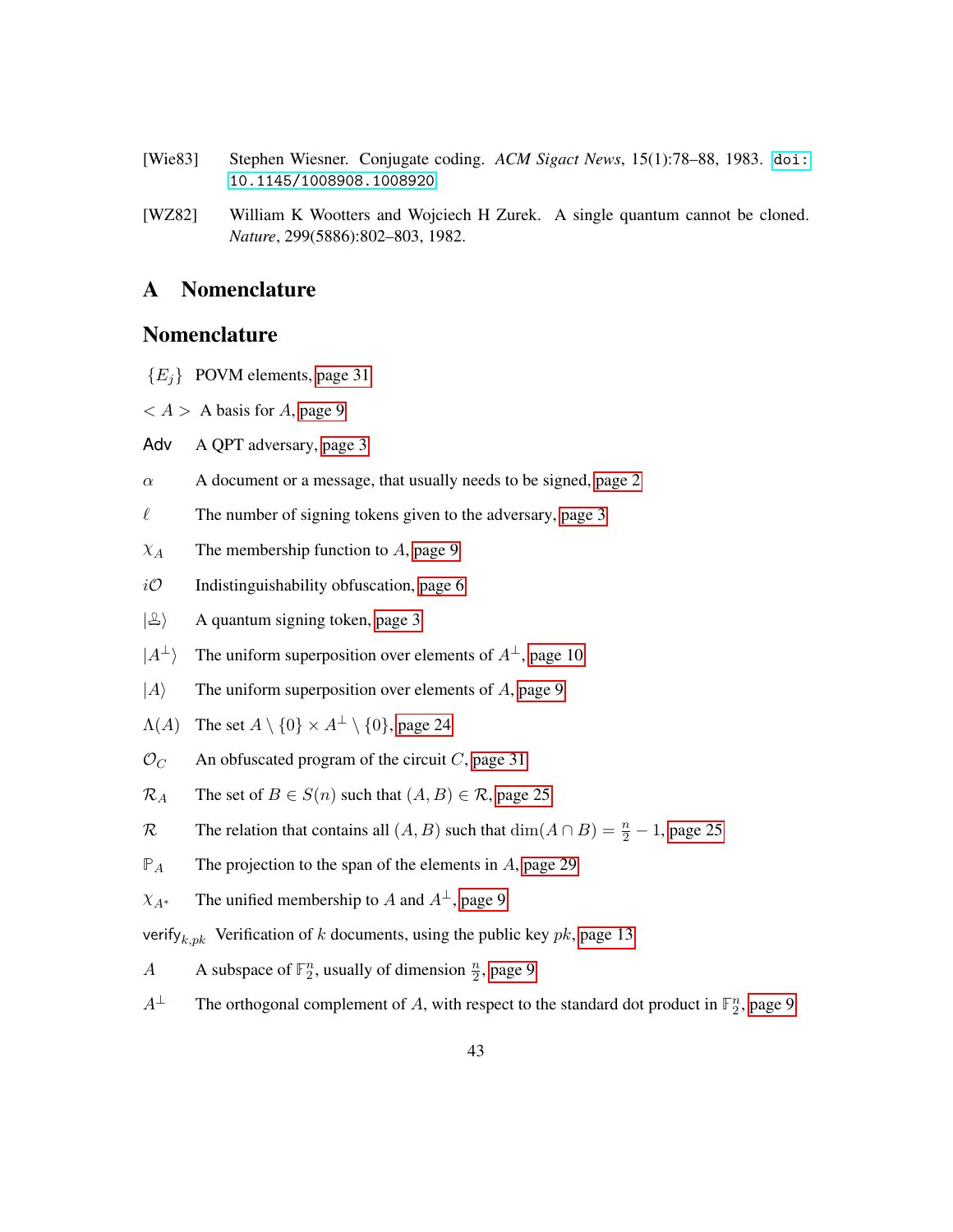- <span id="page-42-2"></span>[Wie83] Stephen Wiesner. Conjugate coding. *ACM Sigact News*, 15(1):78–88, 1983. [doi:](http://dx.doi.org/10.1145/1008908.1008920) [10.1145/1008908.1008920](http://dx.doi.org/10.1145/1008908.1008920).
- <span id="page-42-1"></span>[WZ82] William K Wootters and Wojciech H Zurek. A single quantum cannot be cloned. *Nature*, 299(5886):802–803, 1982.

### <span id="page-42-0"></span>A Nomenclature

### Nomenclature

- {*Ej*} POVM elements, [page 31](#page-30-3)
- $\langle A \rangle$  A basis for *A*, [page 9](#page-8-2)
- Adv A QPT adversary, [page 3](#page-2-2)
- $\alpha$  A document or a message, that usually needs to be signed, [page 2](#page-1-0)
- $\ell$  The number of signing tokens given to the adversary, [page 3](#page-2-2)
- $\chi_A$  The membership function to *A*, [page 9](#page-8-2)
- $i\mathcal{O}$  Indistinguishability obfuscation, [page 6](#page-5-1)
- $|\mathcal{L}\rangle$  A quantum signing token, [page 3](#page-2-2)
- $|A^{\perp}\rangle$  The uniform superposition over elements of  $A^{\perp}$ , [page 10](#page-9-5)
- $|A\rangle$  The uniform superposition over elements of *A*, [page 9](#page-8-2)
- $\Lambda(A)$  The set  $A \setminus \{0\} \times A^{\perp} \setminus \{0\}$ , [page 24](#page-23-2)
- $\mathcal{O}_C$  An obfuscated program of the circuit *C*, [page 31](#page-30-3)
- $\mathcal{R}_A$  The set of  $B \in S(n)$  such that  $(A, B) \in \mathcal{R}$ , [page 25](#page-24-3)
- R The relation that contains all  $(A, B)$  such that  $\dim(A \cap B) = \frac{n}{2} 1$ , [page 25](#page-24-3)
- **P***<sup>A</sup>* The projection to the span of the elements in *A*, [page 29](#page-28-2)
- $\chi_{A^*}$  The unified membership to *A* and  $A^{\perp}$ , [page 9](#page-8-2)
- verify*k,pk* Verification of *k* documents, using the public key *pk*, [page 13](#page-12-5)
- *A* A subspace of  $\mathbb{F}_2^n$ , usually of dimension  $\frac{n}{2}$ , [page 9](#page-8-2)
- *A*<sup>⊥</sup> The orthogonal complement of *A*, with respect to the standard dot product in  $\mathbb{F}_2^n$ , [page 9](#page-8-2)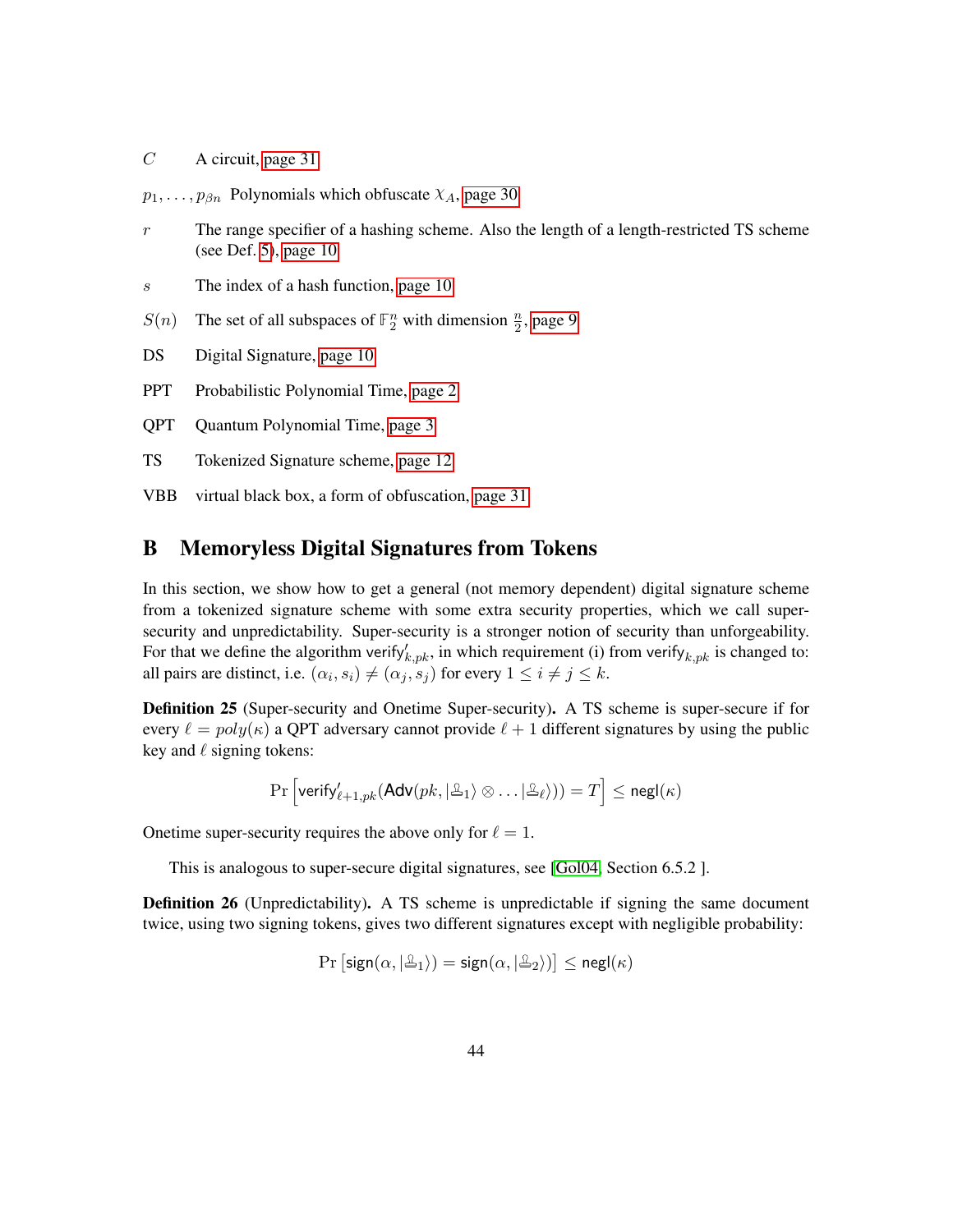*C* A circuit, [page 31](#page-30-3)

 $p_1, \ldots, p_{\beta n}$  Polynomials which obfuscate  $\chi_A$ , [page 30](#page-29-3)

- *r* The range specifier of a hashing scheme. Also the length of a length-restricted TS scheme (see Def. [5\)](#page-13-3), [page 10](#page-9-5)
- *s* The index of a hash function, [page 10](#page-9-5)
- $S(n)$  The set of all subspaces of  $\mathbb{F}_2^n$  with dimension  $\frac{n}{2}$ , [page 9](#page-8-2)
- DS Digital Signature, [page 10](#page-9-5)
- PPT Probabilistic Polynomial Time, [page 2](#page-1-0)
- QPT Quantum Polynomial Time, [page 3](#page-2-2)
- TS Tokenized Signature scheme, [page 12](#page-11-3)
- VBB virtual black box, a form of obfuscation, [page 31](#page-30-3)

## <span id="page-43-0"></span>B Memoryless Digital Signatures from Tokens

In this section, we show how to get a general (not memory dependent) digital signature scheme from a tokenized signature scheme with some extra security properties, which we call supersecurity and unpredictability. Super-security is a stronger notion of security than unforgeability. For that we define the algorithm verify $\chi_{p,k}$ , in which requirement (i) from verify  $k_{p,k}$  is changed to: all pairs are distinct, i.e.  $(\alpha_i, s_i) \neq (\alpha_j, s_j)$  for every  $1 \leq i \neq j \leq k$ .

<span id="page-43-1"></span>Definition 25 (Super-security and Onetime Super-security). A TS scheme is super-secure if for every  $\ell = poly(\kappa)$  a QPT adversary cannot provide  $\ell + 1$  different signatures by using the public key and  $\ell$  signing tokens:

$$
\Pr\left[\mathsf{verify}_{\ell+1, pk}'(\mathsf{Adv}(pk, |\mathcal{Z}_1 \rangle \otimes \ldots | \mathcal{Z}_\ell))) = T\right] \leq \mathsf{negl}(\kappa)
$$

Onetime super-security requires the above only for  $\ell = 1$ .

This is analogous to super-secure digital signatures, see [\[Gol04,](#page-41-3) Section 6.5.2 ].

<span id="page-43-2"></span>Definition 26 (Unpredictability). A TS scheme is unpredictable if signing the same document twice, using two signing tokens, gives two different signatures except with negligible probability:

$$
\Pr\left[\mathsf{sign}(\alpha,|\mathbb{A}_1\rangle)=\mathsf{sign}(\alpha,|\mathbb{A}_2\rangle)\right]\leq \mathsf{negl}(\kappa)
$$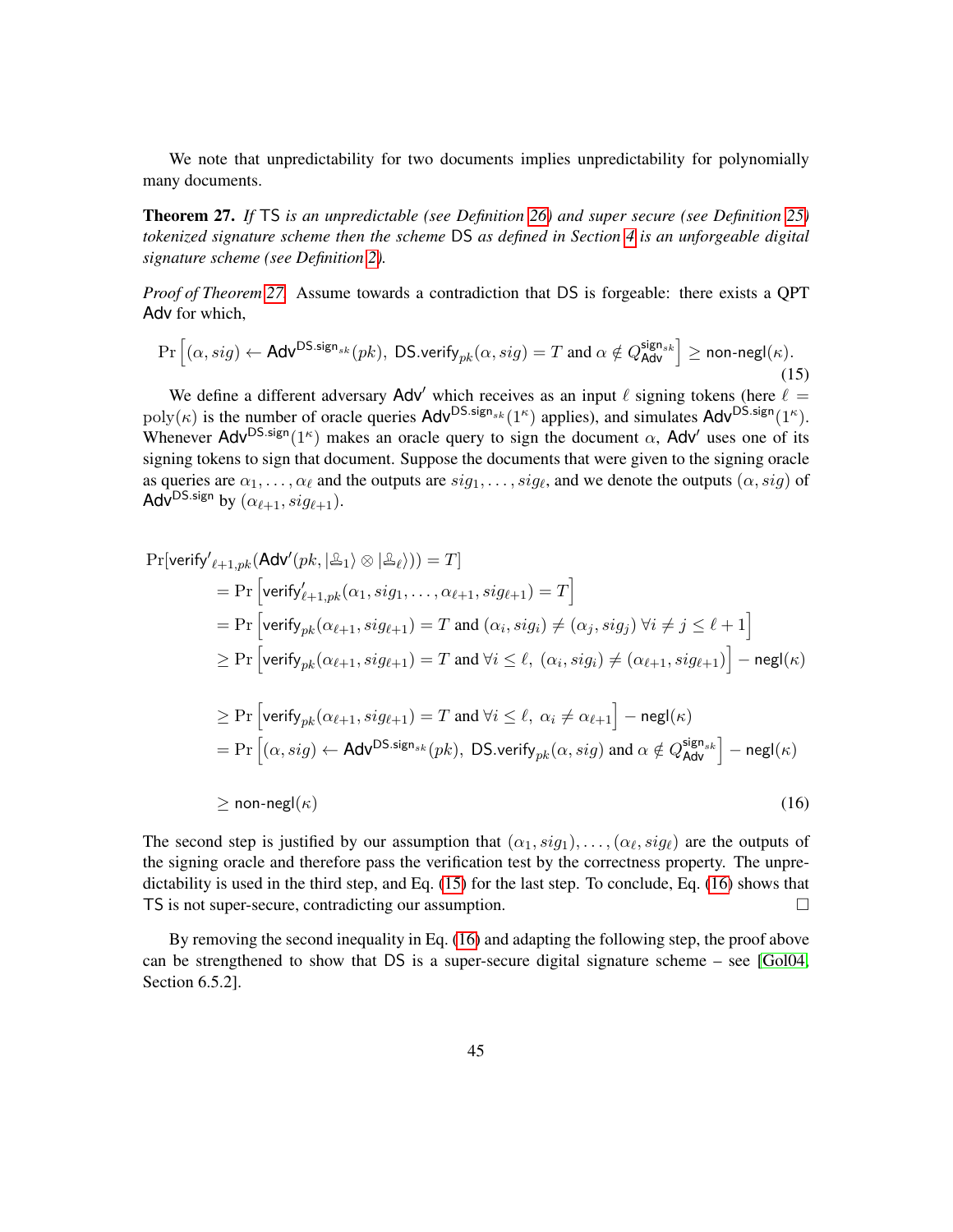We note that unpredictability for two documents implies unpredictability for polynomially many documents.

<span id="page-44-0"></span>Theorem 27. *If* TS *is an unpredictable (see Definition [26\)](#page-43-2) and super secure (see Definition [25\)](#page-43-1) tokenized signature scheme then the scheme* DS *as defined in Section [4](#page-14-0) is an unforgeable digital signature scheme (see Definition [2\)](#page-10-2).*

*Proof of Theorem [27.](#page-44-0)* Assume towards a contradiction that DS is forgeable: there exists a QPT Adv for which,

<span id="page-44-1"></span>
$$
\Pr\left[(\alpha, sig) \leftarrow \mathsf{Adv}^{\mathsf{DS}.sign_{sk}}(pk), \ \mathsf{DS}.\mathsf{verify}_{pk}(\alpha, sig) = T \text{ and } \alpha \notin Q_{\mathsf{Adv}}^{\mathsf{sign}_{sk}}\right] \ge \textsf{non-negl}(\kappa). \tag{15}
$$

We define a different adversary Adv<sup>'</sup> which receives as an input  $\ell$  signing tokens (here  $\ell =$  $poly(\kappa)$  is the number of oracle queries  $Adv^{DS \text{.sign}_{sk}}(1^{\kappa})$  applies), and simulates  $Adv^{DS \text{.sign}}(1^{\kappa})$ . Whenever Adv<sup>DS.sign</sup>( $1<sup>\kappa</sup>$ ) makes an oracle query to sign the document  $\alpha$ , Adv' uses one of its signing tokens to sign that document. Suppose the documents that were given to the signing oracle as queries are  $\alpha_1, \ldots, \alpha_\ell$  and the outputs are  $sig_1, \ldots, sig_\ell$ , and we denote the outputs  $(\alpha, sig)$  of Adv<sup>DS.sign</sup> by  $(\alpha_{\ell+1}, sig_{\ell+1})$ .

$$
\Pr[\text{verify'}_{\ell+1, pk}(\text{Adv}'(pk, |\Delta_1) \otimes |\Delta_{\ell}\rangle)) = T]
$$
\n
$$
= \Pr[\text{verify'}_{\ell+1, pk}(\alpha_1, sig_1, \dots, \alpha_{\ell+1}, sig_{\ell+1}) = T]
$$
\n
$$
= \Pr[\text{verify}_{pk}(\alpha_{\ell+1}, sig_{\ell+1}) = T \text{ and } (\alpha_i, sig_i) \neq (\alpha_j, sig_j) \forall i \neq j \leq \ell+1]
$$
\n
$$
\geq \Pr[\text{verify}_{pk}(\alpha_{\ell+1}, sig_{\ell+1}) = T \text{ and } \forall i \leq \ell, (\alpha_i, sig_i) \neq (\alpha_{\ell+1}, sig_{\ell+1})] - \text{negl}(\kappa)
$$
\n
$$
\geq \Pr[\text{verify}_{pk}(\alpha_{\ell+1}, sig_{\ell+1}) = T \text{ and } \forall i \leq \ell, \alpha_i \neq \alpha_{\ell+1}] - \text{negl}(\kappa)
$$
\n
$$
= \Pr[(\alpha, sig) \leftarrow \text{Adv}^{DS.size}_{sk}(pk), \text{DS}.\text{verify}_{pk}(\alpha, sig) \text{ and } \alpha \notin Q_{\text{Adv}}^{\text{sign}_{sk}}] - \text{negl}(\kappa)
$$
\n
$$
\geq \text{non-negl}(\kappa) \tag{16}
$$

<span id="page-44-2"></span>The second step is justified by our assumption that  $(\alpha_1, sig_1), \ldots, (\alpha_\ell, sig_\ell)$  are the outputs of the signing oracle and therefore pass the verification test by the correctness property. The unpredictability is used in the third step, and Eq. [\(15\)](#page-44-1) for the last step. To conclude, Eq. [\(16\)](#page-44-2) shows that TS is not super-secure, contradicting our assumption.

By removing the second inequality in Eq. [\(16\)](#page-44-2) and adapting the following step, the proof above can be strengthened to show that DS is a super-secure digital signature scheme – see [\[Gol04,](#page-41-3) Section 6.5.2].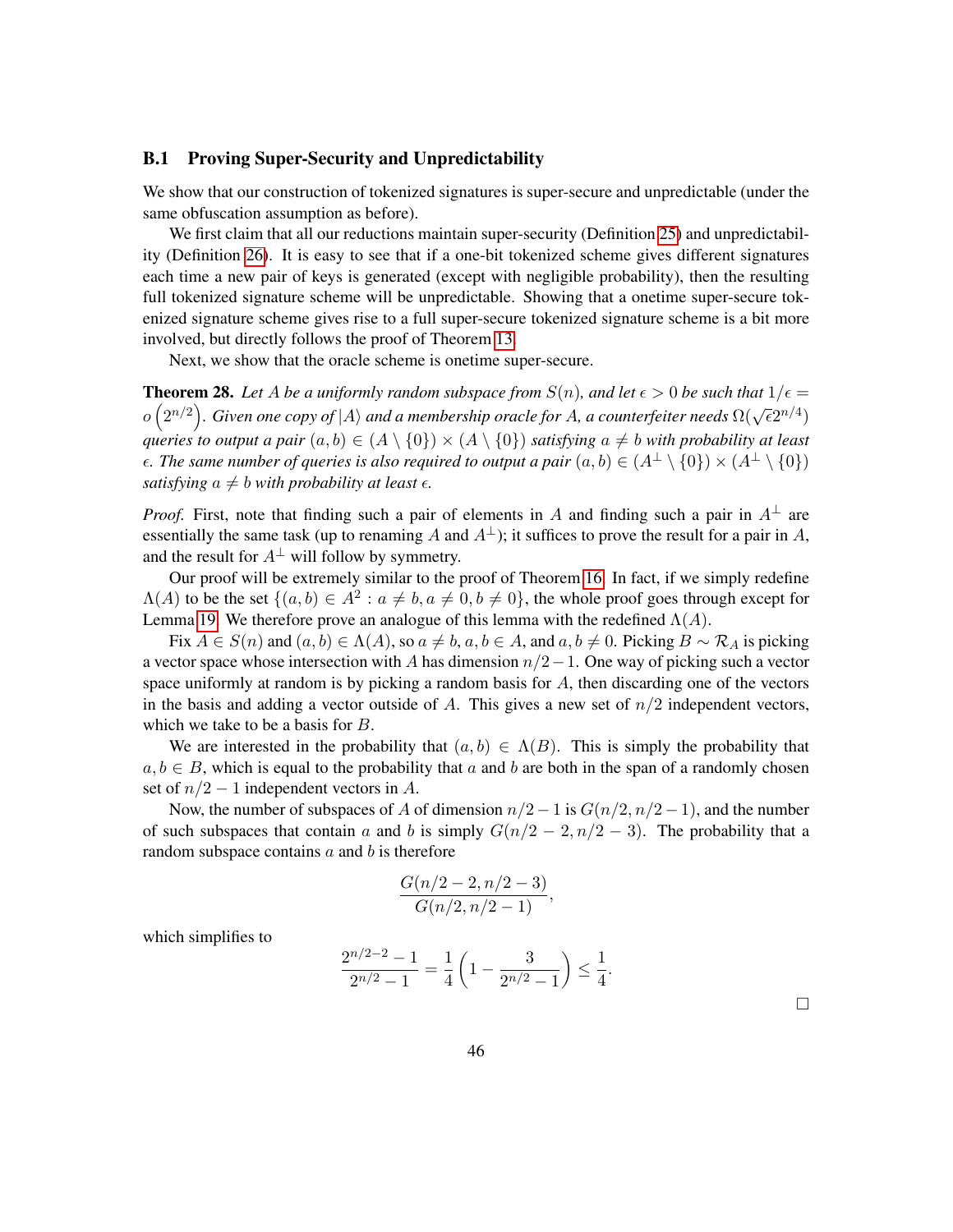#### <span id="page-45-0"></span>B.1 Proving Super-Security and Unpredictability

We show that our construction of tokenized signatures is super-secure and unpredictable (under the same obfuscation assumption as before).

We first claim that all our reductions maintain super-security (Definition [25\)](#page-43-1) and unpredictability (Definition [26\)](#page-43-2). It is easy to see that if a one-bit tokenized scheme gives different signatures each time a new pair of keys is generated (except with negligible probability), then the resulting full tokenized signature scheme will be unpredictable. Showing that a onetime super-secure tokenized signature scheme gives rise to a full super-secure tokenized signature scheme is a bit more involved, but directly follows the proof of Theorem [13.](#page-17-1)

Next, we show that the oracle scheme is onetime super-secure.

<span id="page-45-1"></span>**Theorem 28.** Let A be a uniformly random subspace from  $S(n)$ , and let  $\epsilon > 0$  be such that  $1/\epsilon =$  $o(2^{n/2})$ . Given one copy of |*A*) and a membership oracle for *A*, a counterfeiter needs  $\Omega(\sqrt{\epsilon}2^{n/4})$ *queries to output a pair*  $(a, b) \in (A \setminus \{0\}) \times (A \setminus \{0\})$  *satisfying*  $a \neq b$  *with probability at least*  $\epsilon$ *. The same number of queries is also required to output a pair*  $(a, b) \in (A^{\perp} \setminus \{0\}) \times (A^{\perp} \setminus \{0\})$ *satisfying*  $a \neq b$  *with probability at least*  $\epsilon$ *.* 

*Proof.* First, note that finding such a pair of elements in *A* and finding such a pair in  $A^{\perp}$  are essentially the same task (up to renaming *A* and  $A^{\perp}$ ); it suffices to prove the result for a pair in *A*, and the result for  $A^{\perp}$  will follow by symmetry.

Our proof will be extremely similar to the proof of Theorem [16.](#page-24-2) In fact, if we simply redefine  $\Lambda(A)$  to be the set  $\{(a, b) \in A^2 : a \neq b, a \neq 0, b \neq 0\}$ , the whole proof goes through except for Lemma [19.](#page-26-0) We therefore prove an analogue of this lemma with the redefined  $\Lambda(A)$ .

Fix  $A \in S(n)$  and  $(a, b) \in \Lambda(A)$ , so  $a \neq b$ ,  $a, b \in A$ , and  $a, b \neq 0$ . Picking  $B \sim \mathcal{R}_A$  is picking a vector space whose intersection with *A* has dimension *n/*2−1. One way of picking such a vector space uniformly at random is by picking a random basis for *A*, then discarding one of the vectors in the basis and adding a vector outside of *A*. This gives a new set of *n/*2 independent vectors, which we take to be a basis for *B*.

We are interested in the probability that  $(a, b) \in \Lambda(B)$ . This is simply the probability that  $a, b \in B$ , which is equal to the probability that *a* and *b* are both in the span of a randomly chosen set of  $n/2 - 1$  independent vectors in A.

Now, the number of subspaces of *A* of dimension  $n/2 - 1$  is  $G(n/2, n/2 - 1)$ , and the number of such subspaces that contain *a* and *b* is simply  $G(n/2 - 2, n/2 - 3)$ . The probability that a random subspace contains *a* and *b* is therefore

$$
\frac{G(n/2-2, n/2-3)}{G(n/2, n/2-1)}
$$

which simplifies to

$$
\frac{2^{n/2-2}-1}{2^{n/2}-1} = \frac{1}{4} \left( 1 - \frac{3}{2^{n/2}-1} \right) \le \frac{1}{4}.
$$

 $\Box$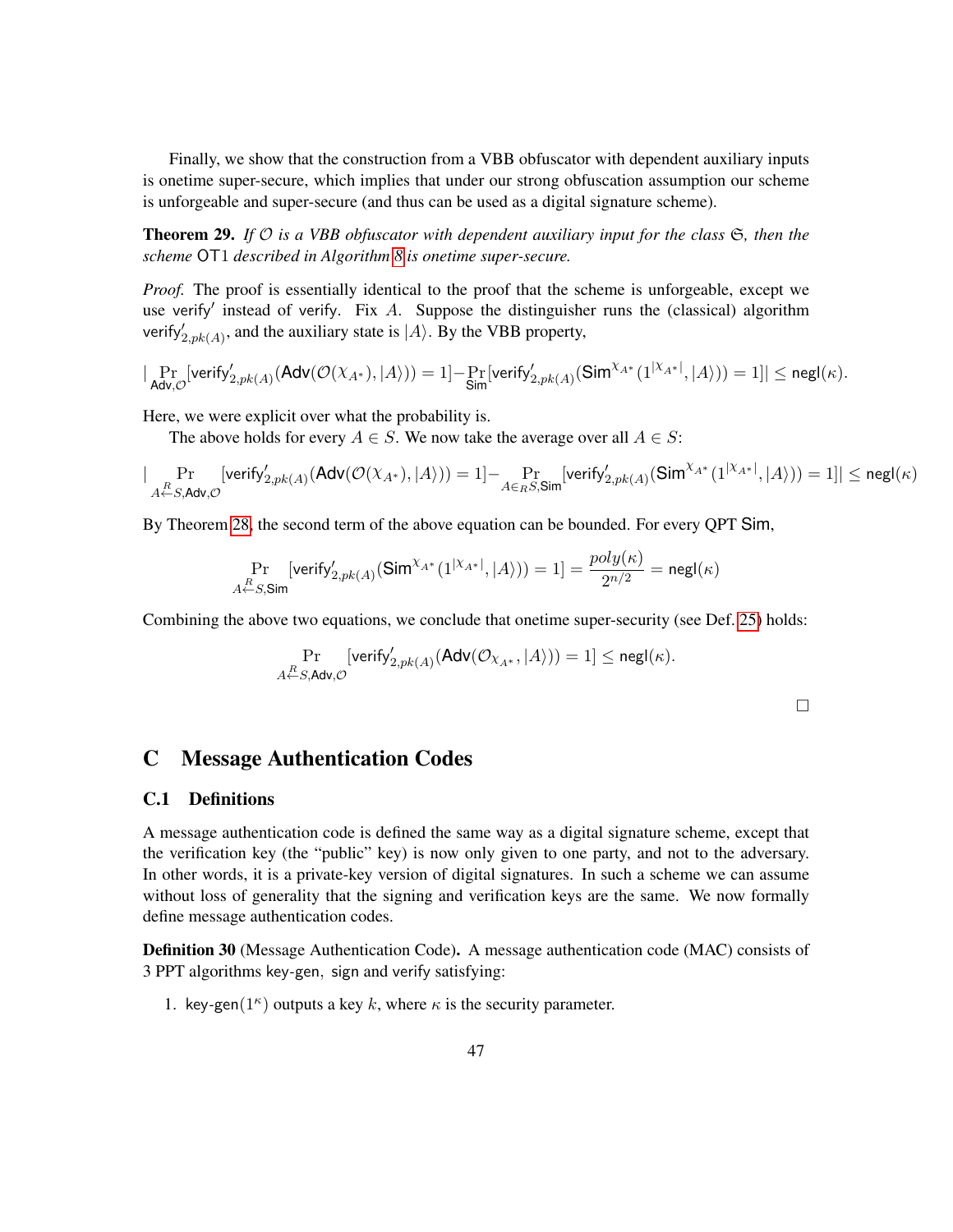Finally, we show that the construction from a VBB obfuscator with dependent auxiliary inputs is onetime super-secure, which implies that under our strong obfuscation assumption our scheme is unforgeable and super-secure (and thus can be used as a digital signature scheme).

**Theorem 29.** If  $\mathcal{O}$  is a VBB obfuscator with dependent auxiliary input for the class  $\mathfrak{S}$ , then the *scheme* OT1 *described in Algorithm [8](#page-33-0) is onetime super-secure.*

*Proof.* The proof is essentially identical to the proof that the scheme is unforgeable, except we use verify' instead of verify. Fix *A*. Suppose the distinguisher runs the (classical) algorithm verify $y'_{2, pk(A)}$ , and the auxiliary state is  $|A\rangle$ . By the VBB property,

$$
|\Pr_{\mathsf{Adv}, \mathcal{O}}[\mathsf{verify}_{2, pk(A)}'(\mathsf{Adv}(\mathcal{O}(\chi_{A^*}), |A\rangle)) = 1] - \Pr_{\mathsf{Sim}}[\mathsf{verify}_{2, pk(A)}'(\mathsf{Sim}^{\chi_{A^*}}(1^{|\chi_{A^*}|}, |A\rangle)) = 1]| \leq {\mathsf{negl}}(\kappa).
$$

Here, we were explicit over what the probability is.

The above holds for every  $A \in S$ . We now take the average over all  $A \in S$ :

$$
|\Pr_{A \leftarrow S, \mathsf{Adv}, \mathcal{O}}[\mathsf{verify}_{2, pk(A)}'(\mathsf{Adv}(\mathcal{O}(\chi_{A^*}), |A\rangle)) = 1] - \Pr_{A \in_R S, \mathsf{Sim}}[\mathsf{verify}_{2, pk(A)}'(\mathsf{Sim}^{\chi_{A^*}}(1^{|\chi_{A^*}|}, |A\rangle)) = 1]| \leq {\mathsf{negl}}(\kappa)
$$

By Theorem [28,](#page-45-1) the second term of the above equation can be bounded. For every QPT Sim,

$$
\Pr_{A \stackrel{R}{\leftarrow} S, \mathsf{Sim}}[\mathsf{verify}_{2, pk(A)}'(\mathsf{Sim}^{\chi_{A*}}(1^{|\chi_{A*}|}, |A\rangle)) = 1] = \frac{poly(\kappa)}{2^{n/2}} = \mathsf{negl}(\kappa)
$$

Combining the above two equations, we conclude that onetime super-security (see Def. [25\)](#page-43-1) holds:

$$
\Pr_{A \xleftarrow{R} S, \mathsf{Adv}, \mathcal{O}}[\textsf{verify}_{2, pk(A)}'(\mathsf{Adv}(\mathcal{O}_{X_{A^*}}, |A\rangle)) = 1] \leq \mathsf{negl}(\kappa).
$$

 $\Box$ 

### <span id="page-46-0"></span>C Message Authentication Codes

### <span id="page-46-1"></span>C.1 Definitions

A message authentication code is defined the same way as a digital signature scheme, except that the verification key (the "public" key) is now only given to one party, and not to the adversary. In other words, it is a private-key version of digital signatures. In such a scheme we can assume without loss of generality that the signing and verification keys are the same. We now formally define message authentication codes.

Definition 30 (Message Authentication Code). A message authentication code (MAC) consists of 3 PPT algorithms key*-*gen*,* sign and verify satisfying:

1. key-gen( $1^{\kappa}$ ) outputs a key *k*, where *κ* is the security parameter.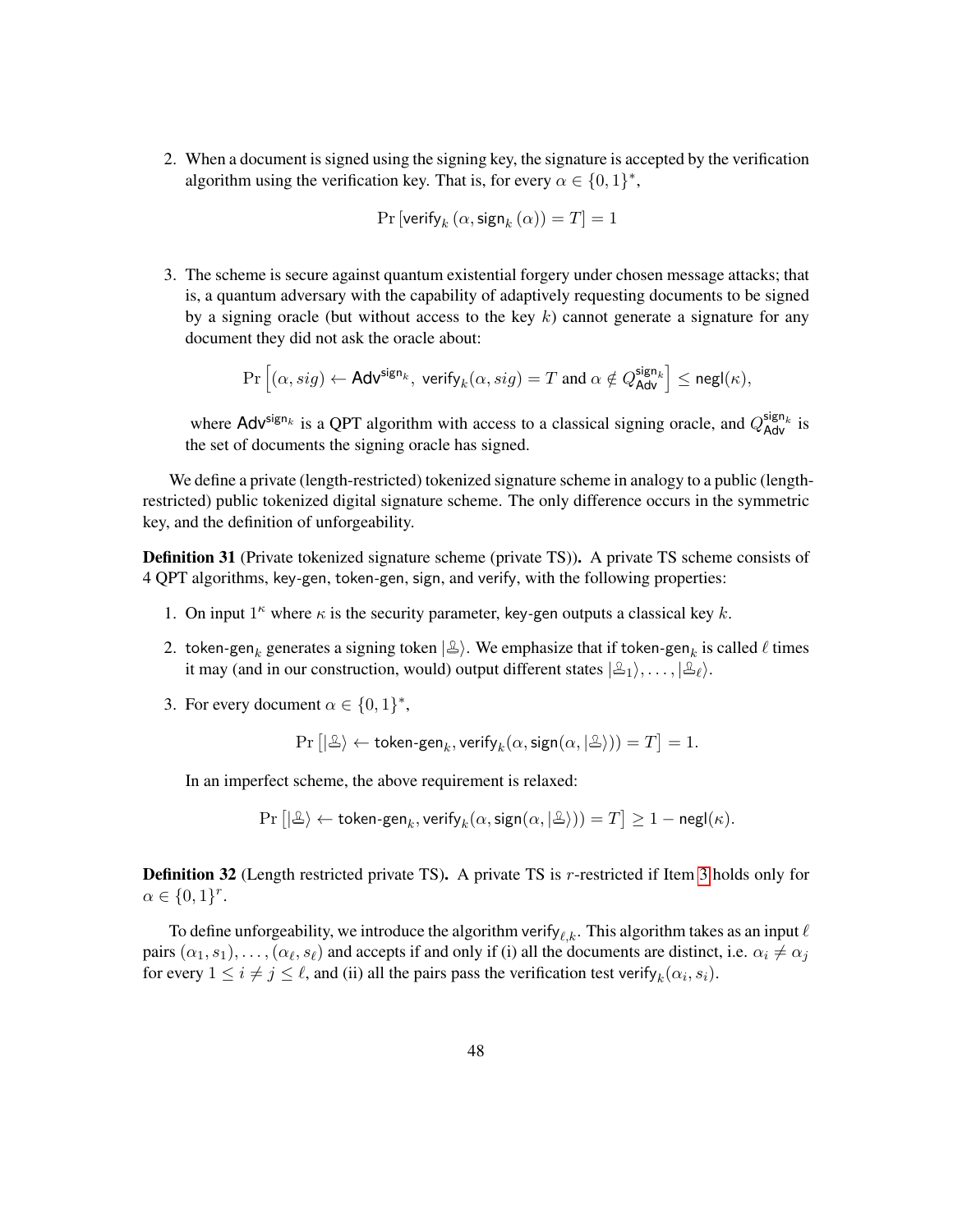2. When a document is signed using the signing key, the signature is accepted by the verification algorithm using the verification key. That is, for every  $\alpha \in \{0,1\}^*$ ,

$$
\Pr\left[\text{verify}_k\left(\alpha, \text{sign}_k\left(\alpha\right)\right) = T\right] = 1
$$

3. The scheme is secure against quantum existential forgery under chosen message attacks; that is, a quantum adversary with the capability of adaptively requesting documents to be signed by a signing oracle (but without access to the key *k*) cannot generate a signature for any document they did not ask the oracle about:

$$
\Pr\left[(\alpha,sig) \leftarrow \mathsf{Adv}^{\mathsf{sign}_k}, \ \mathsf{verify}_k(\alpha,sig) = T \ \text{and} \ \alpha \notin Q_{\mathsf{Adv}}^{\mathsf{sign}_k}\right] \leq \mathsf{negl}(\kappa),
$$

where  $\text{Adv}^{\text{sign}_k}$  is a QPT algorithm with access to a classical signing oracle, and  $Q_{\text{Adv}}^{\text{sign}_k}$  is the set of documents the signing oracle has signed.

We define a private (length-restricted) tokenized signature scheme in analogy to a public (lengthrestricted) public tokenized digital signature scheme. The only difference occurs in the symmetric key, and the definition of unforgeability.

Definition 31 (Private tokenized signature scheme (private TS)). A private TS scheme consists of 4 QPT algorithms, key*-*gen, token*-*gen, sign, and verify, with the following properties:

- 1. On input  $1^k$  where  $\kappa$  is the security parameter, key-gen outputs a classical key  $k$ .
- 2. token-gen<sub>k</sub> generates a signing token  $|\triangle\rangle$ . We emphasize that if token-gen<sub>k</sub> is called  $\ell$  times it may (and in our construction, would) output different states  $|\mathcal{L}_1\rangle, \ldots, |\mathcal{L}_{\ell}\rangle$ .
- <span id="page-47-0"></span>3. For every document  $\alpha \in \{0, 1\}^*$ ,

$$
\Pr\left[|\mathcal{L}\rangle \leftarrow \text{token-gen}_k, \text{verify}_k(\alpha, \text{sign}(\alpha, |\mathcal{L}\rangle)) = T\right] = 1.
$$

In an imperfect scheme, the above requirement is relaxed:

 $\Pr\left[|\mathcal{L}\rangle\leftarrow\mathsf{token\text{-}gen}_k,\mathsf{verify}_k(\alpha,\mathsf{sign}(\alpha,|\mathcal{L}\rangle))=T\right]\geq 1-\mathsf{negl}(\kappa).$ 

Definition 32 (Length restricted private TS). A private TS is *r*-restricted if Item [3](#page-47-0) holds only for  $\alpha \in \{0,1\}^r$ .

To define unforgeability, we introduce the algorithm verify<sub> $\ell, k$ </sub>. This algorithm takes as an input  $\ell$ pairs  $(\alpha_1, s_1), \ldots, (\alpha_\ell, s_\ell)$  and accepts if and only if (i) all the documents are distinct, i.e.  $\alpha_i \neq \alpha_j$ for every  $1 \leq i \neq j \leq \ell$ , and (ii) all the pairs pass the verification test verify<sub>*k*</sub>( $\alpha_i$ ,  $s_i$ ).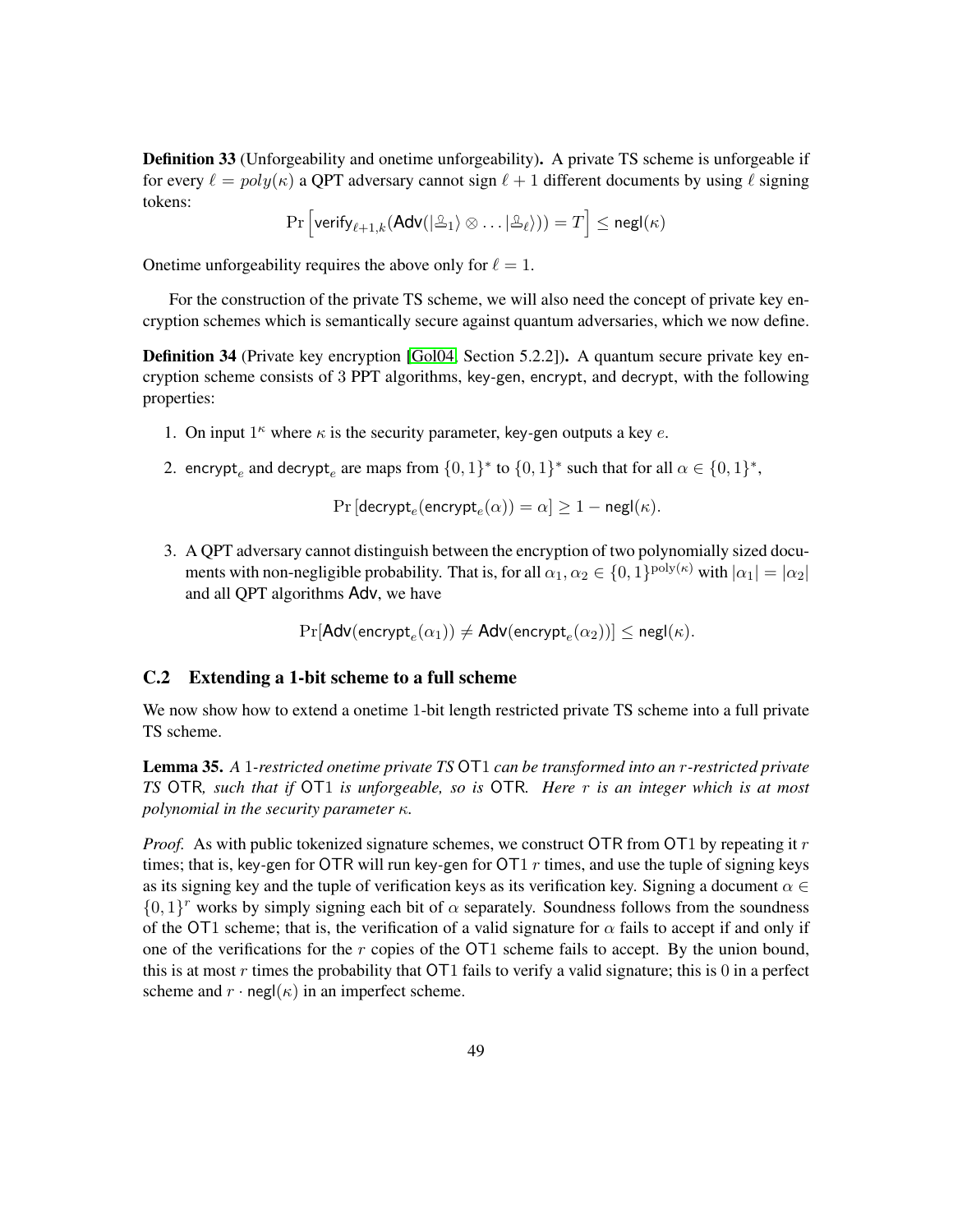**Definition 33** (Unforgeability and onetime unforgeability). A private TS scheme is unforgeable if for every  $\ell = poly(\kappa)$  a QPT adversary cannot sign  $\ell + 1$  different documents by using  $\ell$  signing tokens:

$$
\Pr\left[\mathsf{verify}_{\ell+1, k}(\mathsf{Adv}(|\mathcal{L}_1\rangle \otimes \ldots |\mathcal{L}_\ell))) = T\right] \leq \mathsf{negl}(\kappa)
$$

Onetime unforgeability requires the above only for  $\ell = 1$ .

For the construction of the private TS scheme, we will also need the concept of private key encryption schemes which is semantically secure against quantum adversaries, which we now define.

**Definition 34** (Private key encryption [\[Gol04,](#page-41-3) Section 5.2.2]). A quantum secure private key encryption scheme consists of 3 PPT algorithms, key*-*gen, encrypt, and decrypt, with the following properties:

- 1. On input  $1^k$  where  $\kappa$  is the security parameter, key-gen outputs a key  $e$ .
- 2. encrypt<sub>e</sub> and decrypt<sub>e</sub> are maps from  $\{0,1\}^*$  to  $\{0,1\}^*$  such that for all  $\alpha \in \{0,1\}^*$ ,

 $\Pr\left[\mathsf{decrypt}_e(\mathsf{encrypt}_e(\alpha))=\alpha\right]\geq 1-\mathsf{negl}(\kappa).$ 

3. A QPT adversary cannot distinguish between the encryption of two polynomially sized documents with non-negligible probability. That is, for all  $\alpha_1, \alpha_2 \in \{0, 1\}^{\text{poly}(\kappa)}$  with  $|\alpha_1| = |\alpha_2|$ and all QPT algorithms Adv, we have

$$
\Pr[\mathsf{Adv}(\mathsf{encrypt}_e(\alpha_1)) \neq \mathsf{Adv}(\mathsf{encrypt}_e(\alpha_2))] \leq \mathsf{negl}(\kappa).
$$

### <span id="page-48-0"></span>C.2 Extending a 1-bit scheme to a full scheme

We now show how to extend a onetime 1-bit length restricted private TS scheme into a full private TS scheme.

Lemma 35. *A* 1*-restricted onetime private TS* OT1 *can be transformed into an r-restricted private TS* OTR*, such that if* OT1 *is unforgeable, so is* OTR*. Here r is an integer which is at most polynomial in the security parameter κ.*

*Proof.* As with public tokenized signature schemes, we construct OTR from OT1 by repeating it *r* times; that is, key*-*gen for OTR will run key*-*gen for OT1 *r* times, and use the tuple of signing keys as its signing key and the tuple of verification keys as its verification key. Signing a document  $\alpha \in$  $\{0,1\}^r$  works by simply signing each bit of  $\alpha$  separately. Soundness follows from the soundness of the OT1 scheme; that is, the verification of a valid signature for  $\alpha$  fails to accept if and only if one of the verifications for the *r* copies of the OT1 scheme fails to accept. By the union bound, this is at most  $r$  times the probability that  $\overline{OT1}$  fails to verify a valid signature; this is 0 in a perfect scheme and  $r \cdot \text{negl}(\kappa)$  in an imperfect scheme.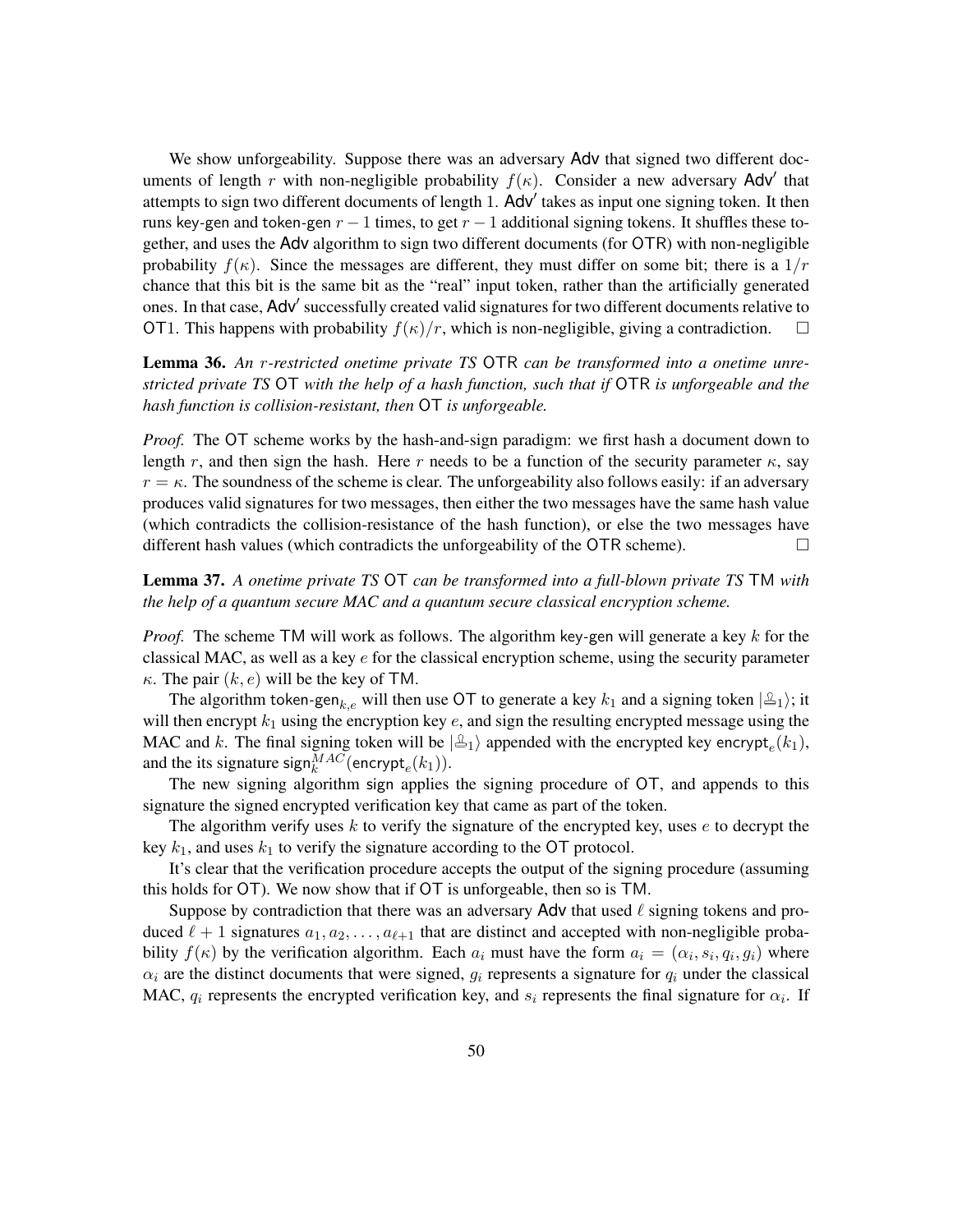We show unforgeability. Suppose there was an adversary Adv that signed two different documents of length *r* with non-negligible probability  $f(\kappa)$ . Consider a new adversary Adv' that attempts to sign two different documents of length 1. Adv<sup>'</sup> takes as input one signing token. It then runs key*-*gen and token*-*gen *r* − 1 times, to get *r* − 1 additional signing tokens. It shuffles these together, and uses the Adv algorithm to sign two different documents (for OTR) with non-negligible probability  $f(\kappa)$ . Since the messages are different, they must differ on some bit; there is a  $1/r$ chance that this bit is the same bit as the "real" input token, rather than the artificially generated ones. In that case, Adv' successfully created valid signatures for two different documents relative to OT1. This happens with probability  $f(\kappa)/r$ , which is non-negligible, giving a contradiction.

Lemma 36. *An r-restricted onetime private TS* OTR *can be transformed into a onetime unrestricted private TS* OT *with the help of a hash function, such that if* OTR *is unforgeable and the hash function is collision-resistant, then* OT *is unforgeable.*

*Proof.* The OT scheme works by the hash-and-sign paradigm: we first hash a document down to length *r*, and then sign the hash. Here *r* needs to be a function of the security parameter  $\kappa$ , say  $r = \kappa$ . The soundness of the scheme is clear. The unforgeability also follows easily: if an adversary produces valid signatures for two messages, then either the two messages have the same hash value (which contradicts the collision-resistance of the hash function), or else the two messages have different hash values (which contradicts the unforgeability of the OTR scheme).  $\Box$ 

Lemma 37. *A onetime private TS* OT *can be transformed into a full-blown private TS* TM *with the help of a quantum secure MAC and a quantum secure classical encryption scheme.*

*Proof.* The scheme TM will work as follows. The algorithm key*-*gen will generate a key *k* for the classical MAC, as well as a key *e* for the classical encryption scheme, using the security parameter *κ*. The pair  $(k, e)$  will be the key of TM.

The algorithm token-gen<sub>k,e</sub> will then use OT to generate a key  $k_1$  and a signing token  $|\mathcal{L}_1\rangle$ ; it will then encrypt  $k_1$  using the encryption key  $e$ , and sign the resulting encrypted message using the MAC and *k*. The final signing token will be  $|\Delta_1\rangle$  appended with the encrypted key encrypt<sub>e</sub> $(k_1)$ , and the its signature  $\text{sign}_{k}^{MAC}(\text{encrypt}_e(k_1)).$ 

The new signing algorithm sign applies the signing procedure of OT, and appends to this signature the signed encrypted verification key that came as part of the token.

The algorithm verify uses *k* to verify the signature of the encrypted key, uses *e* to decrypt the key  $k_1$ , and uses  $k_1$  to verify the signature according to the OT protocol.

It's clear that the verification procedure accepts the output of the signing procedure (assuming this holds for OT). We now show that if OT is unforgeable, then so is TM.

Suppose by contradiction that there was an adversary  $\Delta$ dv that used  $\ell$  signing tokens and produced  $\ell + 1$  signatures  $a_1, a_2, \ldots, a_{\ell+1}$  that are distinct and accepted with non-negligible probability  $f(\kappa)$  by the verification algorithm. Each  $a_i$  must have the form  $a_i = (\alpha_i, s_i, q_i, g_i)$  where  $\alpha_i$  are the distinct documents that were signed,  $g_i$  represents a signature for  $q_i$  under the classical MAC,  $q_i$  represents the encrypted verification key, and  $s_i$  represents the final signature for  $\alpha_i$ . If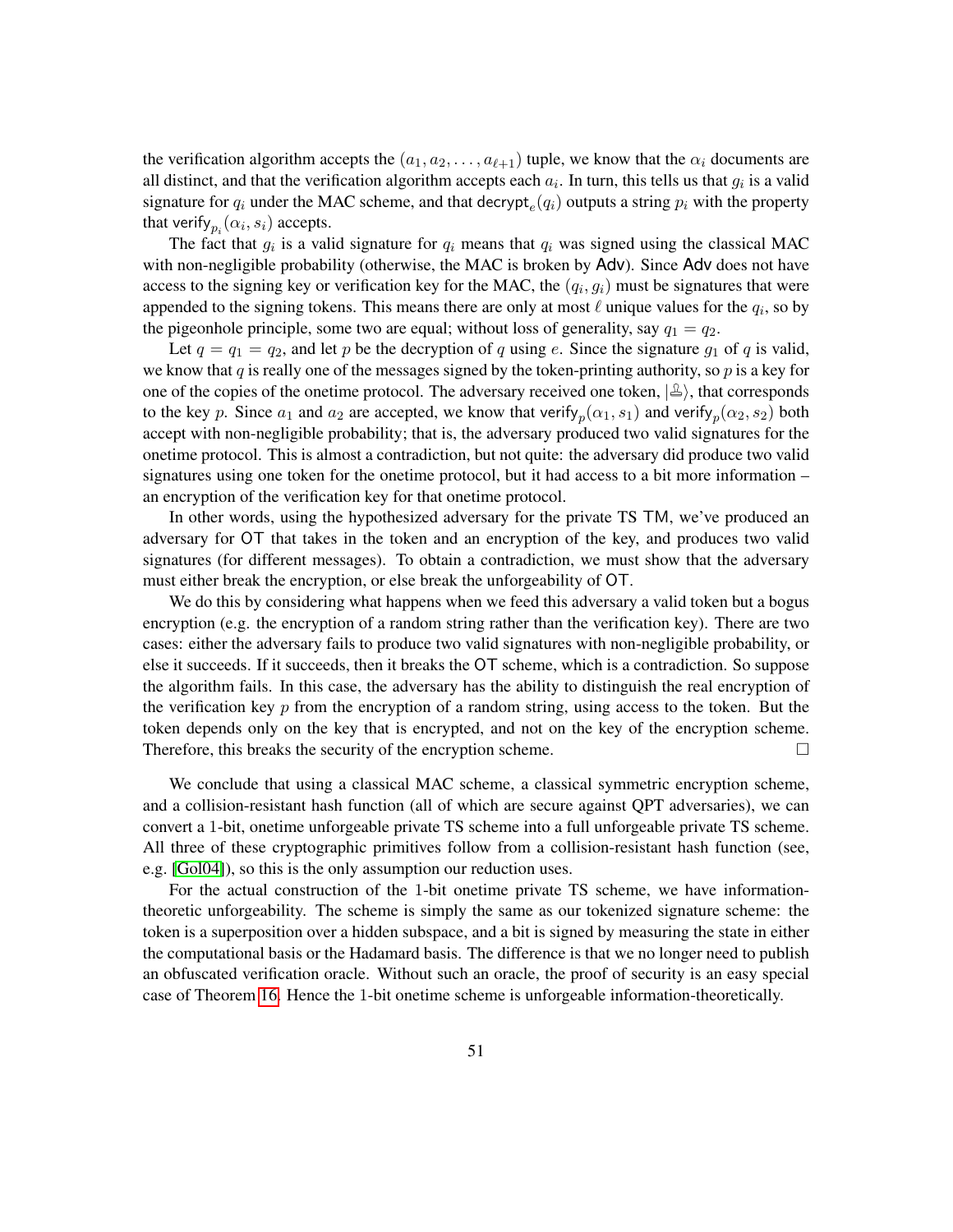the verification algorithm accepts the  $(a_1, a_2, \ldots, a_{\ell+1})$  tuple, we know that the  $\alpha_i$  documents are all distinct, and that the verification algorithm accepts each  $a_i$ . In turn, this tells us that  $g_i$  is a valid signature for  $q_i$  under the MAC scheme, and that decrypt<sub>e</sub> $(q_i)$  outputs a string  $p_i$  with the property that verify $_{p_i}(\alpha_i, s_i)$  accepts.

The fact that  $g_i$  is a valid signature for  $q_i$  means that  $q_i$  was signed using the classical MAC with non-negligible probability (otherwise, the MAC is broken by Adv). Since Adv does not have access to the signing key or verification key for the MAC, the  $(q_i, g_i)$  must be signatures that were appended to the signing tokens. This means there are only at most  $\ell$  unique values for the  $q_i$ , so by the pigeonhole principle, some two are equal; without loss of generality, say  $q_1 = q_2$ .

Let  $q = q_1 = q_2$ , and let p be the decryption of q using e. Since the signature  $q_1$  of q is valid, we know that *q* is really one of the messages signed by the token-printing authority, so *p* is a key for one of the copies of the onetime protocol. The adversary received one token,  $|\triangle\rangle$ , that corresponds to the key *p*. Since  $a_1$  and  $a_2$  are accepted, we know that verify $_p(\alpha_1, s_1)$  and verify $_p(\alpha_2, s_2)$  both accept with non-negligible probability; that is, the adversary produced two valid signatures for the onetime protocol. This is almost a contradiction, but not quite: the adversary did produce two valid signatures using one token for the onetime protocol, but it had access to a bit more information – an encryption of the verification key for that onetime protocol.

In other words, using the hypothesized adversary for the private TS TM, we've produced an adversary for OT that takes in the token and an encryption of the key, and produces two valid signatures (for different messages). To obtain a contradiction, we must show that the adversary must either break the encryption, or else break the unforgeability of OT.

We do this by considering what happens when we feed this adversary a valid token but a bogus encryption (e.g. the encryption of a random string rather than the verification key). There are two cases: either the adversary fails to produce two valid signatures with non-negligible probability, or else it succeeds. If it succeeds, then it breaks the OT scheme, which is a contradiction. So suppose the algorithm fails. In this case, the adversary has the ability to distinguish the real encryption of the verification key *p* from the encryption of a random string, using access to the token. But the token depends only on the key that is encrypted, and not on the key of the encryption scheme. Therefore, this breaks the security of the encryption scheme.  $\Box$ 

We conclude that using a classical MAC scheme, a classical symmetric encryption scheme, and a collision-resistant hash function (all of which are secure against QPT adversaries), we can convert a 1-bit, onetime unforgeable private TS scheme into a full unforgeable private TS scheme. All three of these cryptographic primitives follow from a collision-resistant hash function (see, e.g. [\[Gol04\]](#page-41-3)), so this is the only assumption our reduction uses.

For the actual construction of the 1-bit onetime private TS scheme, we have informationtheoretic unforgeability. The scheme is simply the same as our tokenized signature scheme: the token is a superposition over a hidden subspace, and a bit is signed by measuring the state in either the computational basis or the Hadamard basis. The difference is that we no longer need to publish an obfuscated verification oracle. Without such an oracle, the proof of security is an easy special case of Theorem [16.](#page-24-2) Hence the 1-bit onetime scheme is unforgeable information-theoretically.